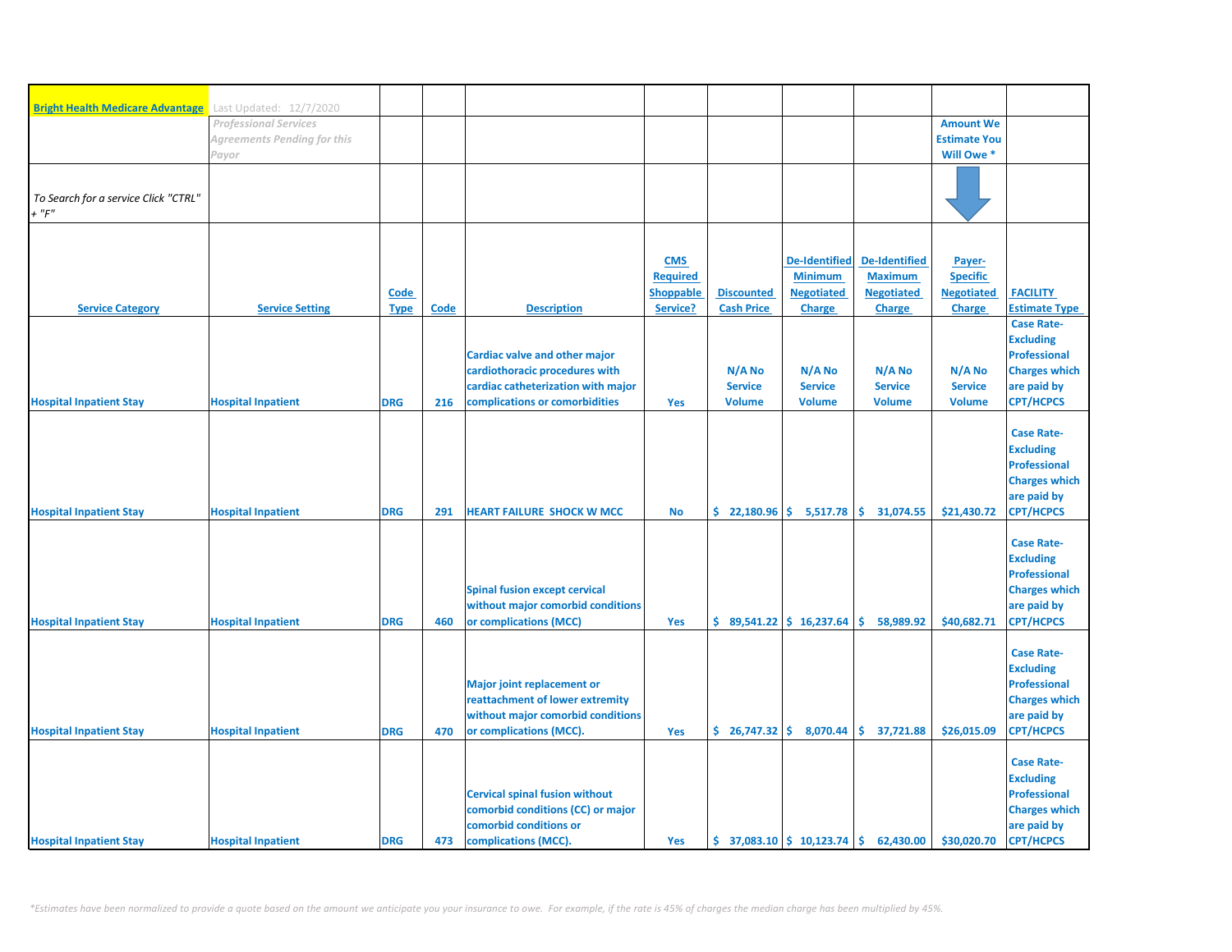| <b>Bright Health Medicare Advantage</b> | Last Updated: 12/7/2020              |             |             |                                                                      |                  |                          |                                                                  |                          |                                   |                                             |
|-----------------------------------------|--------------------------------------|-------------|-------------|----------------------------------------------------------------------|------------------|--------------------------|------------------------------------------------------------------|--------------------------|-----------------------------------|---------------------------------------------|
|                                         | <b>Professional Services</b>         |             |             |                                                                      |                  |                          |                                                                  |                          | <b>Amount We</b>                  |                                             |
|                                         | Agreements Pending for this<br>Payor |             |             |                                                                      |                  |                          |                                                                  |                          | <b>Estimate You</b><br>Will Owe * |                                             |
|                                         |                                      |             |             |                                                                      |                  |                          |                                                                  |                          |                                   |                                             |
| To Search for a service Click "CTRL"    |                                      |             |             |                                                                      |                  |                          |                                                                  |                          |                                   |                                             |
| $+$ " $F$ "                             |                                      |             |             |                                                                      |                  |                          |                                                                  |                          |                                   |                                             |
|                                         |                                      |             |             |                                                                      |                  |                          |                                                                  |                          |                                   |                                             |
|                                         |                                      |             |             |                                                                      | <b>CMS</b>       |                          | <b>De-Identified</b>                                             | <b>De-Identified</b>     | Payer-                            |                                             |
|                                         |                                      |             |             |                                                                      | <b>Required</b>  |                          | <b>Minimum</b>                                                   | <b>Maximum</b>           | <b>Specific</b>                   |                                             |
|                                         |                                      | Code        |             |                                                                      | <b>Shoppable</b> | <b>Discounted</b>        | <b>Negotiated</b>                                                | <b>Negotiated</b>        | <b>Negotiated</b>                 | <b>FACILITY</b>                             |
| <b>Service Category</b>                 | <b>Service Setting</b>               | <b>Type</b> | <b>Code</b> | <b>Description</b>                                                   | Service?         | <b>Cash Price</b>        | <b>Charge</b>                                                    | <b>Charge</b>            | Charge                            | <b>Estimate Type</b><br><b>Case Rate-</b>   |
|                                         |                                      |             |             |                                                                      |                  |                          |                                                                  |                          |                                   | <b>Excluding</b>                            |
|                                         |                                      |             |             | Cardiac valve and other major                                        |                  |                          |                                                                  |                          |                                   | <b>Professional</b>                         |
|                                         |                                      |             |             | cardiothoracic procedures with<br>cardiac catheterization with major |                  | N/A No<br><b>Service</b> | N/A No<br><b>Service</b>                                         | N/A No<br><b>Service</b> | N/A No<br><b>Service</b>          | <b>Charges which</b><br>are paid by         |
| <b>Hospital Inpatient Stay</b>          | <b>Hospital Inpatient</b>            | <b>DRG</b>  | 216         | complications or comorbidities                                       | Yes              | <b>Volume</b>            | <b>Volume</b>                                                    | <b>Volume</b>            | <b>Volume</b>                     | <b>CPT/HCPCS</b>                            |
|                                         |                                      |             |             |                                                                      |                  |                          |                                                                  |                          |                                   |                                             |
|                                         |                                      |             |             |                                                                      |                  |                          |                                                                  |                          |                                   | <b>Case Rate-</b><br><b>Excluding</b>       |
|                                         |                                      |             |             |                                                                      |                  |                          |                                                                  |                          |                                   | <b>Professional</b>                         |
|                                         |                                      |             |             |                                                                      |                  |                          |                                                                  |                          |                                   | <b>Charges which</b>                        |
| <b>Hospital Inpatient Stay</b>          | <b>Hospital Inpatient</b>            | <b>DRG</b>  | 291         | <b>HEART FAILURE SHOCK W MCC</b>                                     | <b>No</b>        |                          | $\frac{1}{2}$ 22,180.96 $\frac{1}{2}$ 5,517.78                   | \$.<br>31,074.55         | \$21,430.72                       | are paid by<br><b>CPT/HCPCS</b>             |
|                                         |                                      |             |             |                                                                      |                  |                          |                                                                  |                          |                                   |                                             |
|                                         |                                      |             |             |                                                                      |                  |                          |                                                                  |                          |                                   | <b>Case Rate-</b>                           |
|                                         |                                      |             |             |                                                                      |                  |                          |                                                                  |                          |                                   | <b>Excluding</b><br><b>Professional</b>     |
|                                         |                                      |             |             | <b>Spinal fusion except cervical</b>                                 |                  |                          |                                                                  |                          |                                   | <b>Charges which</b>                        |
|                                         |                                      |             |             | without major comorbid conditions                                    |                  |                          |                                                                  |                          |                                   | are paid by                                 |
| <b>Hospital Inpatient Stay</b>          | <b>Hospital Inpatient</b>            | <b>DRG</b>  | 460         | or complications (MCC)                                               | Yes              |                          | $$89,541.22 \mid $16,237.64$                                     | Š.<br>58,989.92          | \$40,682.71                       | <b>CPT/HCPCS</b>                            |
|                                         |                                      |             |             |                                                                      |                  |                          |                                                                  |                          |                                   | <b>Case Rate-</b>                           |
|                                         |                                      |             |             |                                                                      |                  |                          |                                                                  |                          |                                   | <b>Excluding</b>                            |
|                                         |                                      |             |             | <b>Major joint replacement or</b><br>reattachment of lower extremity |                  |                          |                                                                  |                          |                                   | <b>Professional</b><br><b>Charges which</b> |
|                                         |                                      |             |             | without major comorbid conditions                                    |                  |                          |                                                                  |                          |                                   | are paid by                                 |
| <b>Hospital Inpatient Stay</b>          | <b>Hospital Inpatient</b>            | <b>DRG</b>  | 470         | or complications (MCC).                                              | Yes              |                          | $\binom{6}{5}$ 26,747.32 $\binom{6}{5}$ 8,070.44                 | \$37,721.88              | \$26,015.09                       | <b>CPT/HCPCS</b>                            |
|                                         |                                      |             |             |                                                                      |                  |                          |                                                                  |                          |                                   | <b>Case Rate-</b>                           |
|                                         |                                      |             |             |                                                                      |                  |                          |                                                                  |                          |                                   | <b>Excluding</b>                            |
|                                         |                                      |             |             | <b>Cervical spinal fusion without</b>                                |                  |                          |                                                                  |                          |                                   | <b>Professional</b>                         |
|                                         |                                      |             |             | comorbid conditions (CC) or major<br>comorbid conditions or          |                  |                          |                                                                  |                          |                                   | <b>Charges which</b><br>are paid by         |
| <b>Hospital Inpatient Stay</b>          | <b>Hospital Inpatient</b>            | <b>DRG</b>  | 473         | complications (MCC).                                                 | Yes              |                          | $\binom{1}{2}$ 37,083.10 $\binom{1}{2}$ 10,123.74 $\binom{1}{2}$ | 62,430.00                | \$30,020.70                       | <b>CPT/HCPCS</b>                            |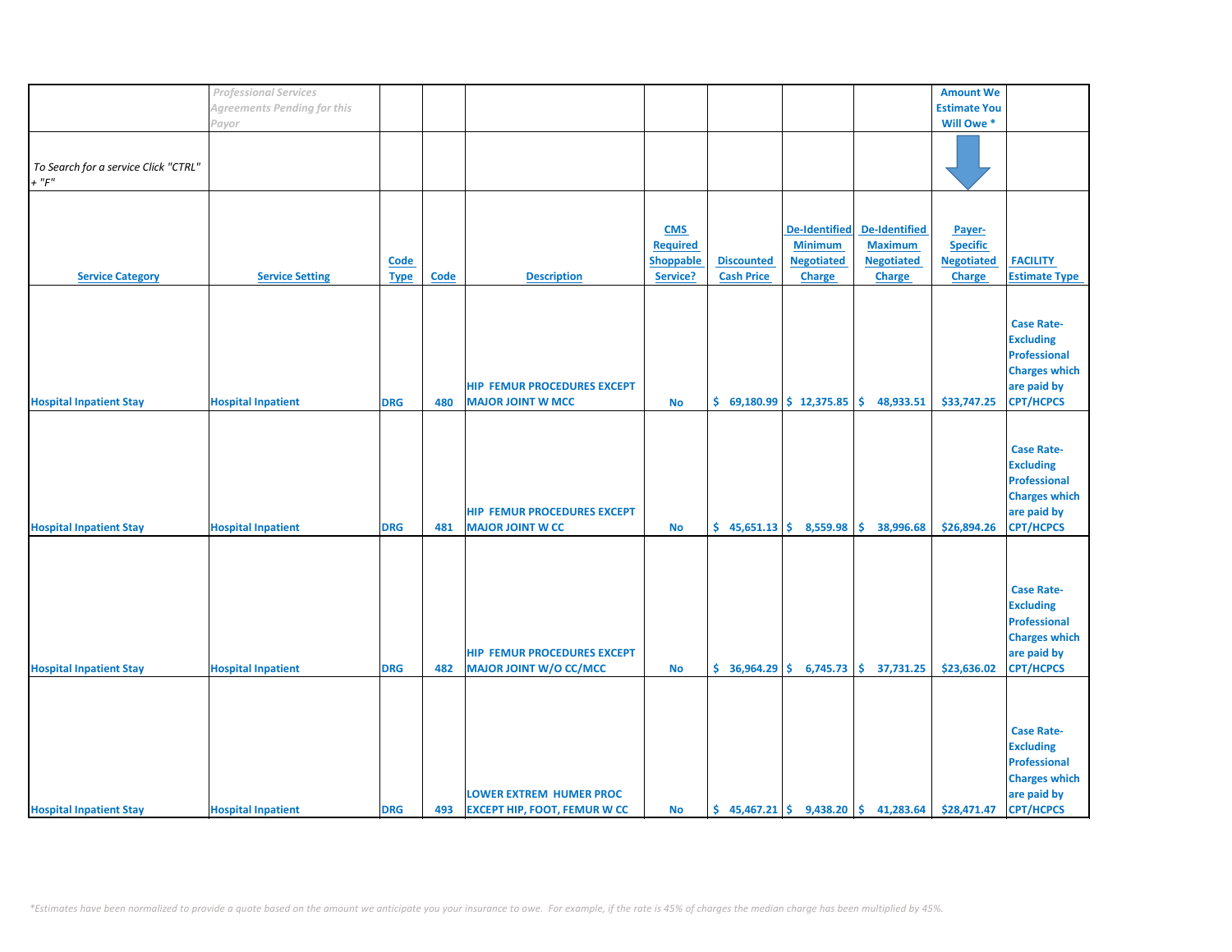|                                      | <b>Professional Services</b> |             |             |                                     |                 |                   |                             |                                                                           | <b>Amount We</b>    |                      |
|--------------------------------------|------------------------------|-------------|-------------|-------------------------------------|-----------------|-------------------|-----------------------------|---------------------------------------------------------------------------|---------------------|----------------------|
|                                      |                              |             |             |                                     |                 |                   |                             |                                                                           |                     |                      |
|                                      | Agreements Pending for this  |             |             |                                     |                 |                   |                             |                                                                           | <b>Estimate You</b> |                      |
|                                      | Payor                        |             |             |                                     |                 |                   |                             |                                                                           | Will Owe *          |                      |
|                                      |                              |             |             |                                     |                 |                   |                             |                                                                           |                     |                      |
|                                      |                              |             |             |                                     |                 |                   |                             |                                                                           |                     |                      |
| To Search for a service Click "CTRL" |                              |             |             |                                     |                 |                   |                             |                                                                           |                     |                      |
|                                      |                              |             |             |                                     |                 |                   |                             |                                                                           |                     |                      |
| $+$ " $F$ "                          |                              |             |             |                                     |                 |                   |                             |                                                                           |                     |                      |
|                                      |                              |             |             |                                     |                 |                   |                             |                                                                           |                     |                      |
|                                      |                              |             |             |                                     |                 |                   |                             |                                                                           |                     |                      |
|                                      |                              |             |             |                                     | <b>CMS</b>      |                   | <b>De-Identified</b>        | De-Identified                                                             | Payer-              |                      |
|                                      |                              |             |             |                                     |                 |                   |                             |                                                                           |                     |                      |
|                                      |                              |             |             |                                     | <b>Required</b> |                   | <b>Minimum</b>              | <b>Maximum</b>                                                            | <b>Specific</b>     |                      |
|                                      |                              | Code        |             |                                     | Shoppable       | <b>Discounted</b> | <b>Negotiated</b>           | <b>Negotiated</b>                                                         | <b>Negotiated</b>   | <b>FACILITY</b>      |
| <b>Service Category</b>              | <b>Service Setting</b>       | <b>Type</b> | <b>Code</b> | <b>Description</b>                  | Service?        | <b>Cash Price</b> | <b>Charge</b>               | <b>Charge</b>                                                             | <b>Charge</b>       | <b>Estimate Type</b> |
|                                      |                              |             |             |                                     |                 |                   |                             |                                                                           |                     |                      |
|                                      |                              |             |             |                                     |                 |                   |                             |                                                                           |                     |                      |
|                                      |                              |             |             |                                     |                 |                   |                             |                                                                           |                     |                      |
|                                      |                              |             |             |                                     |                 |                   |                             |                                                                           |                     | <b>Case Rate-</b>    |
|                                      |                              |             |             |                                     |                 |                   |                             |                                                                           |                     | <b>Excluding</b>     |
|                                      |                              |             |             |                                     |                 |                   |                             |                                                                           |                     | <b>Professional</b>  |
|                                      |                              |             |             |                                     |                 |                   |                             |                                                                           |                     | <b>Charges which</b> |
|                                      |                              |             |             |                                     |                 |                   |                             |                                                                           |                     |                      |
|                                      |                              |             |             | <b>HIP FEMUR PROCEDURES EXCEPT</b>  |                 |                   |                             |                                                                           |                     | are paid by          |
| <b>Hospital Inpatient Stay</b>       | <b>Hospital Inpatient</b>    | <b>DRG</b>  | 480         | <b>MAJOR JOINT W MCC</b>            | <b>No</b>       |                   | $$69,180.99$$ $$12,375.85$  | \$.<br>48,933.51                                                          | \$33,747.25         | <b>CPT/HCPCS</b>     |
|                                      |                              |             |             |                                     |                 |                   |                             |                                                                           |                     |                      |
|                                      |                              |             |             |                                     |                 |                   |                             |                                                                           |                     |                      |
|                                      |                              |             |             |                                     |                 |                   |                             |                                                                           |                     |                      |
|                                      |                              |             |             |                                     |                 |                   |                             |                                                                           |                     | <b>Case Rate-</b>    |
|                                      |                              |             |             |                                     |                 |                   |                             |                                                                           |                     | <b>Excluding</b>     |
|                                      |                              |             |             |                                     |                 |                   |                             |                                                                           |                     | <b>Professional</b>  |
|                                      |                              |             |             |                                     |                 |                   |                             |                                                                           |                     | <b>Charges which</b> |
|                                      |                              |             |             | <b>HIP FEMUR PROCEDURES EXCEPT</b>  |                 |                   |                             |                                                                           |                     |                      |
|                                      |                              |             |             |                                     |                 |                   |                             |                                                                           |                     | are paid by          |
| <b>Hospital Inpatient Stay</b>       | <b>Hospital Inpatient</b>    | <b>DRG</b>  | 481         | <b>MAJOR JOINT W CC</b>             | <b>No</b>       |                   | $$45,651.13 \mid $8,559.98$ | \$.<br>38,996.68                                                          | \$26,894.26         | <b>CPT/HCPCS</b>     |
|                                      |                              |             |             |                                     |                 |                   |                             |                                                                           |                     |                      |
|                                      |                              |             |             |                                     |                 |                   |                             |                                                                           |                     |                      |
|                                      |                              |             |             |                                     |                 |                   |                             |                                                                           |                     |                      |
|                                      |                              |             |             |                                     |                 |                   |                             |                                                                           |                     |                      |
|                                      |                              |             |             |                                     |                 |                   |                             |                                                                           |                     | <b>Case Rate-</b>    |
|                                      |                              |             |             |                                     |                 |                   |                             |                                                                           |                     | <b>Excluding</b>     |
|                                      |                              |             |             |                                     |                 |                   |                             |                                                                           |                     | Professional         |
|                                      |                              |             |             |                                     |                 |                   |                             |                                                                           |                     | <b>Charges which</b> |
|                                      |                              |             |             |                                     |                 |                   |                             |                                                                           |                     |                      |
|                                      |                              |             |             | <b>HIP FEMUR PROCEDURES EXCEPT</b>  |                 |                   |                             |                                                                           |                     | are paid by          |
| <b>Hospital Inpatient Stay</b>       | <b>Hospital Inpatient</b>    | <b>DRG</b>  | 482         | MAJOR JOINT W/O CC/MCC              | <b>No</b>       |                   | $$36,964.29 \mid $6,745.73$ | \$.<br>37,731.25                                                          | \$23,636.02         | <b>CPT/HCPCS</b>     |
|                                      |                              |             |             |                                     |                 |                   |                             |                                                                           |                     |                      |
|                                      |                              |             |             |                                     |                 |                   |                             |                                                                           |                     |                      |
|                                      |                              |             |             |                                     |                 |                   |                             |                                                                           |                     |                      |
|                                      |                              |             |             |                                     |                 |                   |                             |                                                                           |                     |                      |
|                                      |                              |             |             |                                     |                 |                   |                             |                                                                           |                     | <b>Case Rate-</b>    |
|                                      |                              |             |             |                                     |                 |                   |                             |                                                                           |                     | <b>Excluding</b>     |
|                                      |                              |             |             |                                     |                 |                   |                             |                                                                           |                     | <b>Professional</b>  |
|                                      |                              |             |             |                                     |                 |                   |                             |                                                                           |                     | <b>Charges which</b> |
|                                      |                              |             |             |                                     |                 |                   |                             |                                                                           |                     |                      |
|                                      |                              |             |             | <b>LOWER EXTREM HUMER PROC</b>      |                 |                   |                             |                                                                           |                     | are paid by          |
| <b>Hospital Inpatient Stay</b>       | <b>Hospital Inpatient</b>    | <b>DRG</b>  | 493         | <b>EXCEPT HIP, FOOT, FEMUR W CC</b> | <b>No</b>       |                   |                             | $\binom{1}{2}$ 45,467.21 $\binom{2}{3}$ 9,438.20 $\binom{3}{3}$ 41,283.64 | \$28,471.47         | <b>CPT/HCPCS</b>     |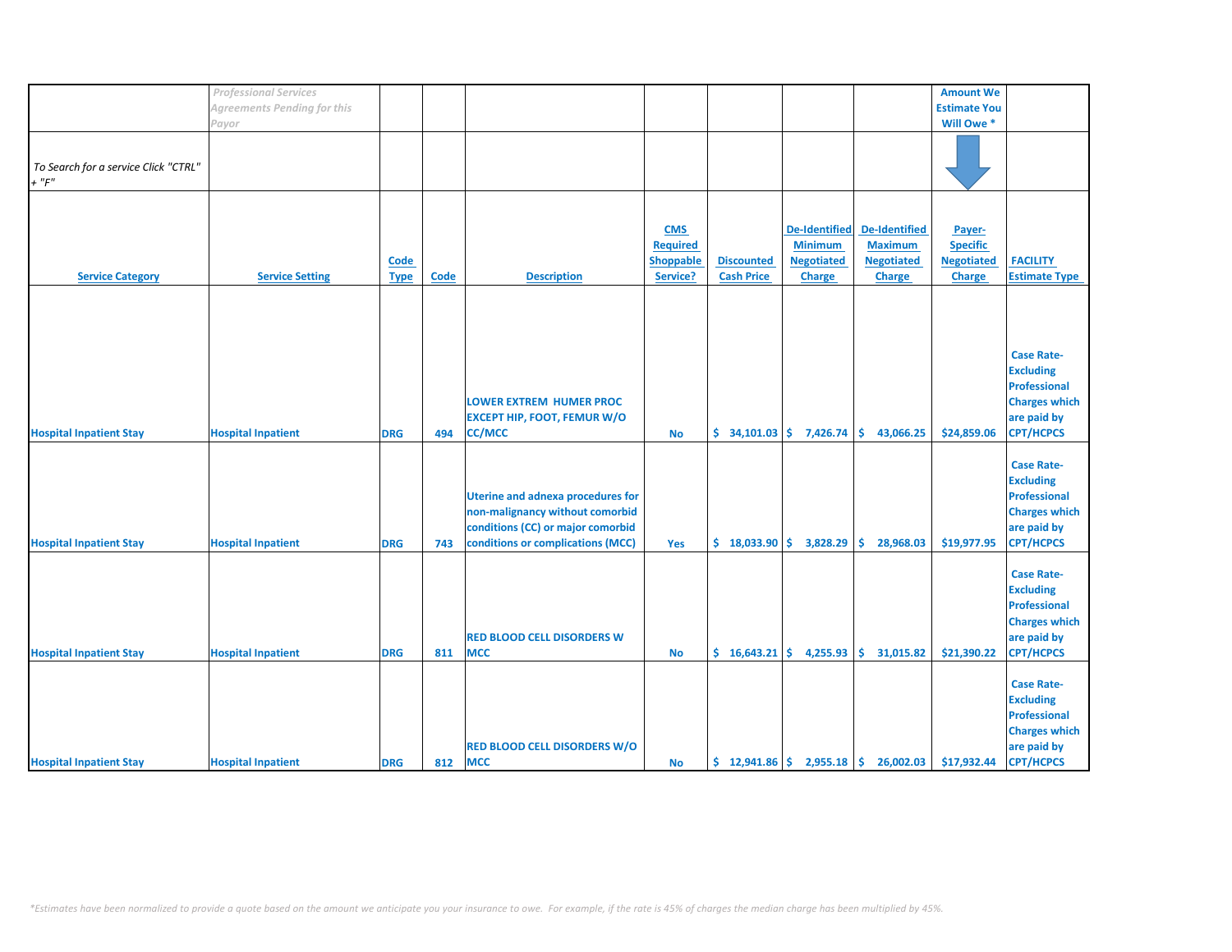|                                                     | <b>Professional Services</b>       |                            |      |                                                                                                                                                       |                                                        |                                        |                                                                              |                                                                              | <b>Amount We</b>                                                |                                                                                                                         |
|-----------------------------------------------------|------------------------------------|----------------------------|------|-------------------------------------------------------------------------------------------------------------------------------------------------------|--------------------------------------------------------|----------------------------------------|------------------------------------------------------------------------------|------------------------------------------------------------------------------|-----------------------------------------------------------------|-------------------------------------------------------------------------------------------------------------------------|
|                                                     | <b>Agreements Pending for this</b> |                            |      |                                                                                                                                                       |                                                        |                                        |                                                                              |                                                                              | <b>Estimate You</b>                                             |                                                                                                                         |
|                                                     |                                    |                            |      |                                                                                                                                                       |                                                        |                                        |                                                                              |                                                                              |                                                                 |                                                                                                                         |
|                                                     | Payor                              |                            |      |                                                                                                                                                       |                                                        |                                        |                                                                              |                                                                              | Will Owe *                                                      |                                                                                                                         |
| To Search for a service Click "CTRL"<br>$+$ " $F$ " |                                    |                            |      |                                                                                                                                                       |                                                        |                                        |                                                                              |                                                                              |                                                                 |                                                                                                                         |
| <b>Service Category</b>                             | <b>Service Setting</b>             | <b>Code</b><br><b>Type</b> | Code | <b>Description</b>                                                                                                                                    | <b>CMS</b><br><b>Required</b><br>Shoppable<br>Service? | <b>Discounted</b><br><b>Cash Price</b> | <b>De-Identified</b><br><b>Minimum</b><br><b>Negotiated</b><br><b>Charge</b> | <b>De-Identified</b><br><b>Maximum</b><br><b>Negotiated</b><br><b>Charge</b> | Payer-<br><b>Specific</b><br><b>Negotiated</b><br><b>Charge</b> | <b>FACILITY</b><br><b>Estimate Type</b>                                                                                 |
| <b>Hospital Inpatient Stay</b>                      | <b>Hospital Inpatient</b>          | <b>DRG</b>                 | 494  | <b>LOWER EXTREM HUMER PROC</b><br><b>EXCEPT HIP, FOOT, FEMUR W/O</b><br><b>CC/MCC</b>                                                                 | <b>No</b>                                              | \$34,101.03                            | 7,426.74                                                                     | Ŝ.<br>43,066.25                                                              | \$24,859.06                                                     | <b>Case Rate-</b><br><b>Excluding</b><br><b>Professional</b><br><b>Charges which</b><br>are paid by<br><b>CPT/HCPCS</b> |
| <b>Hospital Inpatient Stay</b>                      | <b>Hospital Inpatient</b>          | <b>DRG</b>                 | 743  | <b>Uterine and adnexa procedures for</b><br>non-malignancy without comorbid<br>conditions (CC) or major comorbid<br>conditions or complications (MCC) | Yes                                                    | \$18,033.90                            | 3,828.29                                                                     | 28,968.03<br>\$.                                                             | \$19,977.95                                                     | <b>Case Rate-</b><br><b>Excluding</b><br><b>Professional</b><br><b>Charges which</b><br>are paid by<br><b>CPT/HCPCS</b> |
| <b>Hospital Inpatient Stay</b>                      | <b>Hospital Inpatient</b>          | <b>DRG</b>                 | 811  | <b>RED BLOOD CELL DISORDERS W</b><br><b>MCC</b>                                                                                                       | <b>No</b>                                              | \$16,643.21                            | 4,255.93                                                                     | \$.<br>31,015.82                                                             | \$21,390.22                                                     | <b>Case Rate-</b><br><b>Excluding</b><br><b>Professional</b><br><b>Charges which</b><br>are paid by<br><b>CPT/HCPCS</b> |
| <b>Hospital Inpatient Stay</b>                      | <b>Hospital Inpatient</b>          | <b>DRG</b>                 | 812  | <b>RED BLOOD CELL DISORDERS W/O</b><br><b>MCC</b>                                                                                                     | No                                                     |                                        |                                                                              | $\frac{1}{2}$ 12,941.86 $\frac{1}{2}$ 2,955.18 $\frac{1}{2}$ 26,002.03       | \$17,932.44                                                     | <b>Case Rate-</b><br><b>Excluding</b><br><b>Professional</b><br><b>Charges which</b><br>are paid by<br><b>CPT/HCPCS</b> |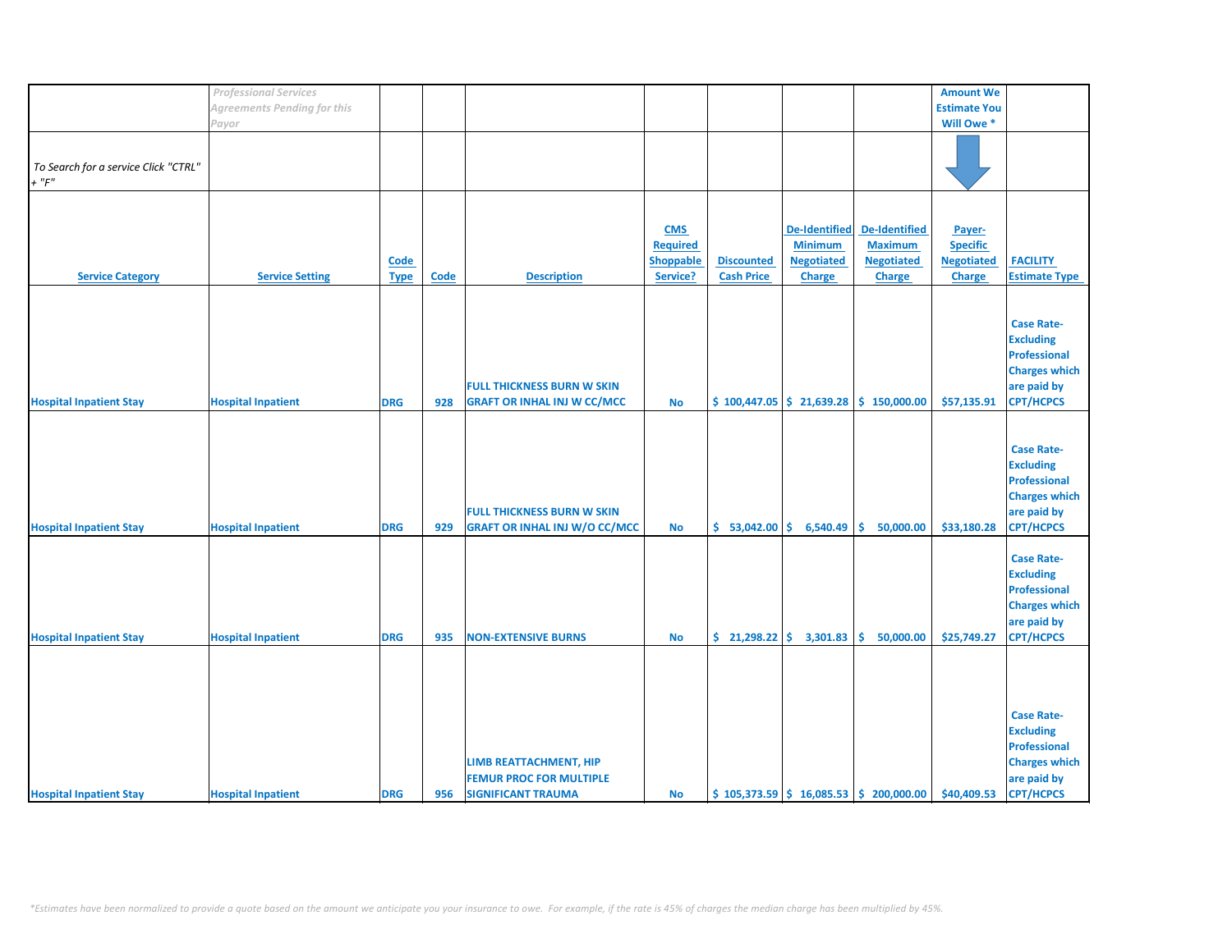|                                      | <b>Professional Services</b>       |             |             |                                      |                 |                                |                      |                                          | <b>Amount We</b>    |                      |
|--------------------------------------|------------------------------------|-------------|-------------|--------------------------------------|-----------------|--------------------------------|----------------------|------------------------------------------|---------------------|----------------------|
|                                      | <b>Agreements Pending for this</b> |             |             |                                      |                 |                                |                      |                                          | <b>Estimate You</b> |                      |
|                                      | Payor                              |             |             |                                      |                 |                                |                      |                                          | Will Owe *          |                      |
|                                      |                                    |             |             |                                      |                 |                                |                      |                                          |                     |                      |
|                                      |                                    |             |             |                                      |                 |                                |                      |                                          |                     |                      |
|                                      |                                    |             |             |                                      |                 |                                |                      |                                          |                     |                      |
| To Search for a service Click "CTRL" |                                    |             |             |                                      |                 |                                |                      |                                          |                     |                      |
| $+$ " $F"$                           |                                    |             |             |                                      |                 |                                |                      |                                          |                     |                      |
|                                      |                                    |             |             |                                      |                 |                                |                      |                                          |                     |                      |
|                                      |                                    |             |             |                                      |                 |                                |                      |                                          |                     |                      |
|                                      |                                    |             |             |                                      |                 |                                |                      |                                          |                     |                      |
|                                      |                                    |             |             |                                      | <b>CMS</b>      |                                | <b>De-Identified</b> | <b>De-Identified</b>                     | Payer-              |                      |
|                                      |                                    |             |             |                                      | <b>Required</b> |                                | <b>Minimum</b>       | <b>Maximum</b>                           | <b>Specific</b>     |                      |
|                                      |                                    | <b>Code</b> |             |                                      | Shoppable       | <b>Discounted</b>              | <b>Negotiated</b>    | <b>Negotiated</b>                        | <b>Negotiated</b>   | <b>FACILITY</b>      |
|                                      |                                    |             |             |                                      |                 |                                |                      |                                          |                     |                      |
| <b>Service Category</b>              | <b>Service Setting</b>             | <b>Type</b> | <b>Code</b> | <b>Description</b>                   | Service?        | <b>Cash Price</b>              | Charge               | Charge                                   | <b>Charge</b>       | <b>Estimate Type</b> |
|                                      |                                    |             |             |                                      |                 |                                |                      |                                          |                     |                      |
|                                      |                                    |             |             |                                      |                 |                                |                      |                                          |                     |                      |
|                                      |                                    |             |             |                                      |                 |                                |                      |                                          |                     |                      |
|                                      |                                    |             |             |                                      |                 |                                |                      |                                          |                     | <b>Case Rate-</b>    |
|                                      |                                    |             |             |                                      |                 |                                |                      |                                          |                     | <b>Excluding</b>     |
|                                      |                                    |             |             |                                      |                 |                                |                      |                                          |                     | Professional         |
|                                      |                                    |             |             |                                      |                 |                                |                      |                                          |                     | <b>Charges which</b> |
|                                      |                                    |             |             |                                      |                 |                                |                      |                                          |                     |                      |
|                                      |                                    |             |             | <b>FULL THICKNESS BURN W SKIN</b>    |                 |                                |                      |                                          |                     | are paid by          |
| <b>Hospital Inpatient Stay</b>       | <b>Hospital Inpatient</b>          | <b>DRG</b>  | 928         | <b>GRAFT OR INHAL INJ W CC/MCC</b>   | <b>No</b>       | $$100,447.05 \mid $21,639.28$$ |                      | \$150,000.00                             | \$57,135.91         | <b>CPT/HCPCS</b>     |
|                                      |                                    |             |             |                                      |                 |                                |                      |                                          |                     |                      |
|                                      |                                    |             |             |                                      |                 |                                |                      |                                          |                     |                      |
|                                      |                                    |             |             |                                      |                 |                                |                      |                                          |                     |                      |
|                                      |                                    |             |             |                                      |                 |                                |                      |                                          |                     | <b>Case Rate-</b>    |
|                                      |                                    |             |             |                                      |                 |                                |                      |                                          |                     | <b>Excluding</b>     |
|                                      |                                    |             |             |                                      |                 |                                |                      |                                          |                     | Professional         |
|                                      |                                    |             |             |                                      |                 |                                |                      |                                          |                     |                      |
|                                      |                                    |             |             |                                      |                 |                                |                      |                                          |                     | <b>Charges which</b> |
|                                      |                                    |             |             | <b>FULL THICKNESS BURN W SKIN</b>    |                 |                                |                      |                                          |                     | are paid by          |
| <b>Hospital Inpatient Stay</b>       | <b>Hospital Inpatient</b>          | <b>DRG</b>  | 929         | <b>GRAFT OR INHAL INJ W/O CC/MCC</b> | <b>No</b>       | \$53,042.00                    | 6,540.49             | \$<br>50,000.00                          | \$33,180.28         | <b>CPT/HCPCS</b>     |
|                                      |                                    |             |             |                                      |                 |                                |                      |                                          |                     |                      |
|                                      |                                    |             |             |                                      |                 |                                |                      |                                          |                     |                      |
|                                      |                                    |             |             |                                      |                 |                                |                      |                                          |                     | <b>Case Rate-</b>    |
|                                      |                                    |             |             |                                      |                 |                                |                      |                                          |                     | <b>Excluding</b>     |
|                                      |                                    |             |             |                                      |                 |                                |                      |                                          |                     | Professional         |
|                                      |                                    |             |             |                                      |                 |                                |                      |                                          |                     |                      |
|                                      |                                    |             |             |                                      |                 |                                |                      |                                          |                     | <b>Charges which</b> |
|                                      |                                    |             |             |                                      |                 |                                |                      |                                          |                     | are paid by          |
| <b>Hospital Inpatient Stay</b>       | <b>Hospital Inpatient</b>          | <b>DRG</b>  | 935         | <b>NON-EXTENSIVE BURNS</b>           | <b>No</b>       | $\frac{1}{2}$ 21,298.22 \$     | 3,301.83             | \$<br>50,000.00                          | \$25,749.27         | <b>CPT/HCPCS</b>     |
|                                      |                                    |             |             |                                      |                 |                                |                      |                                          |                     |                      |
|                                      |                                    |             |             |                                      |                 |                                |                      |                                          |                     |                      |
|                                      |                                    |             |             |                                      |                 |                                |                      |                                          |                     |                      |
|                                      |                                    |             |             |                                      |                 |                                |                      |                                          |                     |                      |
|                                      |                                    |             |             |                                      |                 |                                |                      |                                          |                     |                      |
|                                      |                                    |             |             |                                      |                 |                                |                      |                                          |                     |                      |
|                                      |                                    |             |             |                                      |                 |                                |                      |                                          |                     | <b>Case Rate-</b>    |
|                                      |                                    |             |             |                                      |                 |                                |                      |                                          |                     | <b>Excluding</b>     |
|                                      |                                    |             |             |                                      |                 |                                |                      |                                          |                     | <b>Professional</b>  |
|                                      |                                    |             |             |                                      |                 |                                |                      |                                          |                     |                      |
|                                      |                                    |             |             | LIMB REATTACHMENT, HIP               |                 |                                |                      |                                          |                     | <b>Charges which</b> |
|                                      |                                    |             |             | <b>FEMUR PROC FOR MULTIPLE</b>       |                 |                                |                      |                                          |                     | are paid by          |
| <b>Hospital Inpatient Stay</b>       | <b>Hospital Inpatient</b>          | <b>DRG</b>  | 956         | <b>SIGNIFICANT TRAUMA</b>            | <b>No</b>       |                                |                      | $$105,373.59$ $$16,085.53$ $$200,000.00$ | \$40,409.53         | <b>CPT/HCPCS</b>     |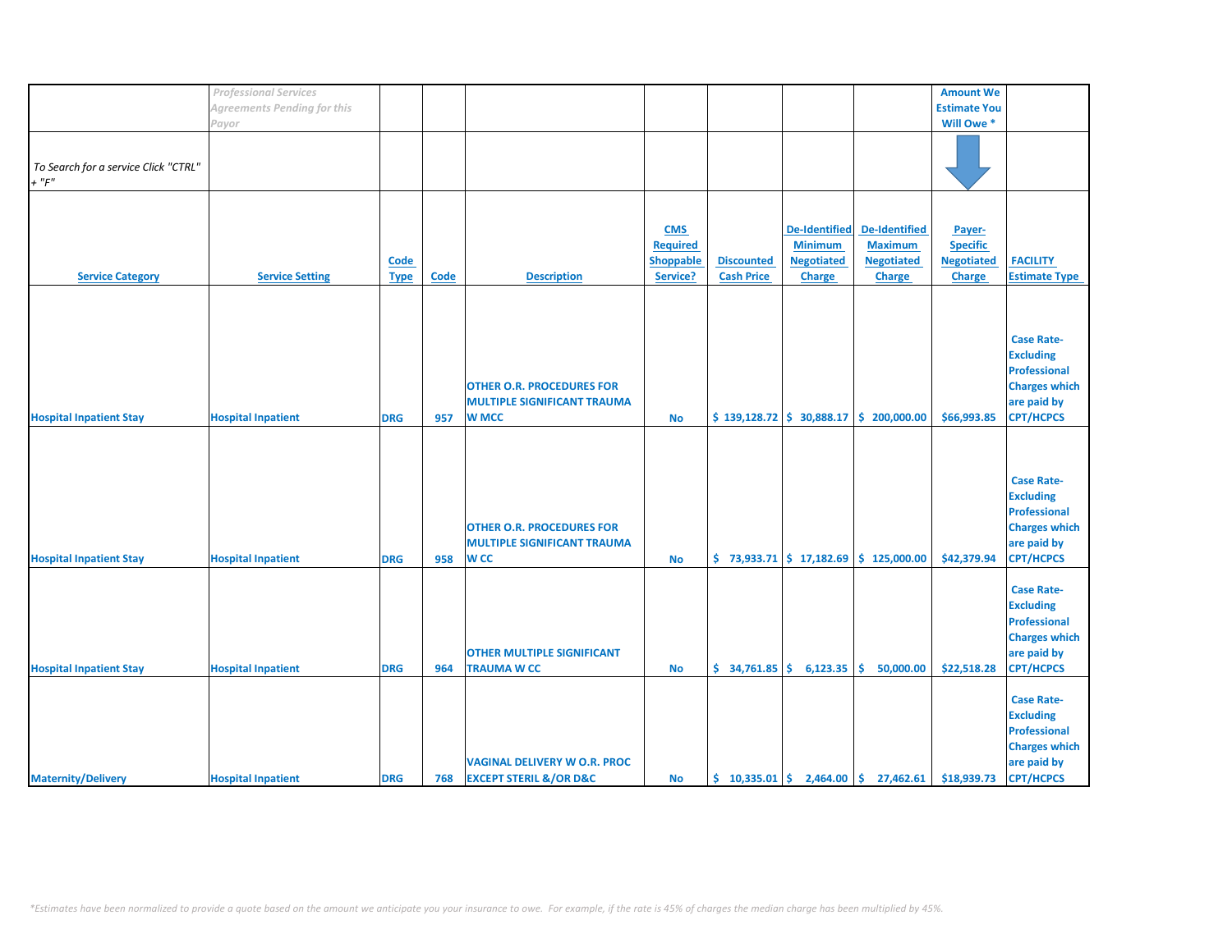|                                                    | <b>Professional Services</b>       |                            |      |                                                                                        |                                                        |                                        |                                                                              |                                                                              | <b>Amount We</b>                                                |                                                                                                                         |
|----------------------------------------------------|------------------------------------|----------------------------|------|----------------------------------------------------------------------------------------|--------------------------------------------------------|----------------------------------------|------------------------------------------------------------------------------|------------------------------------------------------------------------------|-----------------------------------------------------------------|-------------------------------------------------------------------------------------------------------------------------|
|                                                    |                                    |                            |      |                                                                                        |                                                        |                                        |                                                                              |                                                                              |                                                                 |                                                                                                                         |
|                                                    | <b>Agreements Pending for this</b> |                            |      |                                                                                        |                                                        |                                        |                                                                              |                                                                              | <b>Estimate You</b>                                             |                                                                                                                         |
|                                                    | Payor                              |                            |      |                                                                                        |                                                        |                                        |                                                                              |                                                                              | Will Owe *                                                      |                                                                                                                         |
| To Search for a service Click "CTRL"<br>$+$ " $F"$ |                                    |                            |      |                                                                                        |                                                        |                                        |                                                                              |                                                                              |                                                                 |                                                                                                                         |
| <b>Service Category</b>                            | <b>Service Setting</b>             | <b>Code</b><br><b>Type</b> | Code | <b>Description</b>                                                                     | <b>CMS</b><br><b>Required</b><br>Shoppable<br>Service? | <b>Discounted</b><br><b>Cash Price</b> | <b>De-Identified</b><br><b>Minimum</b><br><b>Negotiated</b><br><b>Charge</b> | <b>De-Identified</b><br><b>Maximum</b><br><b>Negotiated</b><br><b>Charge</b> | Payer-<br><b>Specific</b><br><b>Negotiated</b><br><b>Charge</b> | <b>FACILITY</b><br><b>Estimate Type</b>                                                                                 |
| <b>Hospital Inpatient Stay</b>                     | <b>Hospital Inpatient</b>          | <b>DRG</b>                 | 957  | <b>OTHER O.R. PROCEDURES FOR</b><br><b>MULTIPLE SIGNIFICANT TRAUMA</b><br><b>W MCC</b> | <b>No</b>                                              |                                        |                                                                              | $$139,128.72 \  \  $30,888.17 \  \  $200,000.00$                             | \$66,993.85                                                     | <b>Case Rate-</b><br><b>Excluding</b><br><b>Professional</b><br><b>Charges which</b><br>are paid by<br><b>CPT/HCPCS</b> |
| <b>Hospital Inpatient Stay</b>                     | <b>Hospital Inpatient</b>          | <b>DRG</b>                 | 958  | <b>OTHER O.R. PROCEDURES FOR</b><br><b>MULTIPLE SIGNIFICANT TRAUMA</b><br><b>WCC</b>   | <b>No</b>                                              |                                        |                                                                              | $$73,933.71$ $$17,182.69$ $$125,000.00$                                      | \$42,379.94                                                     | <b>Case Rate-</b><br><b>Excluding</b><br><b>Professional</b><br><b>Charges which</b><br>are paid by<br><b>CPT/HCPCS</b> |
| <b>Hospital Inpatient Stay</b>                     | <b>Hospital Inpatient</b>          | <b>DRG</b>                 | 964  | <b>OTHER MULTIPLE SIGNIFICANT</b><br><b>TRAUMA W CC</b>                                | <b>No</b>                                              |                                        | $$34,761.85 \mid $6,123.35$                                                  | Ŝ.<br>50,000.00                                                              | \$22,518.28                                                     | <b>Case Rate-</b><br><b>Excluding</b><br><b>Professional</b><br><b>Charges which</b><br>are paid by<br><b>CPT/HCPCS</b> |
| <b>Maternity/Delivery</b>                          | <b>Hospital Inpatient</b>          | <b>DRG</b>                 | 768  | <b>VAGINAL DELIVERY W O.R. PROC</b><br><b>EXCEPT STERIL &amp;/OR D&amp;C</b>           | <b>No</b>                                              |                                        |                                                                              | $\binom{10,335.01}{5}$ 2,464.00 $\binom{10,335.01}{5}$ 27,462.61             | \$18,939.73                                                     | <b>Case Rate-</b><br><b>Excluding</b><br><b>Professional</b><br><b>Charges which</b><br>are paid by<br><b>CPT/HCPCS</b> |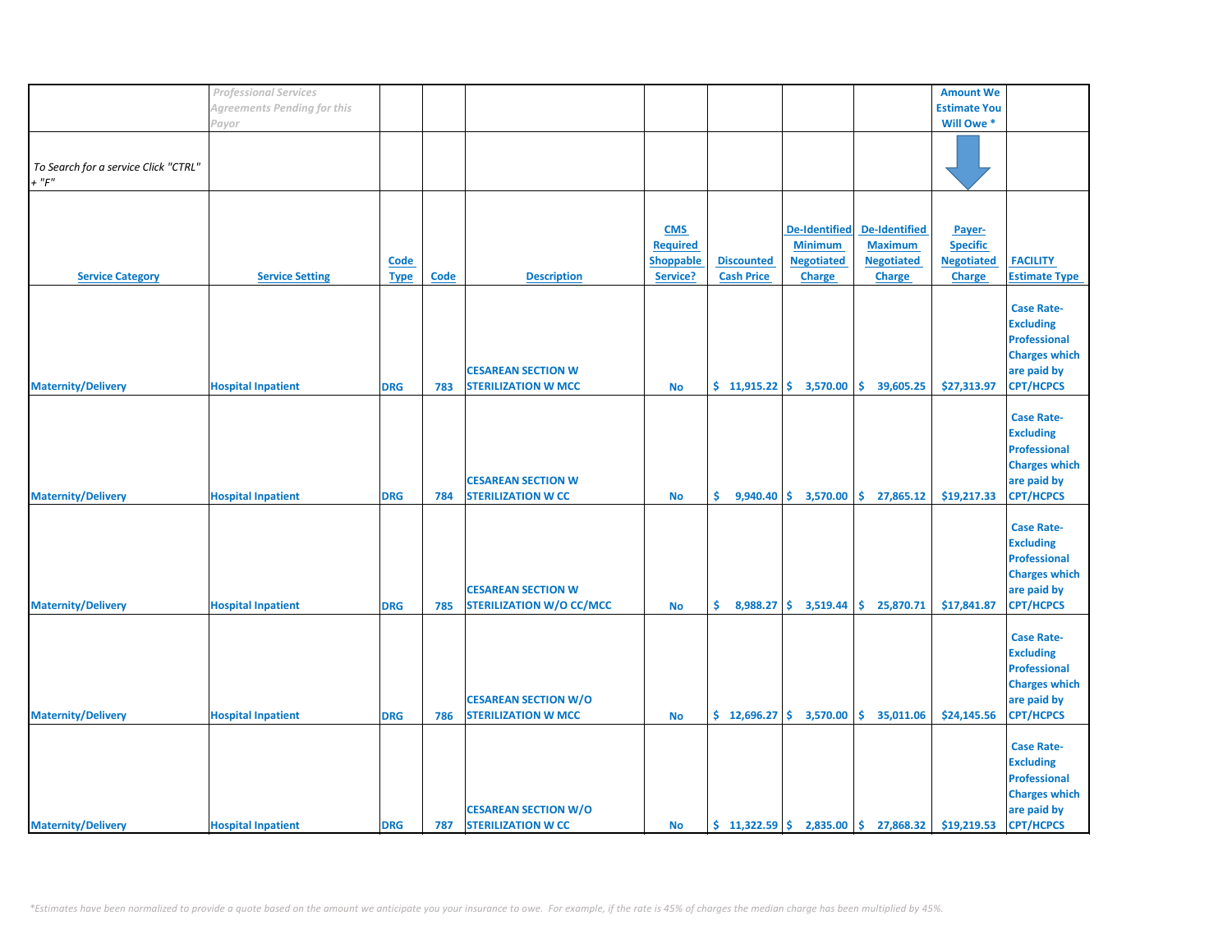|                                      | <b>Professional Services</b> |             |      |                                 |                  |                             |                                                 |                                                        | <b>Amount We</b>    |                      |
|--------------------------------------|------------------------------|-------------|------|---------------------------------|------------------|-----------------------------|-------------------------------------------------|--------------------------------------------------------|---------------------|----------------------|
|                                      | Agreements Pending for this  |             |      |                                 |                  |                             |                                                 |                                                        | <b>Estimate You</b> |                      |
|                                      | Payor                        |             |      |                                 |                  |                             |                                                 |                                                        | Will Owe *          |                      |
|                                      |                              |             |      |                                 |                  |                             |                                                 |                                                        |                     |                      |
|                                      |                              |             |      |                                 |                  |                             |                                                 |                                                        |                     |                      |
| To Search for a service Click "CTRL" |                              |             |      |                                 |                  |                             |                                                 |                                                        |                     |                      |
|                                      |                              |             |      |                                 |                  |                             |                                                 |                                                        |                     |                      |
| $+$ " $F$ "                          |                              |             |      |                                 |                  |                             |                                                 |                                                        |                     |                      |
|                                      |                              |             |      |                                 |                  |                             |                                                 |                                                        |                     |                      |
|                                      |                              |             |      |                                 |                  |                             |                                                 |                                                        |                     |                      |
|                                      |                              |             |      |                                 | <b>CMS</b>       |                             | <b>De-Identified</b>                            | De-Identified                                          | Payer-              |                      |
|                                      |                              |             |      |                                 | <b>Required</b>  |                             | <b>Minimum</b>                                  | <b>Maximum</b>                                         | <b>Specific</b>     |                      |
|                                      |                              | Code        |      |                                 | <b>Shoppable</b> | <b>Discounted</b>           | <b>Negotiated</b>                               | <b>Negotiated</b>                                      | <b>Negotiated</b>   | <b>FACILITY</b>      |
|                                      |                              |             |      |                                 |                  |                             |                                                 |                                                        |                     |                      |
| <b>Service Category</b>              | <b>Service Setting</b>       | <b>Type</b> | Code | <b>Description</b>              | Service?         | <b>Cash Price</b>           | <b>Charge</b>                                   | <b>Charge</b>                                          | <b>Charge</b>       | <b>Estimate Type</b> |
|                                      |                              |             |      |                                 |                  |                             |                                                 |                                                        |                     |                      |
|                                      |                              |             |      |                                 |                  |                             |                                                 |                                                        |                     | <b>Case Rate-</b>    |
|                                      |                              |             |      |                                 |                  |                             |                                                 |                                                        |                     | <b>Excluding</b>     |
|                                      |                              |             |      |                                 |                  |                             |                                                 |                                                        |                     | <b>Professional</b>  |
|                                      |                              |             |      |                                 |                  |                             |                                                 |                                                        |                     | <b>Charges which</b> |
|                                      |                              |             |      |                                 |                  |                             |                                                 |                                                        |                     |                      |
|                                      |                              |             |      | <b>CESAREAN SECTION W</b>       |                  |                             |                                                 |                                                        |                     | are paid by          |
| <b>Maternity/Delivery</b>            | <b>Hospital Inpatient</b>    | <b>DRG</b>  | 783  | <b>STERILIZATION W MCC</b>      | <b>No</b>        | $$11,915.22 \mid $3,570.00$ |                                                 | \$.<br>39,605.25                                       | \$27,313.97         | <b>CPT/HCPCS</b>     |
|                                      |                              |             |      |                                 |                  |                             |                                                 |                                                        |                     |                      |
|                                      |                              |             |      |                                 |                  |                             |                                                 |                                                        |                     | <b>Case Rate-</b>    |
|                                      |                              |             |      |                                 |                  |                             |                                                 |                                                        |                     | <b>Excluding</b>     |
|                                      |                              |             |      |                                 |                  |                             |                                                 |                                                        |                     | <b>Professional</b>  |
|                                      |                              |             |      |                                 |                  |                             |                                                 |                                                        |                     |                      |
|                                      |                              |             |      |                                 |                  |                             |                                                 |                                                        |                     | <b>Charges which</b> |
|                                      |                              |             |      | <b>CESAREAN SECTION W</b>       |                  |                             |                                                 |                                                        |                     | are paid by          |
| <b>Maternity/Delivery</b>            | <b>Hospital Inpatient</b>    | <b>DRG</b>  | 784  | <b>STERILIZATION W CC</b>       | <b>No</b>        |                             | $\binom{6}{5}$ 9,940.40 $\binom{6}{5}$ 3,570.00 | \$27,865.12                                            | \$19,217.33         | <b>CPT/HCPCS</b>     |
|                                      |                              |             |      |                                 |                  |                             |                                                 |                                                        |                     |                      |
|                                      |                              |             |      |                                 |                  |                             |                                                 |                                                        |                     | <b>Case Rate-</b>    |
|                                      |                              |             |      |                                 |                  |                             |                                                 |                                                        |                     | <b>Excluding</b>     |
|                                      |                              |             |      |                                 |                  |                             |                                                 |                                                        |                     |                      |
|                                      |                              |             |      |                                 |                  |                             |                                                 |                                                        |                     | <b>Professional</b>  |
|                                      |                              |             |      |                                 |                  |                             |                                                 |                                                        |                     | <b>Charges which</b> |
|                                      |                              |             |      | <b>CESAREAN SECTION W</b>       |                  |                             |                                                 |                                                        |                     | are paid by          |
| <b>Maternity/Delivery</b>            | <b>Hospital Inpatient</b>    | <b>DRG</b>  | 785  | <b>STERILIZATION W/O CC/MCC</b> | <b>No</b>        | \$.                         | $8,988.27$ \$ 3,519.44                          | \$.<br>25,870.71                                       | \$17,841.87         | <b>CPT/HCPCS</b>     |
|                                      |                              |             |      |                                 |                  |                             |                                                 |                                                        |                     |                      |
|                                      |                              |             |      |                                 |                  |                             |                                                 |                                                        |                     | <b>Case Rate-</b>    |
|                                      |                              |             |      |                                 |                  |                             |                                                 |                                                        |                     |                      |
|                                      |                              |             |      |                                 |                  |                             |                                                 |                                                        |                     | <b>Excluding</b>     |
|                                      |                              |             |      |                                 |                  |                             |                                                 |                                                        |                     | <b>Professional</b>  |
|                                      |                              |             |      |                                 |                  |                             |                                                 |                                                        |                     | <b>Charges which</b> |
|                                      |                              |             |      | <b>CESAREAN SECTION W/O</b>     |                  |                             |                                                 |                                                        |                     | are paid by          |
| <b>Maternity/Delivery</b>            | <b>Hospital Inpatient</b>    | <b>DRG</b>  | 786  | <b>STERILIZATION W MCC</b>      | <b>No</b>        |                             | $\frac{1}{2}$ 12,696.27 $\frac{1}{2}$ 3,570.00  | \$35,011.06                                            | \$24,145.56         | <b>CPT/HCPCS</b>     |
|                                      |                              |             |      |                                 |                  |                             |                                                 |                                                        |                     |                      |
|                                      |                              |             |      |                                 |                  |                             |                                                 |                                                        |                     |                      |
|                                      |                              |             |      |                                 |                  |                             |                                                 |                                                        |                     | <b>Case Rate-</b>    |
|                                      |                              |             |      |                                 |                  |                             |                                                 |                                                        |                     | <b>Excluding</b>     |
|                                      |                              |             |      |                                 |                  |                             |                                                 |                                                        |                     | <b>Professional</b>  |
|                                      |                              |             |      |                                 |                  |                             |                                                 |                                                        |                     | <b>Charges which</b> |
|                                      |                              |             |      | <b>CESAREAN SECTION W/O</b>     |                  |                             |                                                 |                                                        |                     | are paid by          |
|                                      |                              |             |      |                                 |                  |                             |                                                 |                                                        |                     |                      |
| <b>Maternity/Delivery</b>            | <b>Hospital Inpatient</b>    | <b>DRG</b>  | 787  | <b>STERILIZATION W CC</b>       | <b>No</b>        |                             |                                                 | $\binom{1322.59}{5}$ 2,835.00 $\binom{1}{2}$ 27,868.32 | \$19,219.53         | <b>CPT/HCPCS</b>     |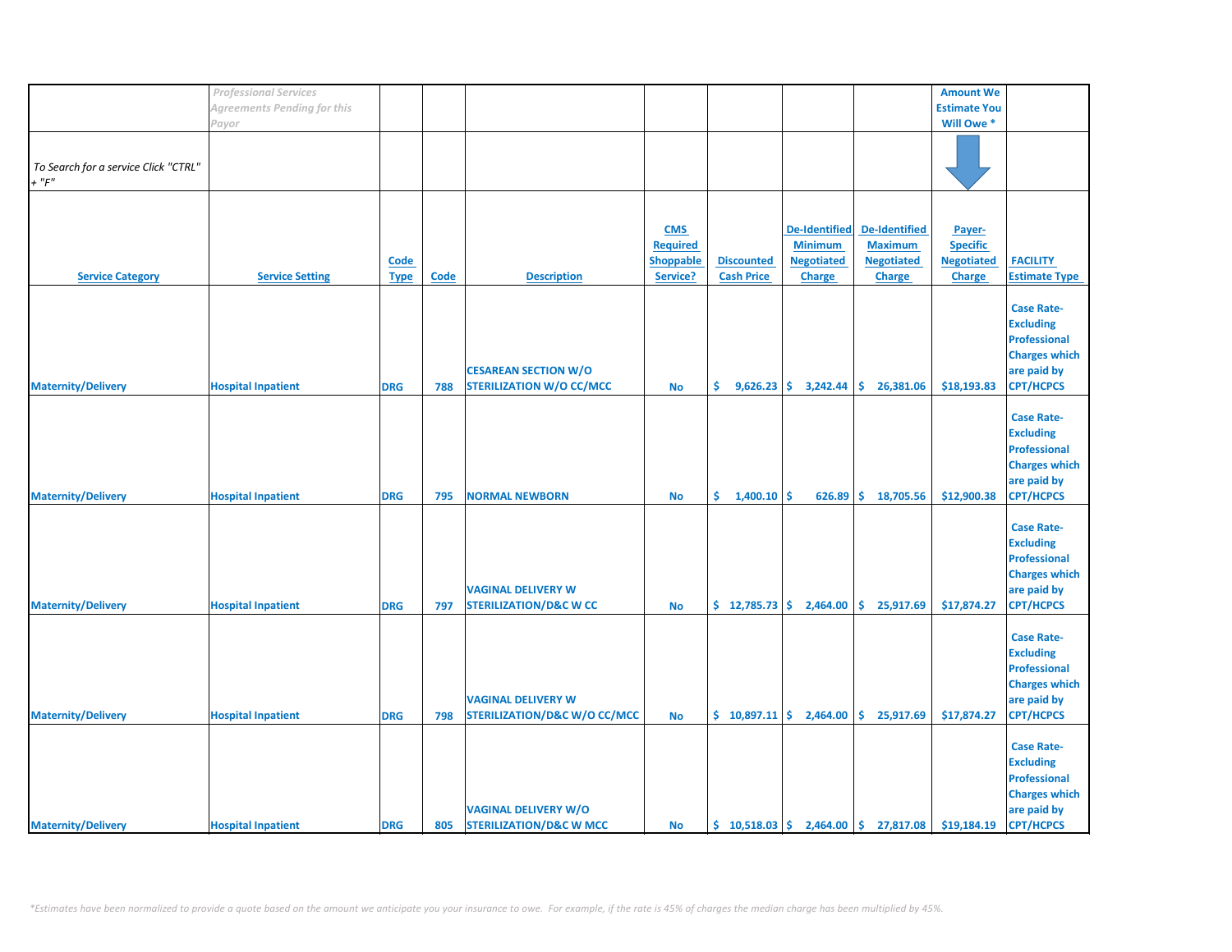|                                      | <b>Professional Services</b> |             |             |                                         |                  |                                                |                        |                                                                            | <b>Amount We</b>    |                      |
|--------------------------------------|------------------------------|-------------|-------------|-----------------------------------------|------------------|------------------------------------------------|------------------------|----------------------------------------------------------------------------|---------------------|----------------------|
|                                      | Agreements Pending for this  |             |             |                                         |                  |                                                |                        |                                                                            | <b>Estimate You</b> |                      |
|                                      | Payor                        |             |             |                                         |                  |                                                |                        |                                                                            | Will Owe *          |                      |
|                                      |                              |             |             |                                         |                  |                                                |                        |                                                                            |                     |                      |
|                                      |                              |             |             |                                         |                  |                                                |                        |                                                                            |                     |                      |
|                                      |                              |             |             |                                         |                  |                                                |                        |                                                                            |                     |                      |
| To Search for a service Click "CTRL" |                              |             |             |                                         |                  |                                                |                        |                                                                            |                     |                      |
| $+$ " $F$ "                          |                              |             |             |                                         |                  |                                                |                        |                                                                            |                     |                      |
|                                      |                              |             |             |                                         |                  |                                                |                        |                                                                            |                     |                      |
|                                      |                              |             |             |                                         |                  |                                                |                        |                                                                            |                     |                      |
|                                      |                              |             |             |                                         |                  |                                                |                        |                                                                            |                     |                      |
|                                      |                              |             |             |                                         | <b>CMS</b>       |                                                | <b>De-Identified</b>   | De-Identified                                                              | Payer-              |                      |
|                                      |                              |             |             |                                         | <b>Required</b>  |                                                | <b>Minimum</b>         | <b>Maximum</b>                                                             | <b>Specific</b>     |                      |
|                                      |                              |             |             |                                         |                  |                                                |                        |                                                                            |                     |                      |
|                                      |                              | Code        |             |                                         | <b>Shoppable</b> | <b>Discounted</b>                              | <b>Negotiated</b>      | <b>Negotiated</b>                                                          | <b>Negotiated</b>   | <b>FACILITY</b>      |
| <b>Service Category</b>              | <b>Service Setting</b>       | <b>Type</b> | <b>Code</b> | <b>Description</b>                      | Service?         | <b>Cash Price</b>                              | <b>Charge</b>          | <b>Charge</b>                                                              | <b>Charge</b>       | <b>Estimate Type</b> |
|                                      |                              |             |             |                                         |                  |                                                |                        |                                                                            |                     |                      |
|                                      |                              |             |             |                                         |                  |                                                |                        |                                                                            |                     |                      |
|                                      |                              |             |             |                                         |                  |                                                |                        |                                                                            |                     | <b>Case Rate-</b>    |
|                                      |                              |             |             |                                         |                  |                                                |                        |                                                                            |                     | <b>Excluding</b>     |
|                                      |                              |             |             |                                         |                  |                                                |                        |                                                                            |                     | <b>Professional</b>  |
|                                      |                              |             |             |                                         |                  |                                                |                        |                                                                            |                     |                      |
|                                      |                              |             |             |                                         |                  |                                                |                        |                                                                            |                     | <b>Charges which</b> |
|                                      |                              |             |             | <b>CESAREAN SECTION W/O</b>             |                  |                                                |                        |                                                                            |                     | are paid by          |
| <b>Maternity/Delivery</b>            | <b>Hospital Inpatient</b>    | <b>DRG</b>  | 788         | <b>STERILIZATION W/O CC/MCC</b>         | No               | \$.                                            | $9,626.23$ \$ 3,242.44 | \$.<br>26,381.06                                                           | \$18,193.83         | <b>CPT/HCPCS</b>     |
|                                      |                              |             |             |                                         |                  |                                                |                        |                                                                            |                     |                      |
|                                      |                              |             |             |                                         |                  |                                                |                        |                                                                            |                     |                      |
|                                      |                              |             |             |                                         |                  |                                                |                        |                                                                            |                     | <b>Case Rate-</b>    |
|                                      |                              |             |             |                                         |                  |                                                |                        |                                                                            |                     | <b>Excluding</b>     |
|                                      |                              |             |             |                                         |                  |                                                |                        |                                                                            |                     |                      |
|                                      |                              |             |             |                                         |                  |                                                |                        |                                                                            |                     | <b>Professional</b>  |
|                                      |                              |             |             |                                         |                  |                                                |                        |                                                                            |                     | <b>Charges which</b> |
|                                      |                              |             |             |                                         |                  |                                                |                        |                                                                            |                     | are paid by          |
|                                      |                              |             |             |                                         |                  |                                                |                        |                                                                            |                     |                      |
| <b>Maternity/Delivery</b>            | <b>Hospital Inpatient</b>    | <b>DRG</b>  | 795         | <b>NORMAL NEWBORN</b>                   | <b>No</b>        | \$1,400.10                                     | \$<br>626.89           | \$.<br>18,705.56                                                           | \$12,900.38         | <b>CPT/HCPCS</b>     |
|                                      |                              |             |             |                                         |                  |                                                |                        |                                                                            |                     |                      |
|                                      |                              |             |             |                                         |                  |                                                |                        |                                                                            |                     | <b>Case Rate-</b>    |
|                                      |                              |             |             |                                         |                  |                                                |                        |                                                                            |                     |                      |
|                                      |                              |             |             |                                         |                  |                                                |                        |                                                                            |                     | <b>Excluding</b>     |
|                                      |                              |             |             |                                         |                  |                                                |                        |                                                                            |                     | Professional         |
|                                      |                              |             |             |                                         |                  |                                                |                        |                                                                            |                     | <b>Charges which</b> |
|                                      |                              |             |             |                                         |                  |                                                |                        |                                                                            |                     |                      |
|                                      |                              |             |             | <b>VAGINAL DELIVERY W</b>               |                  |                                                |                        |                                                                            |                     | are paid by          |
| <b>Maternity/Delivery</b>            | <b>Hospital Inpatient</b>    | <b>DRG</b>  | 797         | <b>STERILIZATION/D&amp;C W CC</b>       | <b>No</b>        | \$12,785.73                                    | 2,464.00               | \$<br>25,917.69                                                            | \$17,874.27         | <b>CPT/HCPCS</b>     |
|                                      |                              |             |             |                                         |                  |                                                |                        |                                                                            |                     |                      |
|                                      |                              |             |             |                                         |                  |                                                |                        |                                                                            |                     |                      |
|                                      |                              |             |             |                                         |                  |                                                |                        |                                                                            |                     | <b>Case Rate-</b>    |
|                                      |                              |             |             |                                         |                  |                                                |                        |                                                                            |                     | <b>Excluding</b>     |
|                                      |                              |             |             |                                         |                  |                                                |                        |                                                                            |                     | <b>Professional</b>  |
|                                      |                              |             |             |                                         |                  |                                                |                        |                                                                            |                     |                      |
|                                      |                              |             |             |                                         |                  |                                                |                        |                                                                            |                     | <b>Charges which</b> |
|                                      |                              |             |             | <b>VAGINAL DELIVERY W</b>               |                  |                                                |                        |                                                                            |                     | are paid by          |
| <b>Maternity/Delivery</b>            | <b>Hospital Inpatient</b>    | <b>DRG</b>  | 798         | <b>STERILIZATION/D&amp;C W/O CC/MCC</b> | <b>No</b>        | $\frac{1}{2}$ 10,897.11 $\frac{1}{2}$ 2,464.00 |                        | \$25,917.69                                                                | \$17,874.27         | <b>CPT/HCPCS</b>     |
|                                      |                              |             |             |                                         |                  |                                                |                        |                                                                            |                     |                      |
|                                      |                              |             |             |                                         |                  |                                                |                        |                                                                            |                     |                      |
|                                      |                              |             |             |                                         |                  |                                                |                        |                                                                            |                     | <b>Case Rate-</b>    |
|                                      |                              |             |             |                                         |                  |                                                |                        |                                                                            |                     | <b>Excluding</b>     |
|                                      |                              |             |             |                                         |                  |                                                |                        |                                                                            |                     |                      |
|                                      |                              |             |             |                                         |                  |                                                |                        |                                                                            |                     | <b>Professional</b>  |
|                                      |                              |             |             |                                         |                  |                                                |                        |                                                                            |                     | <b>Charges which</b> |
|                                      |                              |             |             | <b>VAGINAL DELIVERY W/O</b>             |                  |                                                |                        |                                                                            |                     | are paid by          |
|                                      |                              |             |             |                                         |                  |                                                |                        |                                                                            |                     |                      |
| <b>Maternity/Delivery</b>            | <b>Hospital Inpatient</b>    | <b>DRG</b>  | 805         | <b>STERILIZATION/D&amp;C W MCC</b>      | <b>No</b>        |                                                |                        | $\binom{10}{5}$ 10,518.03 $\binom{2}{1}$ 2,464.00 $\binom{2}{3}$ 27,817.08 | \$19,184.19         | <b>CPT/HCPCS</b>     |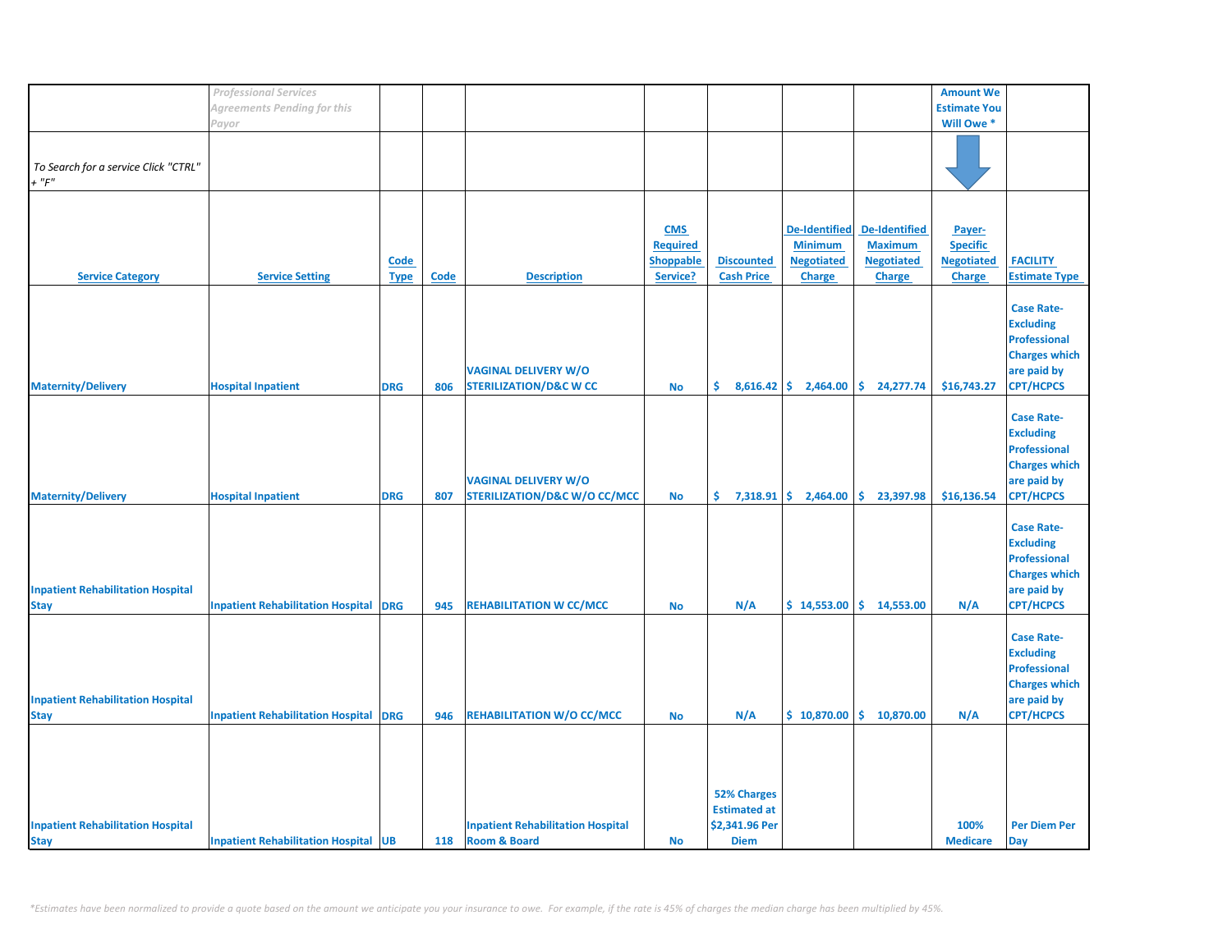|                                          | <b>Professional Services</b>                 |             |             |                                          |            |                     |                        |                      | <b>Amount We</b>    |                      |
|------------------------------------------|----------------------------------------------|-------------|-------------|------------------------------------------|------------|---------------------|------------------------|----------------------|---------------------|----------------------|
|                                          | <b>Agreements Pending for this</b>           |             |             |                                          |            |                     |                        |                      | <b>Estimate You</b> |                      |
|                                          | Payor                                        |             |             |                                          |            |                     |                        |                      | Will Owe *          |                      |
|                                          |                                              |             |             |                                          |            |                     |                        |                      |                     |                      |
|                                          |                                              |             |             |                                          |            |                     |                        |                      |                     |                      |
| To Search for a service Click "CTRL"     |                                              |             |             |                                          |            |                     |                        |                      |                     |                      |
| $+$ " $F$ "                              |                                              |             |             |                                          |            |                     |                        |                      |                     |                      |
|                                          |                                              |             |             |                                          |            |                     |                        |                      |                     |                      |
|                                          |                                              |             |             |                                          |            |                     |                        |                      |                     |                      |
|                                          |                                              |             |             |                                          |            |                     |                        |                      |                     |                      |
|                                          |                                              |             |             |                                          | <b>CMS</b> |                     | <b>De-Identified</b>   | <b>De-Identified</b> | Payer-              |                      |
|                                          |                                              |             |             |                                          | Required   |                     | <b>Minimum</b>         | <b>Maximum</b>       | <b>Specific</b>     |                      |
|                                          |                                              | Code        |             |                                          | Shoppable  | <b>Discounted</b>   | <b>Negotiated</b>      | <b>Negotiated</b>    | <b>Negotiated</b>   | <b>FACILITY</b>      |
|                                          |                                              |             |             |                                          |            |                     |                        |                      |                     |                      |
| <b>Service Category</b>                  | <b>Service Setting</b>                       | <b>Type</b> | <b>Code</b> | <b>Description</b>                       | Service?   | <b>Cash Price</b>   | <b>Charge</b>          | <b>Charge</b>        | <b>Charge</b>       | <b>Estimate Type</b> |
|                                          |                                              |             |             |                                          |            |                     |                        |                      |                     |                      |
|                                          |                                              |             |             |                                          |            |                     |                        |                      |                     | <b>Case Rate-</b>    |
|                                          |                                              |             |             |                                          |            |                     |                        |                      |                     | <b>Excluding</b>     |
|                                          |                                              |             |             |                                          |            |                     |                        |                      |                     | <b>Professional</b>  |
|                                          |                                              |             |             |                                          |            |                     |                        |                      |                     | <b>Charges which</b> |
|                                          |                                              |             |             |                                          |            |                     |                        |                      |                     |                      |
|                                          |                                              |             |             | <b>VAGINAL DELIVERY W/O</b>              |            |                     |                        |                      |                     | are paid by          |
| <b>Maternity/Delivery</b>                | <b>Hospital Inpatient</b>                    | <b>DRG</b>  | 806         | <b>STERILIZATION/D&amp;C W CC</b>        | No         | \$.                 | $8,616.42$ \$ 2,464.00 | \$.<br>24,277.74     | \$16,743.27         | <b>CPT/HCPCS</b>     |
|                                          |                                              |             |             |                                          |            |                     |                        |                      |                     |                      |
|                                          |                                              |             |             |                                          |            |                     |                        |                      |                     | <b>Case Rate-</b>    |
|                                          |                                              |             |             |                                          |            |                     |                        |                      |                     | <b>Excluding</b>     |
|                                          |                                              |             |             |                                          |            |                     |                        |                      |                     | Professional         |
|                                          |                                              |             |             |                                          |            |                     |                        |                      |                     |                      |
|                                          |                                              |             |             |                                          |            |                     |                        |                      |                     | <b>Charges which</b> |
|                                          |                                              |             |             | <b>VAGINAL DELIVERY W/O</b>              |            |                     |                        |                      |                     | are paid by          |
| <b>Maternity/Delivery</b>                | <b>Hospital Inpatient</b>                    | <b>DRG</b>  | 807         | <b>STERILIZATION/D&amp;C W/O CC/MCC</b>  | <b>No</b>  | Ŝ.                  | $7,318.91$ \$ 2,464.00 | \$.<br>23,397.98     | \$16,136.54         | <b>CPT/HCPCS</b>     |
|                                          |                                              |             |             |                                          |            |                     |                        |                      |                     |                      |
|                                          |                                              |             |             |                                          |            |                     |                        |                      |                     | <b>Case Rate-</b>    |
|                                          |                                              |             |             |                                          |            |                     |                        |                      |                     |                      |
|                                          |                                              |             |             |                                          |            |                     |                        |                      |                     | <b>Excluding</b>     |
|                                          |                                              |             |             |                                          |            |                     |                        |                      |                     | <b>Professional</b>  |
|                                          |                                              |             |             |                                          |            |                     |                        |                      |                     | <b>Charges which</b> |
| <b>Inpatient Rehabilitation Hospital</b> |                                              |             |             |                                          |            |                     |                        |                      |                     | are paid by          |
| <b>Stay</b>                              | <b>Inpatient Rehabilitation Hospital</b>     | <b>DRG</b>  | 945         | <b>REHABILITATION W CC/MCC</b>           | <b>No</b>  | N/A                 | \$14,553.00            | \$14,553.00          | N/A                 | <b>CPT/HCPCS</b>     |
|                                          |                                              |             |             |                                          |            |                     |                        |                      |                     |                      |
|                                          |                                              |             |             |                                          |            |                     |                        |                      |                     |                      |
|                                          |                                              |             |             |                                          |            |                     |                        |                      |                     | <b>Case Rate-</b>    |
|                                          |                                              |             |             |                                          |            |                     |                        |                      |                     | <b>Excluding</b>     |
|                                          |                                              |             |             |                                          |            |                     |                        |                      |                     | Professional         |
|                                          |                                              |             |             |                                          |            |                     |                        |                      |                     | <b>Charges which</b> |
| <b>Inpatient Rehabilitation Hospital</b> |                                              |             |             |                                          |            |                     |                        |                      |                     | are paid by          |
| <b>Stay</b>                              | <b>Inpatient Rehabilitation Hospital DRG</b> |             | 946         | <b>REHABILITATION W/O CC/MCC</b>         | <b>No</b>  | N/A                 | \$10,870.00            | \$.<br>10,870.00     | N/A                 | <b>CPT/HCPCS</b>     |
|                                          |                                              |             |             |                                          |            |                     |                        |                      |                     |                      |
|                                          |                                              |             |             |                                          |            |                     |                        |                      |                     |                      |
|                                          |                                              |             |             |                                          |            |                     |                        |                      |                     |                      |
|                                          |                                              |             |             |                                          |            |                     |                        |                      |                     |                      |
|                                          |                                              |             |             |                                          |            |                     |                        |                      |                     |                      |
|                                          |                                              |             |             |                                          |            | 52% Charges         |                        |                      |                     |                      |
|                                          |                                              |             |             |                                          |            | <b>Estimated at</b> |                        |                      |                     |                      |
|                                          |                                              |             |             |                                          |            |                     |                        |                      |                     |                      |
| <b>Inpatient Rehabilitation Hospital</b> |                                              |             |             | <b>Inpatient Rehabilitation Hospital</b> |            | \$2,341.96 Per      |                        |                      | 100%                | <b>Per Diem Per</b>  |
| <b>Stay</b>                              | <b>Inpatient Rehabilitation Hospital UB</b>  |             | 118         | <b>Room &amp; Board</b>                  | <b>No</b>  | <b>Diem</b>         |                        |                      | <b>Medicare</b>     | <b>Day</b>           |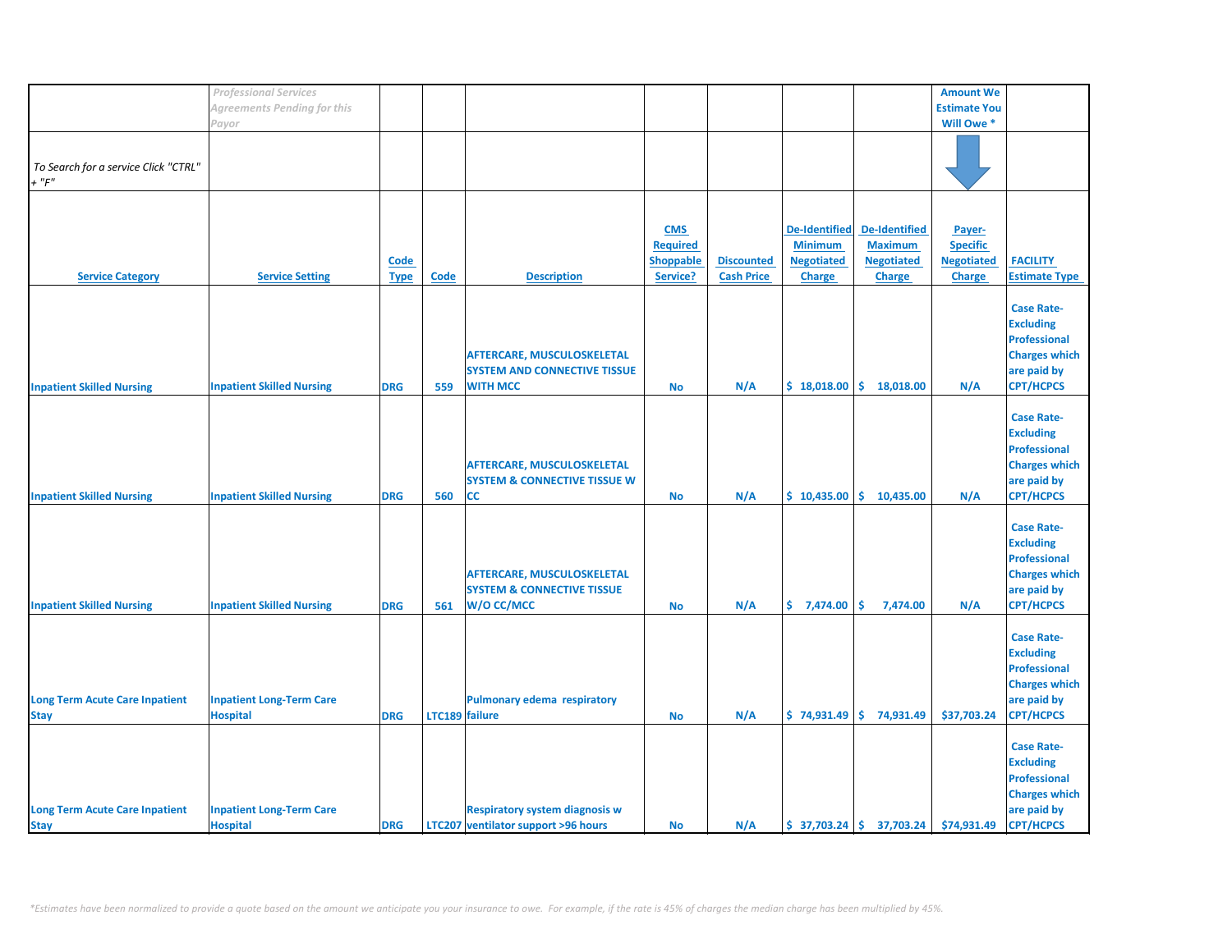|                                       | <b>Professional Services</b>     |             |                |                                         |                  |                   |                      |                               | <b>Amount We</b>    |                      |
|---------------------------------------|----------------------------------|-------------|----------------|-----------------------------------------|------------------|-------------------|----------------------|-------------------------------|---------------------|----------------------|
|                                       | Agreements Pending for this      |             |                |                                         |                  |                   |                      |                               | <b>Estimate You</b> |                      |
|                                       | Payor                            |             |                |                                         |                  |                   |                      |                               | Will Owe *          |                      |
|                                       |                                  |             |                |                                         |                  |                   |                      |                               |                     |                      |
|                                       |                                  |             |                |                                         |                  |                   |                      |                               |                     |                      |
|                                       |                                  |             |                |                                         |                  |                   |                      |                               |                     |                      |
| To Search for a service Click "CTRL"  |                                  |             |                |                                         |                  |                   |                      |                               |                     |                      |
| $+$ " $F$ "                           |                                  |             |                |                                         |                  |                   |                      |                               |                     |                      |
|                                       |                                  |             |                |                                         |                  |                   |                      |                               |                     |                      |
|                                       |                                  |             |                |                                         |                  |                   |                      |                               |                     |                      |
|                                       |                                  |             |                |                                         | <b>CMS</b>       |                   | <b>De-Identified</b> | <b>De-Identified</b>          | Payer-              |                      |
|                                       |                                  |             |                |                                         |                  |                   |                      |                               |                     |                      |
|                                       |                                  |             |                |                                         | <b>Required</b>  |                   | <b>Minimum</b>       | <b>Maximum</b>                | <b>Specific</b>     |                      |
|                                       |                                  | <b>Code</b> |                |                                         | <b>Shoppable</b> | <b>Discounted</b> | <b>Negotiated</b>    | <b>Negotiated</b>             | <b>Negotiated</b>   | <b>FACILITY</b>      |
| <b>Service Category</b>               | <b>Service Setting</b>           | <b>Type</b> | <b>Code</b>    | <b>Description</b>                      | Service?         | <b>Cash Price</b> | <b>Charge</b>        | <b>Charge</b>                 | <b>Charge</b>       | <b>Estimate Type</b> |
|                                       |                                  |             |                |                                         |                  |                   |                      |                               |                     |                      |
|                                       |                                  |             |                |                                         |                  |                   |                      |                               |                     | <b>Case Rate-</b>    |
|                                       |                                  |             |                |                                         |                  |                   |                      |                               |                     | <b>Excluding</b>     |
|                                       |                                  |             |                |                                         |                  |                   |                      |                               |                     |                      |
|                                       |                                  |             |                |                                         |                  |                   |                      |                               |                     | <b>Professional</b>  |
|                                       |                                  |             |                | <b>AFTERCARE, MUSCULOSKELETAL</b>       |                  |                   |                      |                               |                     | <b>Charges which</b> |
|                                       |                                  |             |                | <b>SYSTEM AND CONNECTIVE TISSUE</b>     |                  |                   |                      |                               |                     | are paid by          |
| <b>Inpatient Skilled Nursing</b>      | <b>Inpatient Skilled Nursing</b> | <b>DRG</b>  | 559            | <b>WITH MCC</b>                         | No               | N/A               | \$18,018.00          | \$18,018.00                   | N/A                 | <b>CPT/HCPCS</b>     |
|                                       |                                  |             |                |                                         |                  |                   |                      |                               |                     |                      |
|                                       |                                  |             |                |                                         |                  |                   |                      |                               |                     |                      |
|                                       |                                  |             |                |                                         |                  |                   |                      |                               |                     | <b>Case Rate-</b>    |
|                                       |                                  |             |                |                                         |                  |                   |                      |                               |                     | <b>Excluding</b>     |
|                                       |                                  |             |                |                                         |                  |                   |                      |                               |                     | <b>Professional</b>  |
|                                       |                                  |             |                | AFTERCARE, MUSCULOSKELETAL              |                  |                   |                      |                               |                     | <b>Charges which</b> |
|                                       |                                  |             |                | <b>SYSTEM &amp; CONNECTIVE TISSUE W</b> |                  |                   |                      |                               |                     | are paid by          |
|                                       |                                  |             |                |                                         |                  |                   |                      |                               |                     |                      |
| <b>Inpatient Skilled Nursing</b>      | <b>Inpatient Skilled Nursing</b> | <b>DRG</b>  | 560            | СC                                      | <b>No</b>        | N/A               | \$10,435.00          | \$10,435.00                   | N/A                 | <b>CPT/HCPCS</b>     |
|                                       |                                  |             |                |                                         |                  |                   |                      |                               |                     |                      |
|                                       |                                  |             |                |                                         |                  |                   |                      |                               |                     | <b>Case Rate-</b>    |
|                                       |                                  |             |                |                                         |                  |                   |                      |                               |                     | <b>Excluding</b>     |
|                                       |                                  |             |                |                                         |                  |                   |                      |                               |                     | <b>Professional</b>  |
|                                       |                                  |             |                | AFTERCARE, MUSCULOSKELETAL              |                  |                   |                      |                               |                     | <b>Charges which</b> |
|                                       |                                  |             |                |                                         |                  |                   |                      |                               |                     |                      |
|                                       |                                  |             |                | <b>SYSTEM &amp; CONNECTIVE TISSUE</b>   |                  |                   |                      |                               |                     | are paid by          |
| <b>Inpatient Skilled Nursing</b>      | <b>Inpatient Skilled Nursing</b> | <b>DRG</b>  | 561            | W/O CC/MCC                              | <b>No</b>        | N/A               | \$7,474.00           | \$.<br>7,474.00               | N/A                 | <b>CPT/HCPCS</b>     |
|                                       |                                  |             |                |                                         |                  |                   |                      |                               |                     |                      |
|                                       |                                  |             |                |                                         |                  |                   |                      |                               |                     | <b>Case Rate-</b>    |
|                                       |                                  |             |                |                                         |                  |                   |                      |                               |                     | <b>Excluding</b>     |
|                                       |                                  |             |                |                                         |                  |                   |                      |                               |                     |                      |
|                                       |                                  |             |                |                                         |                  |                   |                      |                               |                     | <b>Professional</b>  |
|                                       |                                  |             |                |                                         |                  |                   |                      |                               |                     | <b>Charges which</b> |
| <b>Long Term Acute Care Inpatient</b> | <b>Inpatient Long-Term Care</b>  |             |                | <b>Pulmonary edema respiratory</b>      |                  |                   |                      |                               |                     | are paid by          |
| <b>Stay</b>                           | <b>Hospital</b>                  | <b>DRG</b>  | LTC189 failure |                                         | <b>No</b>        | N/A               | \$74,931.49          | \$74,931.49                   | \$37,703.24         | <b>CPT/HCPCS</b>     |
|                                       |                                  |             |                |                                         |                  |                   |                      |                               |                     |                      |
|                                       |                                  |             |                |                                         |                  |                   |                      |                               |                     |                      |
|                                       |                                  |             |                |                                         |                  |                   |                      |                               |                     | <b>Case Rate-</b>    |
|                                       |                                  |             |                |                                         |                  |                   |                      |                               |                     | <b>Excluding</b>     |
|                                       |                                  |             |                |                                         |                  |                   |                      |                               |                     | <b>Professional</b>  |
|                                       |                                  |             |                |                                         |                  |                   |                      |                               |                     | <b>Charges which</b> |
| <b>Long Term Acute Care Inpatient</b> | <b>Inpatient Long-Term Care</b>  |             |                | <b>Respiratory system diagnosis w</b>   |                  |                   |                      |                               |                     | are paid by          |
|                                       |                                  |             |                |                                         |                  |                   |                      |                               |                     |                      |
| <b>Stay</b>                           | <b>Hospital</b>                  | <b>DRG</b>  |                | LTC207 ventilator support >96 hours     | <b>No</b>        | N/A               |                      | $$37,703.24 \mid $37,703.24$$ | \$74,931.49         | <b>CPT/HCPCS</b>     |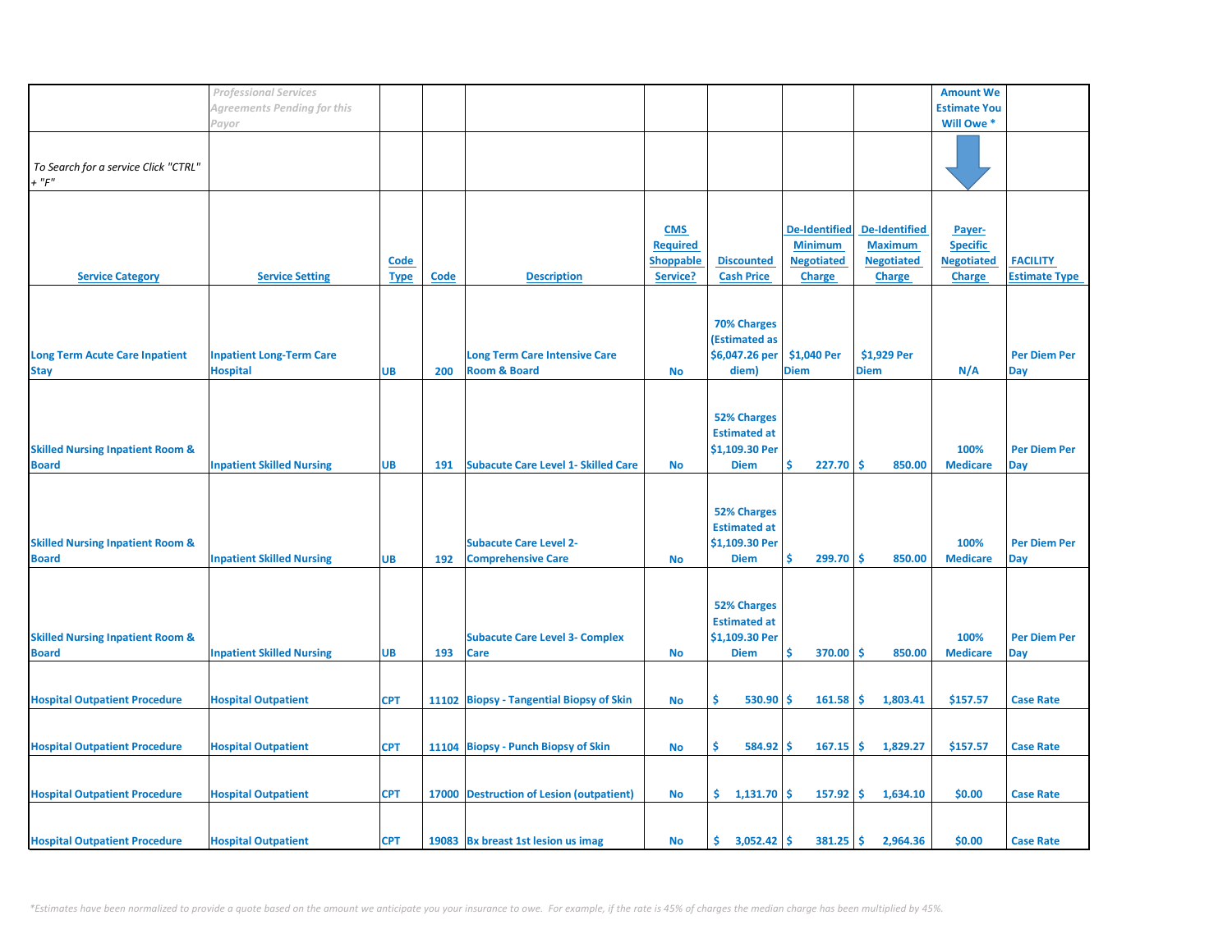|                                             | <b>Professional Services</b>     |             |             |                                            |                  |                     |                      |                      | <b>Amount We</b>    |                      |
|---------------------------------------------|----------------------------------|-------------|-------------|--------------------------------------------|------------------|---------------------|----------------------|----------------------|---------------------|----------------------|
|                                             | Agreements Pending for this      |             |             |                                            |                  |                     |                      |                      | <b>Estimate You</b> |                      |
|                                             |                                  |             |             |                                            |                  |                     |                      |                      | Will Owe *          |                      |
|                                             | Payor                            |             |             |                                            |                  |                     |                      |                      |                     |                      |
|                                             |                                  |             |             |                                            |                  |                     |                      |                      |                     |                      |
| To Search for a service Click "CTRL"        |                                  |             |             |                                            |                  |                     |                      |                      |                     |                      |
| $+$ " $F$ "                                 |                                  |             |             |                                            |                  |                     |                      |                      |                     |                      |
|                                             |                                  |             |             |                                            |                  |                     |                      |                      |                     |                      |
|                                             |                                  |             |             |                                            |                  |                     |                      |                      |                     |                      |
|                                             |                                  |             |             |                                            |                  |                     |                      |                      |                     |                      |
|                                             |                                  |             |             |                                            | <b>CMS</b>       |                     | <b>De-Identified</b> | <b>De-Identified</b> | Payer-              |                      |
|                                             |                                  |             |             |                                            | <b>Required</b>  |                     | <b>Minimum</b>       | <b>Maximum</b>       | <b>Specific</b>     |                      |
|                                             |                                  | <b>Code</b> |             |                                            | <b>Shoppable</b> | <b>Discounted</b>   | <b>Negotiated</b>    | <b>Negotiated</b>    | <b>Negotiated</b>   | <b>FACILITY</b>      |
| <b>Service Category</b>                     | <b>Service Setting</b>           | <b>Type</b> | <b>Code</b> | <b>Description</b>                         | Service?         | <b>Cash Price</b>   | <b>Charge</b>        | <b>Charge</b>        | <b>Charge</b>       | <b>Estimate Type</b> |
|                                             |                                  |             |             |                                            |                  |                     |                      |                      |                     |                      |
|                                             |                                  |             |             |                                            |                  |                     |                      |                      |                     |                      |
|                                             |                                  |             |             |                                            |                  | <b>70% Charges</b>  |                      |                      |                     |                      |
|                                             |                                  |             |             |                                            |                  | (Estimated as       |                      |                      |                     |                      |
|                                             |                                  |             |             |                                            |                  |                     |                      |                      |                     |                      |
| <b>Long Term Acute Care Inpatient</b>       | <b>Inpatient Long-Term Care</b>  |             |             | <b>Long Term Care Intensive Care</b>       |                  | \$6,047.26 per      | \$1,040 Per          | \$1,929 Per          |                     | <b>Per Diem Per</b>  |
| <b>Stay</b>                                 | <b>Hospital</b>                  | <b>UB</b>   | 200         | <b>Room &amp; Board</b>                    | <b>No</b>        | diem)               | <b>Diem</b>          | <b>Diem</b>          | N/A                 | Day                  |
|                                             |                                  |             |             |                                            |                  |                     |                      |                      |                     |                      |
|                                             |                                  |             |             |                                            |                  |                     |                      |                      |                     |                      |
|                                             |                                  |             |             |                                            |                  | <b>52% Charges</b>  |                      |                      |                     |                      |
|                                             |                                  |             |             |                                            |                  | <b>Estimated at</b> |                      |                      |                     |                      |
| <b>Skilled Nursing Inpatient Room &amp;</b> |                                  |             |             |                                            |                  | \$1,109.30 Per      |                      |                      | 100%                | <b>Per Diem Per</b>  |
| <b>Board</b>                                | <b>Inpatient Skilled Nursing</b> | <b>UB</b>   | 191         | <b>Subacute Care Level 1- Skilled Care</b> | <b>No</b>        | <b>Diem</b>         | 227.70<br>Ŝ          | -Ś<br>850.00         | <b>Medicare</b>     | <b>Day</b>           |
|                                             |                                  |             |             |                                            |                  |                     |                      |                      |                     |                      |
|                                             |                                  |             |             |                                            |                  |                     |                      |                      |                     |                      |
|                                             |                                  |             |             |                                            |                  |                     |                      |                      |                     |                      |
|                                             |                                  |             |             |                                            |                  | <b>52% Charges</b>  |                      |                      |                     |                      |
|                                             |                                  |             |             |                                            |                  | <b>Estimated at</b> |                      |                      |                     |                      |
| <b>Skilled Nursing Inpatient Room &amp;</b> |                                  |             |             | <b>Subacute Care Level 2-</b>              |                  | \$1,109.30 Per      |                      |                      | 100%                | <b>Per Diem Per</b>  |
| <b>Board</b>                                | <b>Inpatient Skilled Nursing</b> | <b>UB</b>   | 192         | <b>Comprehensive Care</b>                  | <b>No</b>        | <b>Diem</b>         | Ś<br>299.70          | -\$<br>850.00        | <b>Medicare</b>     | <b>Day</b>           |
|                                             |                                  |             |             |                                            |                  |                     |                      |                      |                     |                      |
|                                             |                                  |             |             |                                            |                  |                     |                      |                      |                     |                      |
|                                             |                                  |             |             |                                            |                  | <b>52% Charges</b>  |                      |                      |                     |                      |
|                                             |                                  |             |             |                                            |                  | <b>Estimated at</b> |                      |                      |                     |                      |
|                                             |                                  |             |             |                                            |                  | \$1,109.30 Per      |                      |                      | 100%                | <b>Per Diem Per</b>  |
| <b>Skilled Nursing Inpatient Room &amp;</b> |                                  |             |             | <b>Subacute Care Level 3- Complex</b>      |                  |                     | Ś                    |                      |                     |                      |
| <b>Board</b>                                | <b>Inpatient Skilled Nursing</b> | <b>UB</b>   | 193         | Care                                       | No               | <b>Diem</b>         | 370.00               | <b>S</b><br>850.00   | <b>Medicare</b>     | Day                  |
|                                             |                                  |             |             |                                            |                  |                     |                      |                      |                     |                      |
|                                             |                                  |             |             |                                            |                  |                     |                      |                      |                     |                      |
| <b>Hospital Outpatient Procedure</b>        | <b>Hospital Outpatient</b>       | <b>CPT</b>  |             | 11102 Biopsy - Tangential Biopsy of Skin   | <b>No</b>        | Ŝ.<br>530.90        | 161.58<br><b>S</b>   | -\$<br>1,803.41      | \$157.57            | <b>Case Rate</b>     |
|                                             |                                  |             |             |                                            |                  |                     |                      |                      |                     |                      |
|                                             |                                  |             |             |                                            |                  |                     |                      |                      |                     |                      |
| <b>Hospital Outpatient Procedure</b>        | <b>Hospital Outpatient</b>       | <b>CPT</b>  |             | 11104 Biopsy - Punch Biopsy of Skin        | <b>No</b>        | Ŝ.<br>584.92        | 167.15<br>-\$        | \$<br>1,829.27       | \$157.57            | <b>Case Rate</b>     |
|                                             |                                  |             |             |                                            |                  |                     |                      |                      |                     |                      |
|                                             |                                  |             |             |                                            |                  |                     |                      |                      |                     |                      |
| <b>Hospital Outpatient Procedure</b>        | <b>Hospital Outpatient</b>       | <b>CPT</b>  |             | 17000 Destruction of Lesion (outpatient)   | No               | \$1,131.70          | 157.92<br>\$.        | Ŝ.<br>1,634.10       | \$0.00              | <b>Case Rate</b>     |
|                                             |                                  |             |             |                                            |                  |                     |                      |                      |                     |                      |
|                                             |                                  |             |             |                                            |                  |                     |                      |                      |                     |                      |
|                                             |                                  |             |             |                                            |                  |                     |                      |                      |                     |                      |
| <b>Hospital Outpatient Procedure</b>        | <b>Hospital Outpatient</b>       | <b>CPT</b>  |             | 19083 Bx breast 1st lesion us imag         | No               | \$.<br>3,052.42     | -\$<br>381.25        | \$<br>2,964.36       | \$0.00              | <b>Case Rate</b>     |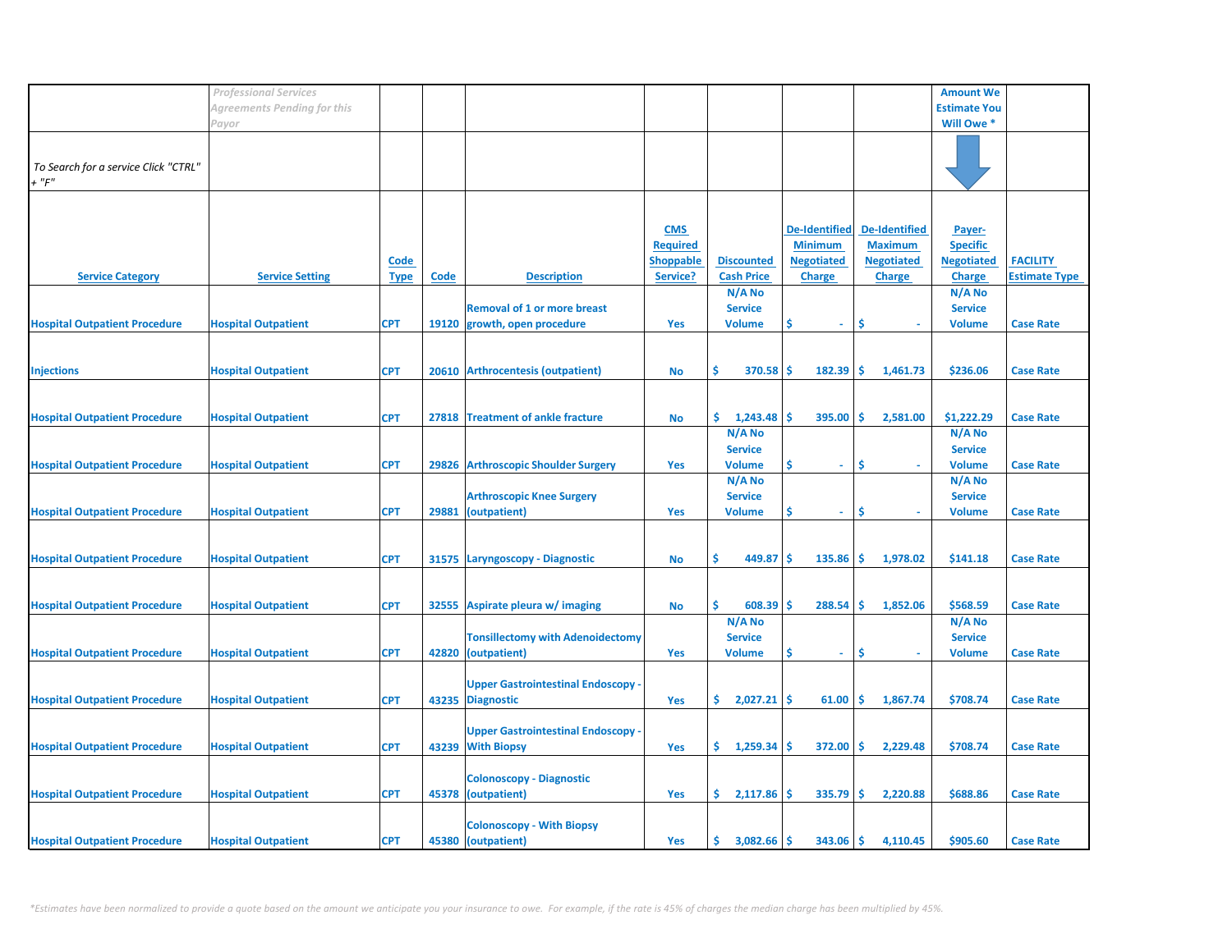|                                      | <b>Professional Services</b> |             |       |                                           |                  |                   |                      |                      | <b>Amount We</b>    |                      |
|--------------------------------------|------------------------------|-------------|-------|-------------------------------------------|------------------|-------------------|----------------------|----------------------|---------------------|----------------------|
|                                      | Agreements Pending for this  |             |       |                                           |                  |                   |                      |                      | <b>Estimate You</b> |                      |
|                                      |                              |             |       |                                           |                  |                   |                      |                      |                     |                      |
|                                      | Payor                        |             |       |                                           |                  |                   |                      |                      | Will Owe *          |                      |
|                                      |                              |             |       |                                           |                  |                   |                      |                      |                     |                      |
| To Search for a service Click "CTRL" |                              |             |       |                                           |                  |                   |                      |                      |                     |                      |
| $+$ " $F$ "                          |                              |             |       |                                           |                  |                   |                      |                      |                     |                      |
|                                      |                              |             |       |                                           |                  |                   |                      |                      |                     |                      |
|                                      |                              |             |       |                                           |                  |                   |                      |                      |                     |                      |
|                                      |                              |             |       |                                           |                  |                   |                      |                      |                     |                      |
|                                      |                              |             |       |                                           | <b>CMS</b>       |                   | <b>De-Identified</b> | <b>De-Identified</b> | Payer-              |                      |
|                                      |                              |             |       |                                           | <b>Required</b>  |                   | <b>Minimum</b>       | <b>Maximum</b>       | <b>Specific</b>     |                      |
|                                      |                              | Code        |       |                                           | <b>Shoppable</b> | <b>Discounted</b> | <b>Negotiated</b>    | <b>Negotiated</b>    | <b>Negotiated</b>   | <b>FACILITY</b>      |
| <b>Service Category</b>              | <b>Service Setting</b>       | <b>Type</b> | Code  | <b>Description</b>                        | Service?         | <b>Cash Price</b> | <b>Charge</b>        | <b>Charge</b>        | <b>Charge</b>       | <b>Estimate Type</b> |
|                                      |                              |             |       |                                           |                  | N/A No            |                      |                      | N/A No              |                      |
|                                      |                              |             |       | <b>Removal of 1 or more breast</b>        |                  | <b>Service</b>    |                      |                      | <b>Service</b>      |                      |
| <b>Hospital Outpatient Procedure</b> | <b>Hospital Outpatient</b>   | <b>CPT</b>  |       | 19120 growth, open procedure              | Yes              | <b>Volume</b>     | \$<br>$\omega$ .     | \$                   | <b>Volume</b>       | <b>Case Rate</b>     |
|                                      |                              |             |       |                                           |                  |                   |                      |                      |                     |                      |
|                                      |                              |             |       |                                           |                  |                   |                      |                      |                     |                      |
|                                      |                              |             |       |                                           |                  |                   |                      |                      |                     |                      |
| <b>Injections</b>                    | <b>Hospital Outpatient</b>   | <b>CPT</b>  |       | 20610 Arthrocentesis (outpatient)         | No               | 370.58<br>\$      | <b>S</b><br>182.39   | -\$<br>1,461.73      | \$236.06            | <b>Case Rate</b>     |
|                                      |                              |             |       |                                           |                  |                   |                      |                      |                     |                      |
|                                      |                              |             |       |                                           |                  |                   |                      |                      |                     |                      |
| <b>Hospital Outpatient Procedure</b> | <b>Hospital Outpatient</b>   | <b>CPT</b>  |       | 27818 Treatment of ankle fracture         | <b>No</b>        | \$.<br>1,243.48   | 395.00<br>\$.        | Ŝ.<br>2,581.00       | \$1,222.29          | <b>Case Rate</b>     |
|                                      |                              |             |       |                                           |                  | N/A No            |                      |                      | N/A No              |                      |
|                                      |                              |             |       |                                           |                  | <b>Service</b>    |                      |                      | <b>Service</b>      |                      |
| <b>Hospital Outpatient Procedure</b> | <b>Hospital Outpatient</b>   | <b>CPT</b>  |       | 29826 Arthroscopic Shoulder Surgery       | Yes              | <b>Volume</b>     | \$<br>$\omega$       | Ś                    | <b>Volume</b>       | <b>Case Rate</b>     |
|                                      |                              |             |       |                                           |                  | N/A No            |                      |                      | N/A No              |                      |
|                                      |                              |             |       | <b>Arthroscopic Knee Surgery</b>          |                  | <b>Service</b>    |                      |                      | <b>Service</b>      |                      |
| <b>Hospital Outpatient Procedure</b> | <b>Hospital Outpatient</b>   | <b>CPT</b>  | 29881 | (outpatient)                              | Yes              | <b>Volume</b>     | Ś<br>$\sim$          | \$                   | <b>Volume</b>       | <b>Case Rate</b>     |
|                                      |                              |             |       |                                           |                  |                   |                      |                      |                     |                      |
|                                      |                              |             |       |                                           |                  |                   |                      |                      |                     |                      |
|                                      |                              |             |       |                                           |                  | Ŝ.                |                      |                      |                     |                      |
| <b>Hospital Outpatient Procedure</b> | <b>Hospital Outpatient</b>   | <b>CPT</b>  |       | 31575 Laryngoscopy - Diagnostic           | <b>No</b>        | 449.87            | 135.86<br>\$.        | \$<br>1,978.02       | \$141.18            | <b>Case Rate</b>     |
|                                      |                              |             |       |                                           |                  |                   |                      |                      |                     |                      |
|                                      |                              |             |       |                                           |                  |                   |                      |                      |                     |                      |
| <b>Hospital Outpatient Procedure</b> | <b>Hospital Outpatient</b>   | <b>CPT</b>  |       | 32555 Aspirate pleura w/ imaging          | No               | Ŝ.<br>608.39      | 288.54<br>-S         | Ŝ.<br>1,852.06       | \$568.59            | <b>Case Rate</b>     |
|                                      |                              |             |       |                                           |                  | N/A No            |                      |                      | N/A No              |                      |
|                                      |                              |             |       | <b>Tonsillectomy with Adenoidectomy</b>   |                  | <b>Service</b>    |                      |                      | <b>Service</b>      |                      |
| <b>Hospital Outpatient Procedure</b> | <b>Hospital Outpatient</b>   | <b>CPT</b>  |       | 42820 (outpatient)                        | Yes              | <b>Volume</b>     | Ś<br>$\omega$        | \$                   | <b>Volume</b>       | <b>Case Rate</b>     |
|                                      |                              |             |       |                                           |                  |                   |                      |                      |                     |                      |
|                                      |                              |             |       | <b>Upper Gastrointestinal Endoscopy -</b> |                  |                   |                      |                      |                     |                      |
| <b>Hospital Outpatient Procedure</b> | <b>Hospital Outpatient</b>   | <b>CPT</b>  |       | 43235 Diagnostic                          | Yes              | \$.<br>2,027.21   | 61.00<br>\$.         | \$<br>1,867.74       | \$708.74            | <b>Case Rate</b>     |
|                                      |                              |             |       |                                           |                  |                   |                      |                      |                     |                      |
|                                      |                              |             |       | <b>Upper Gastrointestinal Endoscopy -</b> |                  |                   |                      |                      |                     |                      |
| <b>Hospital Outpatient Procedure</b> | <b>Hospital Outpatient</b>   | <b>CPT</b>  |       | 43239 With Biopsy                         | Yes              | 1,259.34<br>\$.   | 372.00<br>-S         | \$.<br>2,229.48      | \$708.74            | <b>Case Rate</b>     |
|                                      |                              |             |       |                                           |                  |                   |                      |                      |                     |                      |
|                                      |                              |             |       |                                           |                  |                   |                      |                      |                     |                      |
|                                      |                              |             |       | <b>Colonoscopy - Diagnostic</b>           |                  |                   |                      |                      |                     |                      |
| <b>Hospital Outpatient Procedure</b> | <b>Hospital Outpatient</b>   | <b>CPT</b>  |       | 45378 (outpatient)                        | Yes              | \$.<br>2,117.86   | \$<br>335.79         | \$<br>2,220.88       | \$688.86            | <b>Case Rate</b>     |
|                                      |                              |             |       |                                           |                  |                   |                      |                      |                     |                      |
|                                      |                              |             |       | <b>Colonoscopy - With Biopsy</b>          |                  |                   |                      |                      |                     |                      |
| <b>Hospital Outpatient Procedure</b> | <b>Hospital Outpatient</b>   | <b>CPT</b>  |       | 45380 (outpatient)                        | <b>Yes</b>       | 3,082.66<br>\$.   | Ŝ.<br>343.06         | Ś.<br>4,110.45       | \$905.60            | <b>Case Rate</b>     |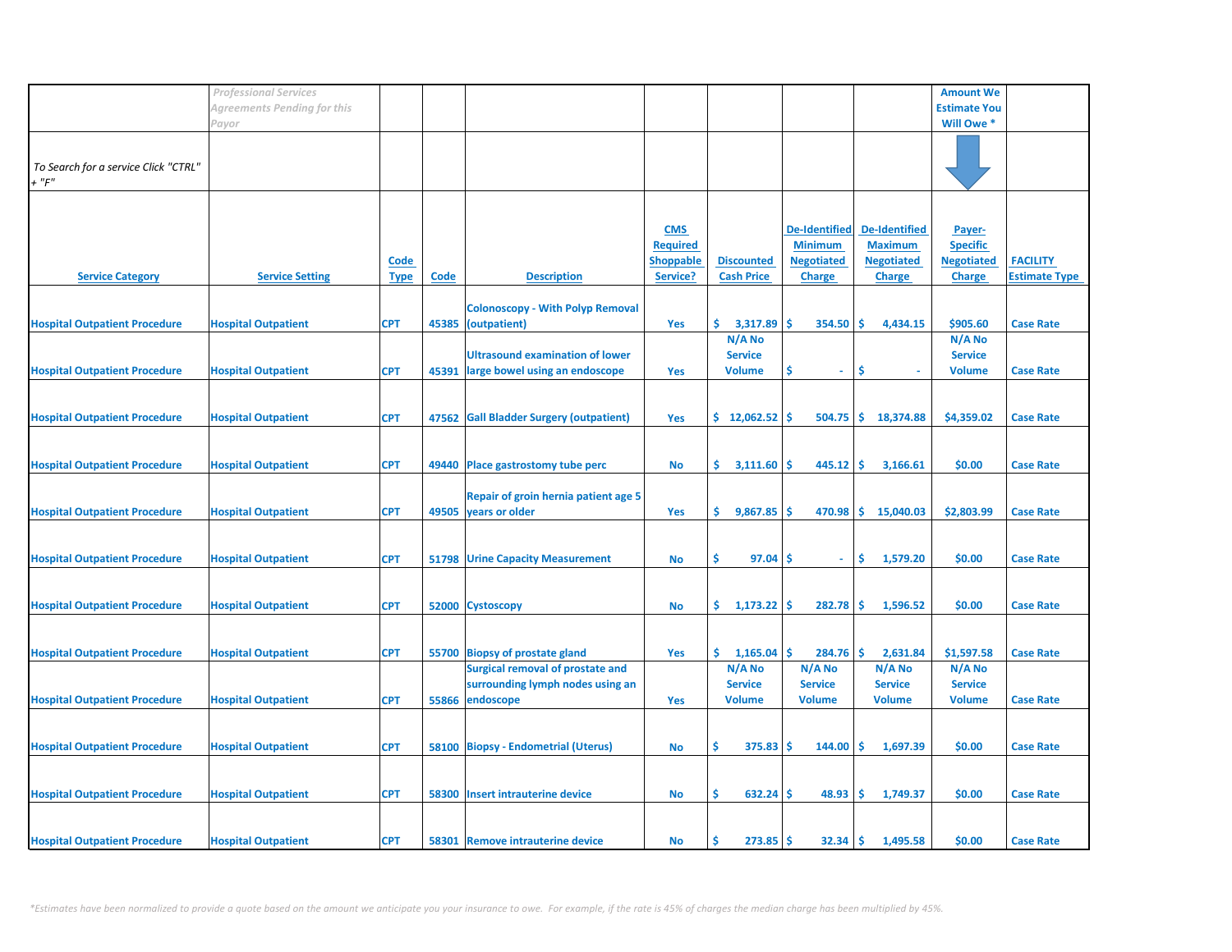|                                                 | <b>Professional Services</b> |                            |       |                                                                             |                                                               |                                           |                                                                              |                                                                              | <b>Amount We</b>                                                |                                         |
|-------------------------------------------------|------------------------------|----------------------------|-------|-----------------------------------------------------------------------------|---------------------------------------------------------------|-------------------------------------------|------------------------------------------------------------------------------|------------------------------------------------------------------------------|-----------------------------------------------------------------|-----------------------------------------|
|                                                 | Agreements Pending for this  |                            |       |                                                                             |                                                               |                                           |                                                                              |                                                                              | <b>Estimate You</b>                                             |                                         |
|                                                 | Payor                        |                            |       |                                                                             |                                                               |                                           |                                                                              |                                                                              | Will Owe *                                                      |                                         |
| To Search for a service Click "CTRL"<br>$+$ "F" |                              |                            |       |                                                                             |                                                               |                                           |                                                                              |                                                                              |                                                                 |                                         |
| <b>Service Category</b>                         | <b>Service Setting</b>       | <b>Code</b><br><b>Type</b> | Code  | <b>Description</b>                                                          | <b>CMS</b><br><b>Required</b><br><b>Shoppable</b><br>Service? | <b>Discounted</b><br><b>Cash Price</b>    | <b>De-Identified</b><br><b>Minimum</b><br><b>Negotiated</b><br><b>Charge</b> | <b>De-Identified</b><br><b>Maximum</b><br><b>Negotiated</b><br><b>Charge</b> | Payer-<br><b>Specific</b><br><b>Negotiated</b><br><b>Charge</b> | <b>FACILITY</b><br><b>Estimate Type</b> |
|                                                 |                              |                            |       |                                                                             |                                                               |                                           |                                                                              |                                                                              |                                                                 |                                         |
| <b>Hospital Outpatient Procedure</b>            | <b>Hospital Outpatient</b>   | <b>CPT</b>                 |       | <b>Colonoscopy - With Polyp Removal</b><br>45385 (outpatient)               | Yes                                                           | \$.<br>3,317.89                           | $354.50$ \$<br>l \$                                                          | 4,434.15                                                                     | \$905.60                                                        | <b>Case Rate</b>                        |
| <b>Hospital Outpatient Procedure</b>            | <b>Hospital Outpatient</b>   | <b>CPT</b>                 | 45391 | <b>Ultrasound examination of lower</b><br>large bowel using an endoscope    | Yes                                                           | N/A No<br><b>Service</b><br><b>Volume</b> | Ŝ<br>$\sim$                                                                  | -\$                                                                          | N/A No<br><b>Service</b><br><b>Volume</b>                       | <b>Case Rate</b>                        |
|                                                 |                              |                            |       |                                                                             |                                                               |                                           |                                                                              |                                                                              |                                                                 |                                         |
| <b>Hospital Outpatient Procedure</b>            | <b>Hospital Outpatient</b>   | <b>CPT</b>                 |       | 47562 Gall Bladder Surgery (outpatient)                                     | <b>Yes</b>                                                    | \$12,062.52                               | $504.75$ $\frac{1}{5}$                                                       | 18,374.88                                                                    | \$4,359.02                                                      | <b>Case Rate</b>                        |
| <b>Hospital Outpatient Procedure</b>            | <b>Hospital Outpatient</b>   | <b>CPT</b>                 |       | 49440 Place gastrostomy tube perc                                           | No                                                            | \$.<br>3,111.60                           | $445.12$ \$<br>۱\$                                                           | 3,166.61                                                                     | \$0.00                                                          | <b>Case Rate</b>                        |
| <b>Hospital Outpatient Procedure</b>            | <b>Hospital Outpatient</b>   | <b>CPT</b>                 |       | Repair of groin hernia patient age 5<br>49505 years or older                | <b>Yes</b>                                                    | 9,867.85<br>\$.                           | l \$                                                                         | $470.98$ \$ 15,040.03                                                        | \$2,803.99                                                      | <b>Case Rate</b>                        |
|                                                 |                              |                            |       |                                                                             |                                                               |                                           |                                                                              |                                                                              |                                                                 |                                         |
| <b>Hospital Outpatient Procedure</b>            | <b>Hospital Outpatient</b>   | <b>CPT</b>                 |       | <b>51798 Urine Capacity Measurement</b>                                     | No                                                            | 97.04<br>\$.                              | .S<br>÷                                                                      | \$<br>1,579.20                                                               | \$0.00                                                          | <b>Case Rate</b>                        |
| <b>Hospital Outpatient Procedure</b>            | <b>Hospital Outpatient</b>   | <b>CPT</b>                 |       | 52000 Cystoscopy                                                            | <b>No</b>                                                     | \$.<br>1,173.22                           | 282.78<br>۱\$                                                                | 1,596.52<br>١\$                                                              | \$0.00                                                          | <b>Case Rate</b>                        |
| <b>Hospital Outpatient Procedure</b>            | <b>Hospital Outpatient</b>   | <b>CPT</b>                 |       | 55700 Biopsy of prostate gland                                              | Yes                                                           | \$.<br>1,165.04                           | $284.76$ \$<br>-S                                                            | 2,631.84                                                                     | \$1,597.58                                                      | <b>Case Rate</b>                        |
|                                                 |                              |                            |       | <b>Surgical removal of prostate and</b><br>surrounding lymph nodes using an |                                                               | N/A No<br><b>Service</b>                  | N/A No<br><b>Service</b>                                                     | N/A No<br><b>Service</b>                                                     | N/A No<br><b>Service</b>                                        |                                         |
| <b>Hospital Outpatient Procedure</b>            | <b>Hospital Outpatient</b>   | <b>CPT</b>                 | 55866 | endoscope                                                                   | <b>Yes</b>                                                    | <b>Volume</b>                             | <b>Volume</b>                                                                | <b>Volume</b>                                                                | <b>Volume</b>                                                   | <b>Case Rate</b>                        |
| <b>Hospital Outpatient Procedure</b>            | <b>Hospital Outpatient</b>   | <b>CPT</b>                 |       | 58100 Biopsy - Endometrial (Uterus)                                         | No                                                            | \$<br>$375.83$ \$                         | $144.00$ \$                                                                  | 1,697.39                                                                     | \$0.00                                                          | <b>Case Rate</b>                        |
| <b>Hospital Outpatient Procedure</b>            | <b>Hospital Outpatient</b>   | <b>CPT</b>                 | 58300 | <b>Insert intrauterine device</b>                                           | No                                                            | \$.<br>$632.24$ \$                        | 48.93                                                                        | ا \$<br>1,749.37                                                             | \$0.00                                                          | <b>Case Rate</b>                        |
| <b>Hospital Outpatient Procedure</b>            | <b>Hospital Outpatient</b>   | <b>CPT</b>                 |       | 58301 Remove intrauterine device                                            | No                                                            | $273.85$ \$<br>s                          | $32.34 \, \text{S}$                                                          | 1,495.58                                                                     | \$0.00                                                          | <b>Case Rate</b>                        |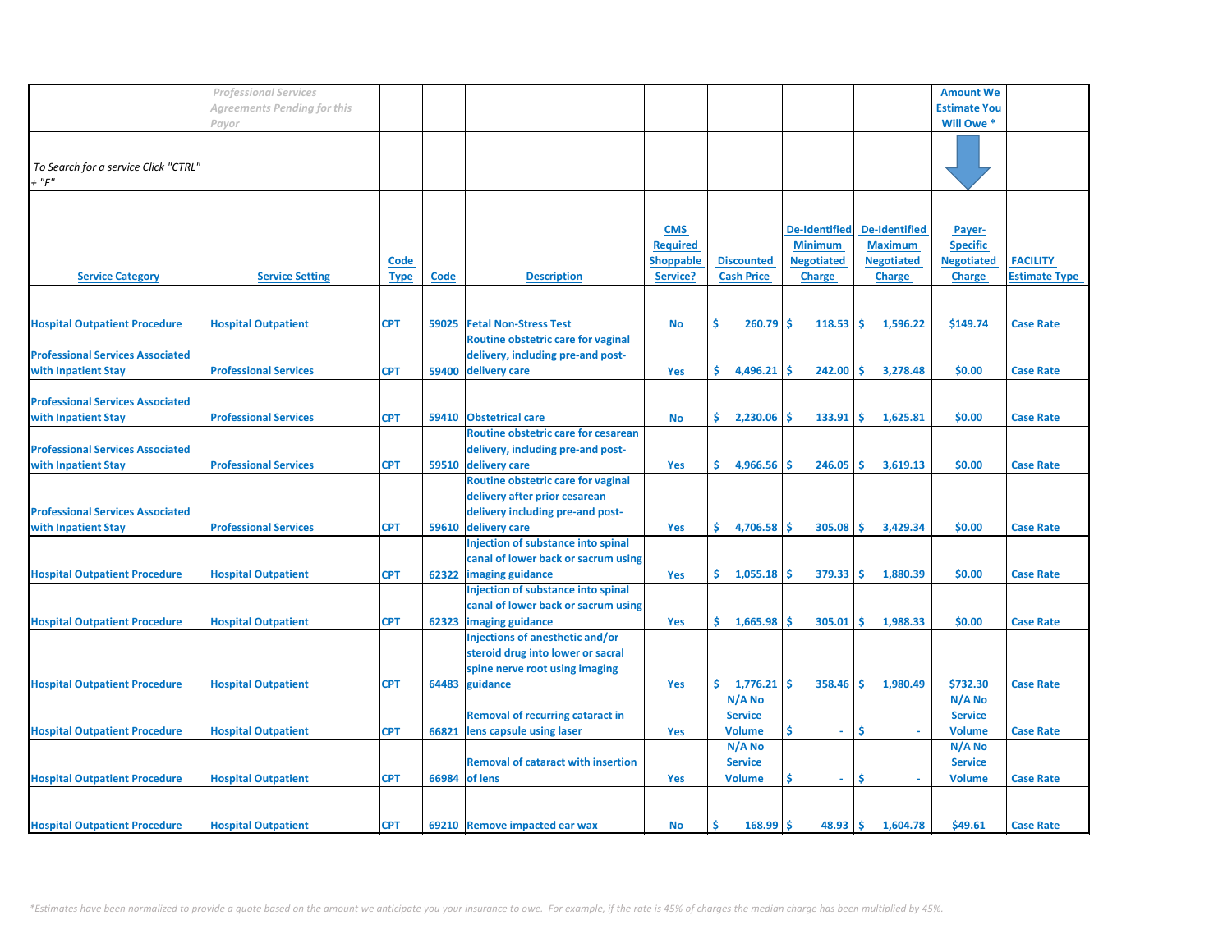|                                         | <b>Professional Services</b> |             |       |                                           |                  |                   |                      |                      | <b>Amount We</b>    |                      |
|-----------------------------------------|------------------------------|-------------|-------|-------------------------------------------|------------------|-------------------|----------------------|----------------------|---------------------|----------------------|
|                                         | Agreements Pending for this  |             |       |                                           |                  |                   |                      |                      | <b>Estimate You</b> |                      |
|                                         | Payor                        |             |       |                                           |                  |                   |                      |                      | Will Owe *          |                      |
|                                         |                              |             |       |                                           |                  |                   |                      |                      |                     |                      |
|                                         |                              |             |       |                                           |                  |                   |                      |                      |                     |                      |
| To Search for a service Click "CTRL"    |                              |             |       |                                           |                  |                   |                      |                      |                     |                      |
| + "F"                                   |                              |             |       |                                           |                  |                   |                      |                      |                     |                      |
|                                         |                              |             |       |                                           |                  |                   |                      |                      |                     |                      |
|                                         |                              |             |       |                                           |                  |                   |                      |                      |                     |                      |
|                                         |                              |             |       |                                           | <b>CMS</b>       |                   | <b>De-Identified</b> | <b>De-Identified</b> | Payer-              |                      |
|                                         |                              |             |       |                                           | <b>Required</b>  |                   | <b>Minimum</b>       | <b>Maximum</b>       | <b>Specific</b>     |                      |
|                                         |                              | Code        |       |                                           | <b>Shoppable</b> | <b>Discounted</b> | <b>Negotiated</b>    | <b>Negotiated</b>    | <b>Negotiated</b>   | <b>FACILITY</b>      |
| <b>Service Category</b>                 | <b>Service Setting</b>       | <b>Type</b> | Code  | <b>Description</b>                        | Service?         | <b>Cash Price</b> | <b>Charge</b>        | <b>Charge</b>        | <b>Charge</b>       | <b>Estimate Type</b> |
|                                         |                              |             |       |                                           |                  |                   |                      |                      |                     |                      |
|                                         |                              |             |       |                                           |                  |                   |                      |                      |                     |                      |
| <b>Hospital Outpatient Procedure</b>    | <b>Hospital Outpatient</b>   | <b>CPT</b>  | 59025 | <b>Fetal Non-Stress Test</b>              | <b>No</b>        | \$<br>260.79      | Ŝ<br>118.53          | l\$<br>1,596.22      | \$149.74            | <b>Case Rate</b>     |
|                                         |                              |             |       | Routine obstetric care for vaginal        |                  |                   |                      |                      |                     |                      |
| <b>Professional Services Associated</b> |                              |             |       | delivery, including pre-and post-         |                  |                   |                      |                      |                     |                      |
| with Inpatient Stay                     | <b>Professional Services</b> | <b>CPT</b>  | 59400 | delivery care                             | <b>Yes</b>       | \$<br>4,496.21    | 242.00<br>-S         | \$.<br>3,278.48      | \$0.00              | <b>Case Rate</b>     |
|                                         |                              |             |       |                                           |                  |                   |                      |                      |                     |                      |
| <b>Professional Services Associated</b> |                              |             |       |                                           |                  |                   |                      |                      |                     |                      |
| with Inpatient Stay                     | <b>Professional Services</b> | <b>CPT</b>  | 59410 | <b>Obstetrical care</b>                   | No               | \$.<br>2,230.06   | \$<br>133.91         | -\$<br>1,625.81      | \$0.00              | <b>Case Rate</b>     |
|                                         |                              |             |       | Routine obstetric care for cesarean       |                  |                   |                      |                      |                     |                      |
| <b>Professional Services Associated</b> |                              |             |       | delivery, including pre-and post-         |                  |                   |                      |                      |                     |                      |
| with Inpatient Stay                     | <b>Professional Services</b> | <b>CPT</b>  |       | 59510 delivery care                       | <b>Yes</b>       | \$.<br>4,966.56   | Ŝ<br>246.05          | Ŝ.<br>3,619.13       | \$0.00              | <b>Case Rate</b>     |
|                                         |                              |             |       | Routine obstetric care for vaginal        |                  |                   |                      |                      |                     |                      |
|                                         |                              |             |       | delivery after prior cesarean             |                  |                   |                      |                      |                     |                      |
| <b>Professional Services Associated</b> |                              |             |       | delivery including pre-and post-          |                  |                   |                      |                      |                     |                      |
| with Inpatient Stay                     | <b>Professional Services</b> | <b>CPT</b>  |       | 59610 delivery care                       | <b>Yes</b>       | \$.<br>4,706.58   | Š.<br>305.08         | Ŝ.<br>3,429.34       | \$0.00              | <b>Case Rate</b>     |
|                                         |                              |             |       | Injection of substance into spinal        |                  |                   |                      |                      |                     |                      |
|                                         |                              |             |       | canal of lower back or sacrum using       |                  |                   |                      |                      |                     |                      |
| <b>Hospital Outpatient Procedure</b>    | <b>Hospital Outpatient</b>   | <b>CPT</b>  | 62322 | imaging guidance                          | Yes              | \$.<br>1,055.18   | 379.33<br>-S         | \$ ا<br>1,880.39     | \$0.00              | <b>Case Rate</b>     |
|                                         |                              |             |       | Injection of substance into spinal        |                  |                   |                      |                      |                     |                      |
|                                         |                              |             |       | canal of lower back or sacrum using       |                  |                   |                      |                      |                     |                      |
| <b>Hospital Outpatient Procedure</b>    | <b>Hospital Outpatient</b>   | <b>CPT</b>  | 62323 | imaging guidance                          | Yes              | \$.<br>1,665.98   | -Ś<br>305.01         | \$.<br>1,988.33      | \$0.00              | <b>Case Rate</b>     |
|                                         |                              |             |       | Injections of anesthetic and/or           |                  |                   |                      |                      |                     |                      |
|                                         |                              |             |       | steroid drug into lower or sacral         |                  |                   |                      |                      |                     |                      |
|                                         |                              |             |       | spine nerve root using imaging            |                  |                   |                      |                      |                     |                      |
| <b>Hospital Outpatient Procedure</b>    | <b>Hospital Outpatient</b>   | <b>CPT</b>  |       | 64483 guidance                            | Yes              | \$<br>1,776.21    | $358.46$ \$<br>-\$   | 1,980.49             | \$732.30            | <b>Case Rate</b>     |
|                                         |                              |             |       |                                           |                  | N/A No            |                      |                      | N/A No              |                      |
|                                         |                              |             |       | <b>Removal of recurring cataract in</b>   |                  | <b>Service</b>    |                      |                      | <b>Service</b>      |                      |
| <b>Hospital Outpatient Procedure</b>    | <b>Hospital Outpatient</b>   | <b>CPT</b>  |       | lens capsule using laser                  |                  | <b>Volume</b>     | Ŝ<br>$\omega$        | Ś.<br>÷.             | <b>Volume</b>       | <b>Case Rate</b>     |
|                                         |                              |             | 66821 |                                           | Yes              | N/A No            |                      |                      | N/A No              |                      |
|                                         |                              |             |       | <b>Removal of cataract with insertion</b> |                  |                   |                      |                      | <b>Service</b>      |                      |
|                                         |                              |             |       |                                           |                  | <b>Service</b>    | Ś                    |                      |                     |                      |
| <b>Hospital Outpatient Procedure</b>    | <b>Hospital Outpatient</b>   | <b>CPT</b>  | 66984 | of lens                                   | <b>Yes</b>       | <b>Volume</b>     | $\sim$               | \$                   | <b>Volume</b>       | <b>Case Rate</b>     |
|                                         |                              |             |       |                                           |                  |                   |                      |                      |                     |                      |
|                                         |                              |             |       |                                           |                  |                   |                      |                      |                     |                      |
| <b>Hospital Outpatient Procedure</b>    | <b>Hospital Outpatient</b>   | <b>CPT</b>  |       | 69210 Remove impacted ear wax             | <b>No</b>        | Ś.<br>$168.99$ \$ | 48.93                | ۱\$.<br>1,604.78     | \$49.61             | <b>Case Rate</b>     |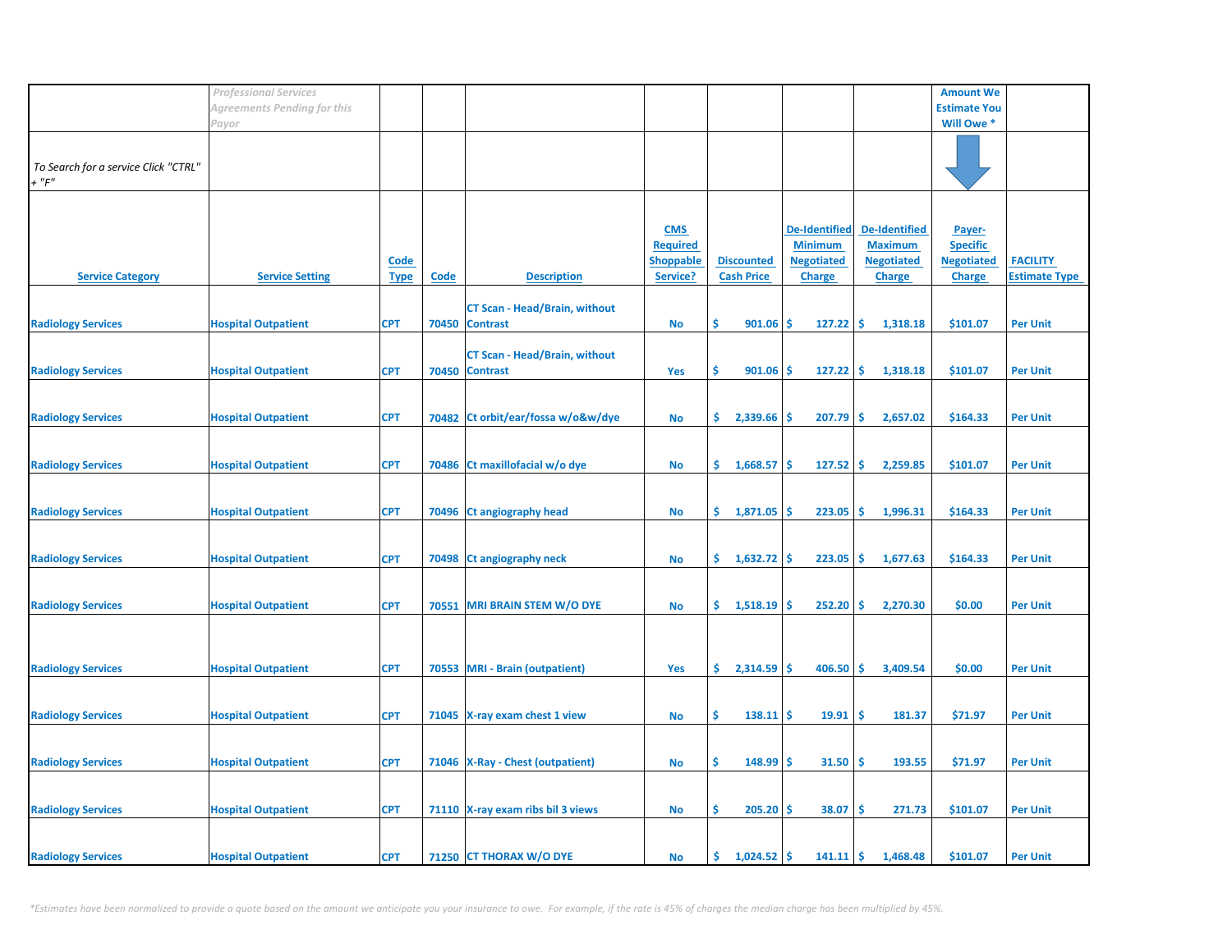|                                      | <b>Professional Services</b> |             |       |                                      |                  |                           |                      |                      | <b>Amount We</b>    |                      |
|--------------------------------------|------------------------------|-------------|-------|--------------------------------------|------------------|---------------------------|----------------------|----------------------|---------------------|----------------------|
|                                      | Agreements Pending for this  |             |       |                                      |                  |                           |                      |                      | <b>Estimate You</b> |                      |
|                                      | Payor                        |             |       |                                      |                  |                           |                      |                      | Will Owe *          |                      |
|                                      |                              |             |       |                                      |                  |                           |                      |                      |                     |                      |
|                                      |                              |             |       |                                      |                  |                           |                      |                      |                     |                      |
| To Search for a service Click "CTRL" |                              |             |       |                                      |                  |                           |                      |                      |                     |                      |
| $+$ " $F$ "                          |                              |             |       |                                      |                  |                           |                      |                      |                     |                      |
|                                      |                              |             |       |                                      |                  |                           |                      |                      |                     |                      |
|                                      |                              |             |       |                                      |                  |                           |                      |                      |                     |                      |
|                                      |                              |             |       |                                      |                  |                           |                      |                      |                     |                      |
|                                      |                              |             |       |                                      | <b>CMS</b>       |                           | <b>De-Identified</b> | <b>De-Identified</b> | Payer-              |                      |
|                                      |                              |             |       |                                      | <b>Required</b>  |                           | <b>Minimum</b>       | <b>Maximum</b>       | <b>Specific</b>     |                      |
|                                      |                              | <b>Code</b> |       |                                      | <b>Shoppable</b> | <b>Discounted</b>         | <b>Negotiated</b>    | <b>Negotiated</b>    | <b>Negotiated</b>   | <b>FACILITY</b>      |
| <b>Service Category</b>              | <b>Service Setting</b>       | <b>Type</b> | Code  | <b>Description</b>                   | Service?         | <b>Cash Price</b>         | <b>Charge</b>        | <b>Charge</b>        | <b>Charge</b>       | <b>Estimate Type</b> |
|                                      |                              |             |       |                                      |                  |                           |                      |                      |                     |                      |
|                                      |                              |             |       | <b>CT Scan - Head/Brain, without</b> |                  |                           |                      |                      |                     |                      |
| <b>Radiology Services</b>            | <b>Hospital Outpatient</b>   | <b>CPT</b>  | 70450 | <b>Contrast</b>                      | No               | \$<br>901.06              | -\$<br>127.22        | -\$<br>1,318.18      | \$101.07            | <b>Per Unit</b>      |
|                                      |                              |             |       |                                      |                  |                           |                      |                      |                     |                      |
|                                      |                              |             |       |                                      |                  |                           |                      |                      |                     |                      |
|                                      |                              |             |       | <b>CT Scan - Head/Brain, without</b> |                  |                           |                      |                      |                     |                      |
| <b>Radiology Services</b>            | <b>Hospital Outpatient</b>   | <b>CPT</b>  |       | 70450 Contrast                       | <b>Yes</b>       | \$<br>901.06              | $127.22$ \$          | 1,318.18             | \$101.07            | <b>Per Unit</b>      |
|                                      |                              |             |       |                                      |                  |                           |                      |                      |                     |                      |
|                                      |                              |             |       |                                      |                  |                           |                      |                      |                     |                      |
| <b>Radiology Services</b>            | <b>Hospital Outpatient</b>   | <b>CPT</b>  |       | 70482 Ct orbit/ear/fossa w/o&w/dye   | No               | \$.<br>2,339.66           | -S<br>207.79         | -\$<br>2,657.02      | \$164.33            | <b>Per Unit</b>      |
|                                      |                              |             |       |                                      |                  |                           |                      |                      |                     |                      |
|                                      |                              |             |       |                                      |                  |                           |                      |                      |                     |                      |
| <b>Radiology Services</b>            | <b>Hospital Outpatient</b>   | <b>CPT</b>  |       | 70486 Ct maxillofacial w/o dye       | No               | \$1,668.57                | <b>S</b><br>127.52   | -\$<br>2,259.85      | \$101.07            | <b>Per Unit</b>      |
|                                      |                              |             |       |                                      |                  |                           |                      |                      |                     |                      |
|                                      |                              |             |       |                                      |                  |                           |                      |                      |                     |                      |
|                                      |                              |             |       |                                      |                  |                           |                      |                      |                     |                      |
| <b>Radiology Services</b>            | <b>Hospital Outpatient</b>   | <b>CPT</b>  |       | 70496 Ct angiography head            | <b>No</b>        | \$1,871.05                | 223.05               | ا\$<br>1,996.31      | \$164.33            | <b>Per Unit</b>      |
|                                      |                              |             |       |                                      |                  |                           |                      |                      |                     |                      |
|                                      |                              |             |       |                                      |                  |                           |                      |                      |                     |                      |
| <b>Radiology Services</b>            | <b>Hospital Outpatient</b>   | <b>CPT</b>  |       | 70498 Ct angiography neck            | No               | $\frac{1}{6}$ 1,632.72 \$ | $223.05$ \$          | 1,677.63             | \$164.33            | <b>Per Unit</b>      |
|                                      |                              |             |       |                                      |                  |                           |                      |                      |                     |                      |
|                                      |                              |             |       |                                      |                  |                           |                      |                      |                     |                      |
| <b>Radiology Services</b>            | <b>Hospital Outpatient</b>   | <b>CPT</b>  | 70551 | <b>MRI BRAIN STEM W/O DYE</b>        | No               | \$.<br>1,518.19           | 252.20<br>۱\$        | -\$<br>2,270.30      | \$0.00              | <b>Per Unit</b>      |
|                                      |                              |             |       |                                      |                  |                           |                      |                      |                     |                      |
|                                      |                              |             |       |                                      |                  |                           |                      |                      |                     |                      |
|                                      |                              |             |       |                                      |                  |                           |                      |                      |                     |                      |
|                                      |                              |             |       |                                      |                  |                           |                      |                      |                     |                      |
| <b>Radiology Services</b>            | <b>Hospital Outpatient</b>   | <b>CPT</b>  |       | 70553 MRI - Brain (outpatient)       | <b>Yes</b>       | \$.<br>2,314.59           | 406.50<br>۱Ś         | -\$<br>3,409.54      | \$0.00              | <b>Per Unit</b>      |
|                                      |                              |             |       |                                      |                  |                           |                      |                      |                     |                      |
|                                      |                              |             |       |                                      |                  |                           |                      |                      |                     |                      |
| <b>Radiology Services</b>            | <b>Hospital Outpatient</b>   | <b>CPT</b>  |       | 71045 X-ray exam chest 1 view        | No               | \$<br>$138.11$ \$         | 19.91                | 181.37<br>\$         | \$71.97             | <b>Per Unit</b>      |
|                                      |                              |             |       |                                      |                  |                           |                      |                      |                     |                      |
|                                      |                              |             |       |                                      |                  |                           |                      |                      |                     |                      |
| <b>Radiology Services</b>            | <b>Hospital Outpatient</b>   | <b>CPT</b>  |       | 71046   X-Ray - Chest (outpatient)   | No               | \$<br>$148.99$ \$         | $31.50$ \$           | 193.55               | \$71.97             | <b>Per Unit</b>      |
|                                      |                              |             |       |                                      |                  |                           |                      |                      |                     |                      |
|                                      |                              |             |       |                                      |                  |                           |                      |                      |                     |                      |
| <b>Radiology Services</b>            | <b>Hospital Outpatient</b>   | <b>CPT</b>  |       | 71110 X-ray exam ribs bil 3 views    | No               | \$.<br>$205.20$ \$        | 38.07                | \$<br>271.73         | \$101.07            | <b>Per Unit</b>      |
|                                      |                              |             |       |                                      |                  |                           |                      |                      |                     |                      |
|                                      |                              |             |       |                                      |                  |                           |                      |                      |                     |                      |
|                                      |                              |             |       |                                      |                  |                           |                      |                      |                     |                      |
| <b>Radiology Services</b>            | <b>Hospital Outpatient</b>   | <b>CPT</b>  |       | 71250 CT THORAX W/O DYE              | No               | \$.<br>$1,024.52$ \$      | $141.11$ \$          | 1,468.48             | \$101.07            | <b>Per Unit</b>      |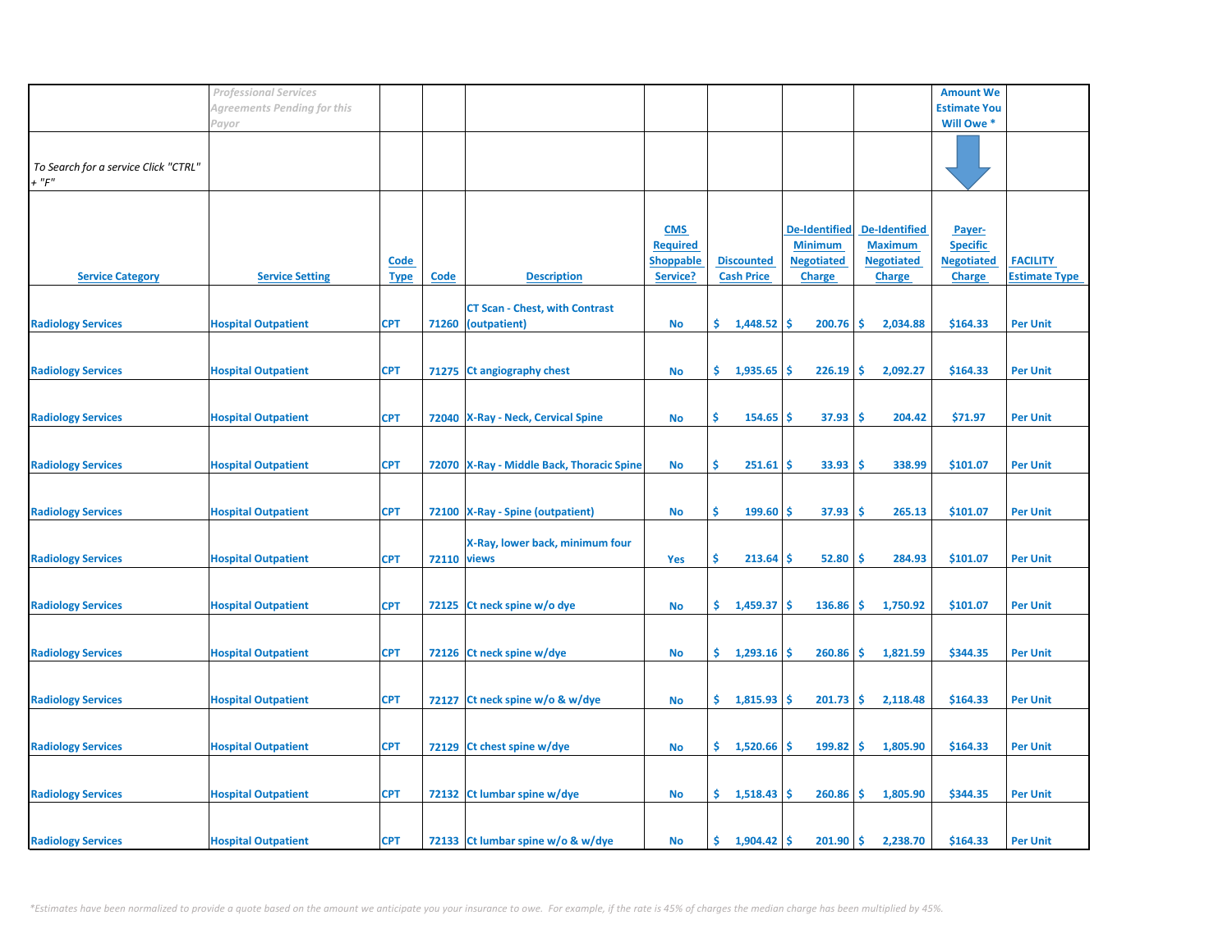|                                                     | <b>Professional Services</b> |                            |                    |                                                       |                                                               |                                        |                                                                              |                                                                              | <b>Amount We</b>                                                |                                         |
|-----------------------------------------------------|------------------------------|----------------------------|--------------------|-------------------------------------------------------|---------------------------------------------------------------|----------------------------------------|------------------------------------------------------------------------------|------------------------------------------------------------------------------|-----------------------------------------------------------------|-----------------------------------------|
|                                                     | Agreements Pending for this  |                            |                    |                                                       |                                                               |                                        |                                                                              |                                                                              | <b>Estimate You</b>                                             |                                         |
|                                                     | Payor                        |                            |                    |                                                       |                                                               |                                        |                                                                              |                                                                              | Will Owe *                                                      |                                         |
| To Search for a service Click "CTRL"<br>$+$ " $F$ " |                              |                            |                    |                                                       |                                                               |                                        |                                                                              |                                                                              |                                                                 |                                         |
| <b>Service Category</b>                             | <b>Service Setting</b>       | <b>Code</b><br><b>Type</b> | <b>Code</b>        | <b>Description</b>                                    | <b>CMS</b><br><b>Required</b><br><b>Shoppable</b><br>Service? | <b>Discounted</b><br><b>Cash Price</b> | <b>De-Identified</b><br><b>Minimum</b><br><b>Negotiated</b><br><b>Charge</b> | <b>De-Identified</b><br><b>Maximum</b><br><b>Negotiated</b><br><b>Charge</b> | Payer-<br><b>Specific</b><br><b>Negotiated</b><br><b>Charge</b> | <b>FACILITY</b><br><b>Estimate Type</b> |
| <b>Radiology Services</b>                           | <b>Hospital Outpatient</b>   | <b>CPT</b>                 | 71260              | <b>CT Scan - Chest, with Contrast</b><br>(outpatient) | No                                                            | \$.<br>1,448.52                        | <b>S</b><br>200.76                                                           | -\$<br>2,034.88                                                              | \$164.33                                                        | <b>Per Unit</b>                         |
| <b>Radiology Services</b>                           | <b>Hospital Outpatient</b>   | <b>CPT</b>                 |                    | 71275 Ct angiography chest                            | <b>No</b>                                                     | \$.<br>1,935.65                        | 226.19<br>Ŝ                                                                  | -\$<br>2,092.27                                                              | \$164.33                                                        | <b>Per Unit</b>                         |
| <b>Radiology Services</b>                           | <b>Hospital Outpatient</b>   | <b>CPT</b>                 |                    | 72040 X-Ray - Neck, Cervical Spine                    | <b>No</b>                                                     | \$<br>154.65                           | 37.93<br>-S                                                                  | -\$<br>204.42                                                                | \$71.97                                                         | <b>Per Unit</b>                         |
| <b>Radiology Services</b>                           | <b>Hospital Outpatient</b>   | <b>CPT</b>                 |                    | 72070   X-Ray - Middle Back, Thoracic Spine           | No                                                            | \$<br>251.61                           | 33.93<br>S                                                                   | -Ś<br>338.99                                                                 | \$101.07                                                        | <b>Per Unit</b>                         |
| <b>Radiology Services</b>                           | <b>Hospital Outpatient</b>   | <b>CPT</b>                 |                    | 72100 X-Ray - Spine (outpatient)                      | <b>No</b>                                                     | \$<br>$199.60$ \$                      | 37.93                                                                        | \$ ا<br>265.13                                                               | \$101.07                                                        | <b>Per Unit</b>                         |
| <b>Radiology Services</b>                           | <b>Hospital Outpatient</b>   | <b>CPT</b>                 | <b>72110 views</b> | X-Ray, lower back, minimum four                       | Yes                                                           | \$<br>213.64                           | 52.80<br>-S                                                                  | -\$<br>284.93                                                                | \$101.07                                                        | <b>Per Unit</b>                         |
| <b>Radiology Services</b>                           | <b>Hospital Outpatient</b>   | <b>CPT</b>                 | 72125              | Ct neck spine w/o dye                                 | No                                                            | \$.<br>1,459.37                        | <b>S</b><br>136.86                                                           | -\$<br>1,750.92                                                              | \$101.07                                                        | <b>Per Unit</b>                         |
| <b>Radiology Services</b>                           | <b>Hospital Outpatient</b>   | <b>CPT</b>                 |                    | 72126 Ct neck spine w/dye                             | <b>No</b>                                                     | \$.<br>1,293.16                        | 260.86<br>\$.                                                                | -\$<br>1,821.59                                                              | \$344.35                                                        | <b>Per Unit</b>                         |
| <b>Radiology Services</b>                           | <b>Hospital Outpatient</b>   | <b>CPT</b>                 | 72127              | Ct neck spine w/o & w/dye                             | No                                                            | \$<br>1,815.93                         | 201.73<br>S                                                                  | \$<br>2,118.48                                                               | \$164.33                                                        | <b>Per Unit</b>                         |
| <b>Radiology Services</b>                           | <b>Hospital Outpatient</b>   | <b>CPT</b>                 |                    | 72129 Ct chest spine w/dye                            | No                                                            | \$.<br>1,520.66                        | 199.82<br>-S                                                                 | -\$<br>1,805.90                                                              | \$164.33                                                        | <b>Per Unit</b>                         |
| <b>Radiology Services</b>                           | <b>Hospital Outpatient</b>   | <b>CPT</b>                 |                    | 72132 Ct lumbar spine w/dye                           | No                                                            | \$.<br>1,518.43                        | $260.86$ \$<br><b>S</b>                                                      | 1,805.90                                                                     | \$344.35                                                        | <b>Per Unit</b>                         |
| <b>Radiology Services</b>                           | <b>Hospital Outpatient</b>   | <b>CPT</b>                 |                    | 72133 Ct lumbar spine w/o & w/dye                     | No                                                            | \$.<br>1,904.42                        | 201.90<br><b>S</b>                                                           | <b>S</b><br>2,238.70                                                         | \$164.33                                                        | <b>Per Unit</b>                         |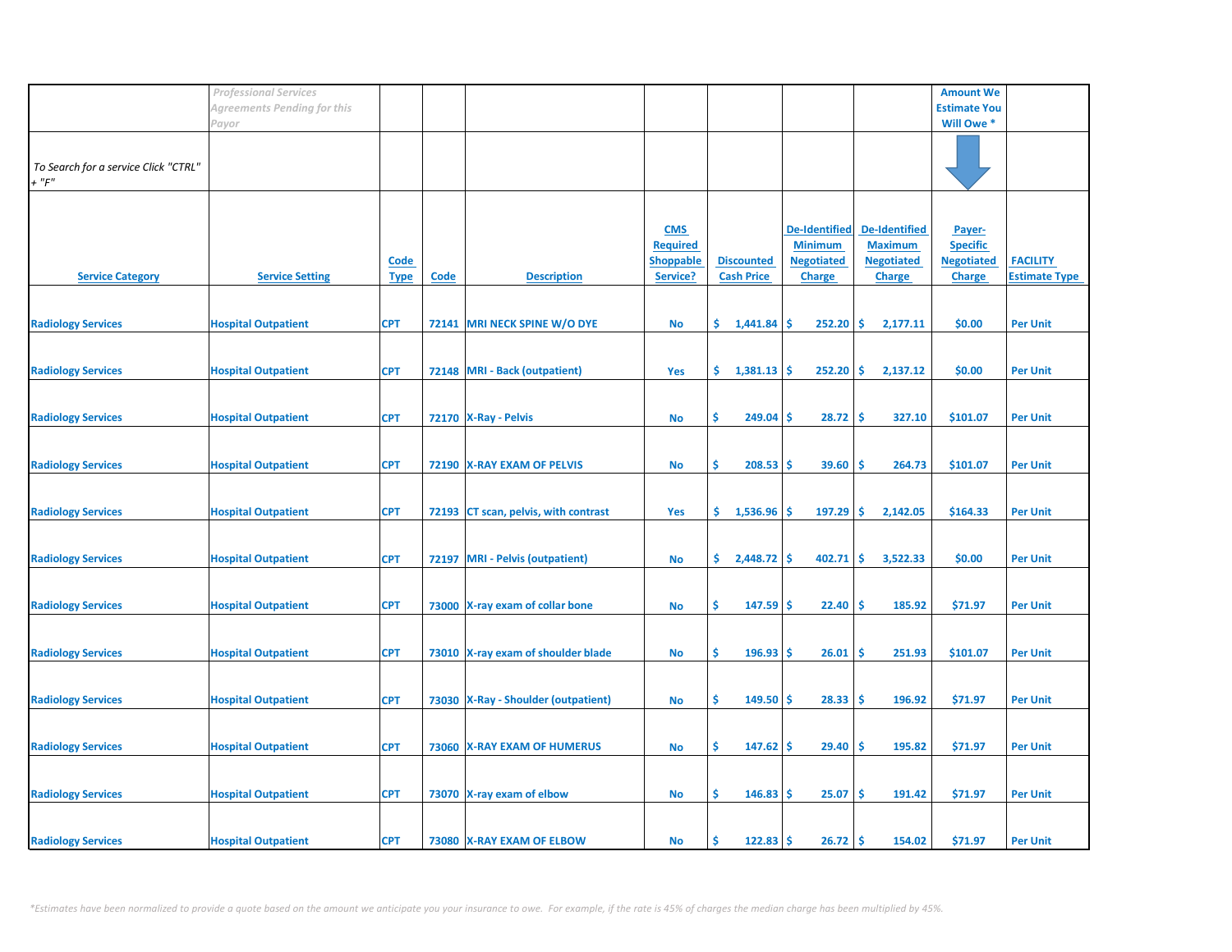|                                                     | <b>Professional Services</b>         |                            |             |                                       |                                                               |                                        |                                                                              |                                                                              | <b>Amount We</b>                                                |                                         |
|-----------------------------------------------------|--------------------------------------|----------------------------|-------------|---------------------------------------|---------------------------------------------------------------|----------------------------------------|------------------------------------------------------------------------------|------------------------------------------------------------------------------|-----------------------------------------------------------------|-----------------------------------------|
|                                                     | Agreements Pending for this<br>Payor |                            |             |                                       |                                                               |                                        |                                                                              |                                                                              | <b>Estimate You</b><br>Will Owe *                               |                                         |
| To Search for a service Click "CTRL"<br>$+$ " $F$ " |                                      |                            |             |                                       |                                                               |                                        |                                                                              |                                                                              |                                                                 |                                         |
| <b>Service Category</b>                             | <b>Service Setting</b>               | <b>Code</b><br><b>Type</b> | <b>Code</b> | <b>Description</b>                    | <b>CMS</b><br><b>Required</b><br><b>Shoppable</b><br>Service? | <b>Discounted</b><br><b>Cash Price</b> | <b>De-Identified</b><br><b>Minimum</b><br><b>Negotiated</b><br><b>Charge</b> | <b>De-Identified</b><br><b>Maximum</b><br><b>Negotiated</b><br><b>Charge</b> | Payer-<br><b>Specific</b><br><b>Negotiated</b><br><b>Charge</b> | <b>FACILITY</b><br><b>Estimate Type</b> |
| <b>Radiology Services</b>                           | <b>Hospital Outpatient</b>           | <b>CPT</b>                 | 72141       | MRI NECK SPINE W/O DYE                | No                                                            | \$.<br>1,441.84                        | 252.20<br><b>S</b>                                                           | \$<br>2,177.11                                                               | \$0.00                                                          | <b>Per Unit</b>                         |
| <b>Radiology Services</b>                           | <b>Hospital Outpatient</b>           | <b>CPT</b>                 |             | 72148 MRI - Back (outpatient)         | Yes                                                           | \$.<br>1,381.13                        | 252.20<br><b>S</b>                                                           | \$<br>2,137.12                                                               | \$0.00                                                          | <b>Per Unit</b>                         |
| <b>Radiology Services</b>                           | <b>Hospital Outpatient</b>           | <b>CPT</b>                 |             | 72170 X-Ray - Pelvis                  | <b>No</b>                                                     | \$<br>249.04                           | 28.72<br>-S                                                                  | -\$<br>327.10                                                                | \$101.07                                                        | <b>Per Unit</b>                         |
| <b>Radiology Services</b>                           | <b>Hospital Outpatient</b>           | <b>CPT</b>                 |             | 72190 X-RAY EXAM OF PELVIS            | No                                                            | \$<br>208.53                           | 39.60<br>.S                                                                  | -\$<br>264.73                                                                | \$101.07                                                        | <b>Per Unit</b>                         |
| <b>Radiology Services</b>                           | <b>Hospital Outpatient</b>           | <b>CPT</b>                 |             | 72193 CT scan, pelvis, with contrast  | Yes                                                           | \$.<br>1,536.96                        | 197.29<br>\$.                                                                | ۱\$.<br>2,142.05                                                             | \$164.33                                                        | <b>Per Unit</b>                         |
| <b>Radiology Services</b>                           | <b>Hospital Outpatient</b>           | <b>CPT</b>                 | 72197       | <b>MRI</b> - Pelvis (outpatient)      | <b>No</b>                                                     | \$<br>2,448.72                         | Ŝ.<br>402.71                                                                 | -\$<br>3,522.33                                                              | \$0.00                                                          | <b>Per Unit</b>                         |
| <b>Radiology Services</b>                           | <b>Hospital Outpatient</b>           | <b>CPT</b>                 |             | 73000 X-ray exam of collar bone       | No                                                            | Ŝ.<br>147.59                           | <b>S</b><br>22.40                                                            | -\$<br>185.92                                                                | \$71.97                                                         | <b>Per Unit</b>                         |
| <b>Radiology Services</b>                           | <b>Hospital Outpatient</b>           | <b>CPT</b>                 |             | 73010 X-ray exam of shoulder blade    | <b>No</b>                                                     | \$<br>196.93                           | 26.01<br>\$.                                                                 | \$<br>251.93                                                                 | \$101.07                                                        | <b>Per Unit</b>                         |
| <b>Radiology Services</b>                           | <b>Hospital Outpatient</b>           | <b>CPT</b>                 |             | 73030   X-Ray - Shoulder (outpatient) | No                                                            | \$<br>149.50                           | 28.33<br>-S                                                                  | \$,<br>196.92                                                                | \$71.97                                                         | <b>Per Unit</b>                         |
| <b>Radiology Services</b>                           | <b>Hospital Outpatient</b>           | <b>CPT</b>                 |             | 73060 X-RAY EXAM OF HUMERUS           | No                                                            | \$<br>147.62                           | 29.40<br>-S                                                                  | -\$<br>195.82                                                                | \$71.97                                                         | <b>Per Unit</b>                         |
| <b>Radiology Services</b>                           | <b>Hospital Outpatient</b>           | <b>CPT</b>                 |             | 73070 X-ray exam of elbow             | <b>No</b>                                                     | \$<br>146.83                           | 25.07<br><b>S</b>                                                            | -\$<br>191.42                                                                | \$71.97                                                         | <b>Per Unit</b>                         |
| <b>Radiology Services</b>                           | <b>Hospital Outpatient</b>           | <b>CPT</b>                 |             | 73080 X-RAY EXAM OF ELBOW             | No                                                            | 122.83<br>Ś                            | $26.72$ \$<br>.S                                                             | 154.02                                                                       | \$71.97                                                         | <b>Per Unit</b>                         |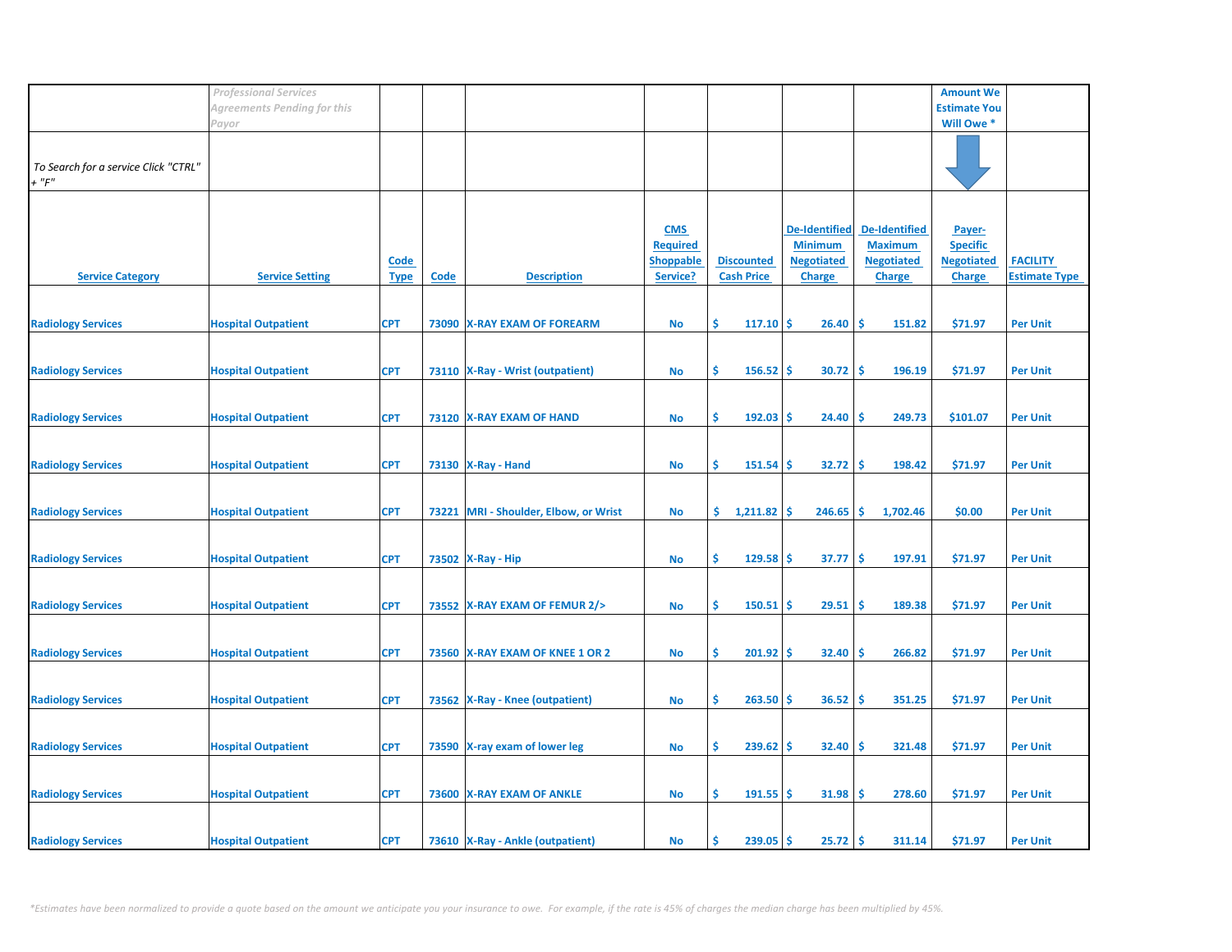|                                      | <b>Professional Services</b> |             |       |                                    |                  |                      |                        |                      | <b>Amount We</b>    |                      |
|--------------------------------------|------------------------------|-------------|-------|------------------------------------|------------------|----------------------|------------------------|----------------------|---------------------|----------------------|
|                                      | Agreements Pending for this  |             |       |                                    |                  |                      |                        |                      | <b>Estimate You</b> |                      |
|                                      | Payor                        |             |       |                                    |                  |                      |                        |                      | Will Owe *          |                      |
|                                      |                              |             |       |                                    |                  |                      |                        |                      |                     |                      |
|                                      |                              |             |       |                                    |                  |                      |                        |                      |                     |                      |
| To Search for a service Click "CTRL" |                              |             |       |                                    |                  |                      |                        |                      |                     |                      |
| $+$ " $F"$                           |                              |             |       |                                    |                  |                      |                        |                      |                     |                      |
|                                      |                              |             |       |                                    |                  |                      |                        |                      |                     |                      |
|                                      |                              |             |       |                                    | <b>CMS</b>       |                      | <b>De-Identified</b>   | <b>De-Identified</b> | Payer-              |                      |
|                                      |                              |             |       |                                    | <b>Required</b>  |                      | <b>Minimum</b>         | <b>Maximum</b>       | <b>Specific</b>     |                      |
|                                      |                              | <b>Code</b> |       |                                    | <b>Shoppable</b> | <b>Discounted</b>    | <b>Negotiated</b>      | <b>Negotiated</b>    | <b>Negotiated</b>   | <b>FACILITY</b>      |
| <b>Service Category</b>              | <b>Service Setting</b>       | <b>Type</b> | Code  | <b>Description</b>                 | Service?         | <b>Cash Price</b>    | <b>Charge</b>          | <b>Charge</b>        | <b>Charge</b>       | <b>Estimate Type</b> |
|                                      |                              |             |       |                                    |                  |                      |                        |                      |                     |                      |
|                                      |                              |             |       |                                    |                  |                      |                        |                      |                     |                      |
| <b>Radiology Services</b>            | <b>Hospital Outpatient</b>   | <b>CPT</b>  |       | 73090 X-RAY EXAM OF FOREARM        | <b>No</b>        | \$.<br>117.10        | Ŝ.<br>26.40            | -\$<br>151.82        | \$71.97             | <b>Per Unit</b>      |
|                                      |                              |             |       |                                    |                  |                      |                        |                      |                     |                      |
|                                      |                              |             |       |                                    |                  |                      |                        |                      |                     |                      |
| <b>Radiology Services</b>            | <b>Hospital Outpatient</b>   | <b>CPT</b>  |       | 73110   X-Ray - Wrist (outpatient) | No               | \$<br>156.52         | '\$<br>30.72           | -\$<br>196.19        | \$71.97             | <b>Per Unit</b>      |
|                                      |                              |             |       |                                    |                  |                      |                        |                      |                     |                      |
|                                      |                              |             |       |                                    |                  |                      |                        |                      |                     |                      |
| <b>Radiology Services</b>            | <b>Hospital Outpatient</b>   | <b>CPT</b>  |       | 73120 X-RAY EXAM OF HAND           | <b>No</b>        | \$<br>192.03         | 24.40<br><b>S</b>      | -\$<br>249.73        | \$101.07            | <b>Per Unit</b>      |
|                                      |                              |             |       |                                    |                  |                      |                        |                      |                     |                      |
|                                      |                              |             |       |                                    |                  |                      |                        |                      |                     |                      |
| <b>Radiology Services</b>            | <b>Hospital Outpatient</b>   | <b>CPT</b>  |       | 73130   X-Ray - Hand               | No               | \$.<br>151.54        | 32.72<br>'\$           | -\$<br>198.42        | \$71.97             | <b>Per Unit</b>      |
|                                      |                              |             |       |                                    |                  |                      |                        |                      |                     |                      |
|                                      |                              |             |       |                                    |                  |                      |                        |                      |                     |                      |
| <b>Radiology Services</b>            | <b>Hospital Outpatient</b>   | <b>CPT</b>  | 73221 | MRI - Shoulder, Elbow, or Wrist    | No               | \$.<br>$1,211.82$ \$ | $246.65$ \$            | 1,702.46             | \$0.00              | <b>Per Unit</b>      |
|                                      |                              |             |       |                                    |                  |                      |                        |                      |                     |                      |
|                                      |                              |             |       |                                    |                  |                      |                        |                      |                     |                      |
| <b>Radiology Services</b>            | <b>Hospital Outpatient</b>   | <b>CPT</b>  |       | 73502 X-Ray - Hip                  | No               | \$<br>129.58         | 37.77<br><b>S</b>      | -\$<br>197.91        | \$71.97             | <b>Per Unit</b>      |
|                                      |                              |             |       |                                    |                  |                      |                        |                      |                     |                      |
|                                      |                              |             |       |                                    |                  |                      |                        |                      |                     |                      |
| <b>Radiology Services</b>            | <b>Hospital Outpatient</b>   | <b>CPT</b>  |       | 73552 X-RAY EXAM OF FEMUR 2/>      | <b>No</b>        | \$<br>150.51         | 29.51<br>\$.           | -\$<br>189.38        | \$71.97             | <b>Per Unit</b>      |
|                                      |                              |             |       |                                    |                  |                      |                        |                      |                     |                      |
| <b>Radiology Services</b>            | <b>Hospital Outpatient</b>   | <b>CPT</b>  |       | 73560 X-RAY EXAM OF KNEE 1 OR 2    | <b>No</b>        | \$<br>201.92         | 32.40<br>\$.           | -\$<br>266.82        | \$71.97             | <b>Per Unit</b>      |
|                                      |                              |             |       |                                    |                  |                      |                        |                      |                     |                      |
|                                      |                              |             |       |                                    |                  |                      |                        |                      |                     |                      |
| <b>Radiology Services</b>            | <b>Hospital Outpatient</b>   | <b>CPT</b>  |       | 73562   X-Ray - Knee (outpatient)  | <b>No</b>        | \$<br>263.50         | 36.52<br>.S            | -\$<br>351.25        | \$71.97             | <b>Per Unit</b>      |
|                                      |                              |             |       |                                    |                  |                      |                        |                      |                     |                      |
|                                      |                              |             |       |                                    |                  |                      |                        |                      |                     |                      |
| <b>Radiology Services</b>            | <b>Hospital Outpatient</b>   | <b>CPT</b>  |       | 73590 X-ray exam of lower leg      | <b>No</b>        | \$<br>239.62         | \$.<br>32.40           | -\$<br>321.48        | \$71.97             | <b>Per Unit</b>      |
|                                      |                              |             |       |                                    |                  |                      |                        |                      |                     |                      |
|                                      |                              |             |       |                                    |                  |                      |                        |                      |                     |                      |
| <b>Radiology Services</b>            | <b>Hospital Outpatient</b>   | <b>CPT</b>  |       | 73600 X-RAY EXAM OF ANKLE          | No               | \$<br>191.55         | 31.98<br>-Ś            | -\$<br>278.60        | \$71.97             | <b>Per Unit</b>      |
|                                      |                              |             |       |                                    |                  |                      |                        |                      |                     |                      |
|                                      |                              |             |       |                                    |                  |                      |                        |                      |                     |                      |
| <b>Radiology Services</b>            | <b>Hospital Outpatient</b>   | <b>CPT</b>  |       | 73610 X-Ray - Ankle (outpatient)   | No               | 239.05<br>Ś          | $25.72$ \$<br><b>S</b> | 311.14               | \$71.97             | <b>Per Unit</b>      |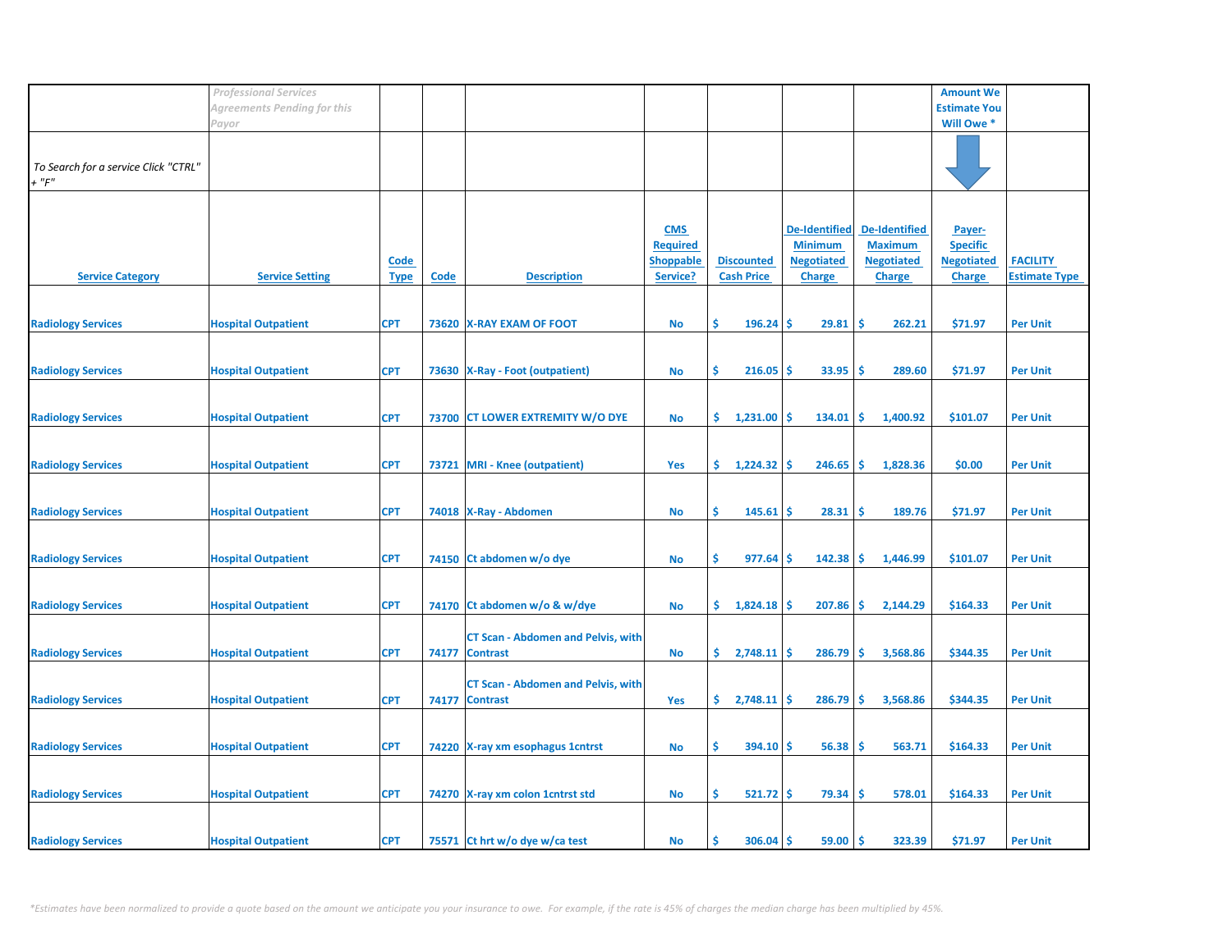|                                                     | <b>Professional Services</b> |                            |             |                                                             |                                                               |                                        |                                                                       |                                                                              | <b>Amount We</b>                                                |                                         |
|-----------------------------------------------------|------------------------------|----------------------------|-------------|-------------------------------------------------------------|---------------------------------------------------------------|----------------------------------------|-----------------------------------------------------------------------|------------------------------------------------------------------------------|-----------------------------------------------------------------|-----------------------------------------|
|                                                     | Agreements Pending for this  |                            |             |                                                             |                                                               |                                        |                                                                       |                                                                              | <b>Estimate You</b>                                             |                                         |
|                                                     | Payor                        |                            |             |                                                             |                                                               |                                        |                                                                       |                                                                              | Will Owe *                                                      |                                         |
| To Search for a service Click "CTRL"<br>$+$ " $F$ " |                              |                            |             |                                                             |                                                               |                                        |                                                                       |                                                                              |                                                                 |                                         |
| <b>Service Category</b>                             | <b>Service Setting</b>       | <b>Code</b><br><b>Type</b> | <b>Code</b> | <b>Description</b>                                          | <b>CMS</b><br><b>Required</b><br><b>Shoppable</b><br>Service? | <b>Discounted</b><br><b>Cash Price</b> | De-Identified<br><b>Minimum</b><br><b>Negotiated</b><br><b>Charge</b> | <b>De-Identified</b><br><b>Maximum</b><br><b>Negotiated</b><br><b>Charge</b> | Payer-<br><b>Specific</b><br><b>Negotiated</b><br><b>Charge</b> | <b>FACILITY</b><br><b>Estimate Type</b> |
| <b>Radiology Services</b>                           | <b>Hospital Outpatient</b>   | <b>CPT</b>                 |             | 73620 X-RAY EXAM OF FOOT                                    | No                                                            | \$<br>$196.24$ \$                      | 29.81                                                                 | ۱\$<br>262.21                                                                | \$71.97                                                         | <b>Per Unit</b>                         |
| <b>Radiology Services</b>                           | <b>Hospital Outpatient</b>   | <b>CPT</b>                 |             | 73630   X-Ray - Foot (outpatient)                           | No                                                            | \$<br>$216.05$ \$                      | $33.95$ \$                                                            | 289.60                                                                       | \$71.97                                                         | <b>Per Unit</b>                         |
| <b>Radiology Services</b>                           | <b>Hospital Outpatient</b>   | <b>CPT</b>                 |             | 73700 CT LOWER EXTREMITY W/O DYE                            | No                                                            | \$.<br>$1,231.00$ \$                   | $134.01$ \$                                                           | 1,400.92                                                                     | \$101.07                                                        | <b>Per Unit</b>                         |
| <b>Radiology Services</b>                           | <b>Hospital Outpatient</b>   | <b>CPT</b>                 | 73721       | <b>MRI</b> - Knee (outpatient)                              | <b>Yes</b>                                                    | \$.<br>1,224.32                        | ۱Ś<br>246.65                                                          | l\$<br>1,828.36                                                              | \$0.00                                                          | <b>Per Unit</b>                         |
| <b>Radiology Services</b>                           | <b>Hospital Outpatient</b>   | <b>CPT</b>                 |             | 74018 X-Ray - Abdomen                                       | No                                                            | \$.<br>145.61                          | 28.31<br>۱\$                                                          | -\$<br>189.76                                                                | \$71.97                                                         | <b>Per Unit</b>                         |
| <b>Radiology Services</b>                           | <b>Hospital Outpatient</b>   | <b>CPT</b>                 |             | 74150 Ct abdomen w/o dye                                    | No                                                            | \$<br>977.64                           | $142.38$ \$<br>-\$                                                    | 1,446.99                                                                     | \$101.07                                                        | <b>Per Unit</b>                         |
| <b>Radiology Services</b>                           | <b>Hospital Outpatient</b>   | <b>CPT</b>                 |             | 74170 Ct abdomen w/o & w/dye                                | No                                                            | \$.<br>1,824.18                        | 207.86<br>۱S                                                          | -Ś<br>2,144.29                                                               | \$164.33                                                        | <b>Per Unit</b>                         |
| <b>Radiology Services</b>                           | <b>Hospital Outpatient</b>   | <b>CPT</b>                 |             | <b>CT Scan - Abdomen and Pelvis, with</b><br>74177 Contrast | No                                                            | \$.<br>2,748.11                        | $286.79$ \$<br>۱S                                                     | 3,568.86                                                                     | \$344.35                                                        | <b>Per Unit</b>                         |
| <b>Radiology Services</b>                           | <b>Hospital Outpatient</b>   | <b>CPT</b>                 |             | <b>CT Scan - Abdomen and Pelvis, with</b><br>74177 Contrast | Yes                                                           | \$.<br>$2,748.11$ \$                   | $286.79$ \$                                                           | 3,568.86                                                                     | \$344.35                                                        | <b>Per Unit</b>                         |
| <b>Radiology Services</b>                           | <b>Hospital Outpatient</b>   | <b>CPT</b>                 |             | 74220 X-ray xm esophagus 1 cntrst                           | No                                                            | \$<br>$394.10$ \$                      | $56.38$ \$                                                            | 563.71                                                                       | \$164.33                                                        | <b>Per Unit</b>                         |
| <b>Radiology Services</b>                           | <b>Hospital Outpatient</b>   | <b>CPT</b>                 |             | 74270 X-ray xm colon 1 cntrst std                           | No                                                            | \$<br>$521.72$ \$                      | $79.34$ \$                                                            | 578.01                                                                       | \$164.33                                                        | <b>Per Unit</b>                         |
| <b>Radiology Services</b>                           | <b>Hospital Outpatient</b>   | <b>CPT</b>                 |             | 75571 Ct hrt w/o dye w/ca test                              | No                                                            | $306.04$ \$<br>s                       | 59.00                                                                 | -Ś<br>323.39                                                                 | \$71.97                                                         | <b>Per Unit</b>                         |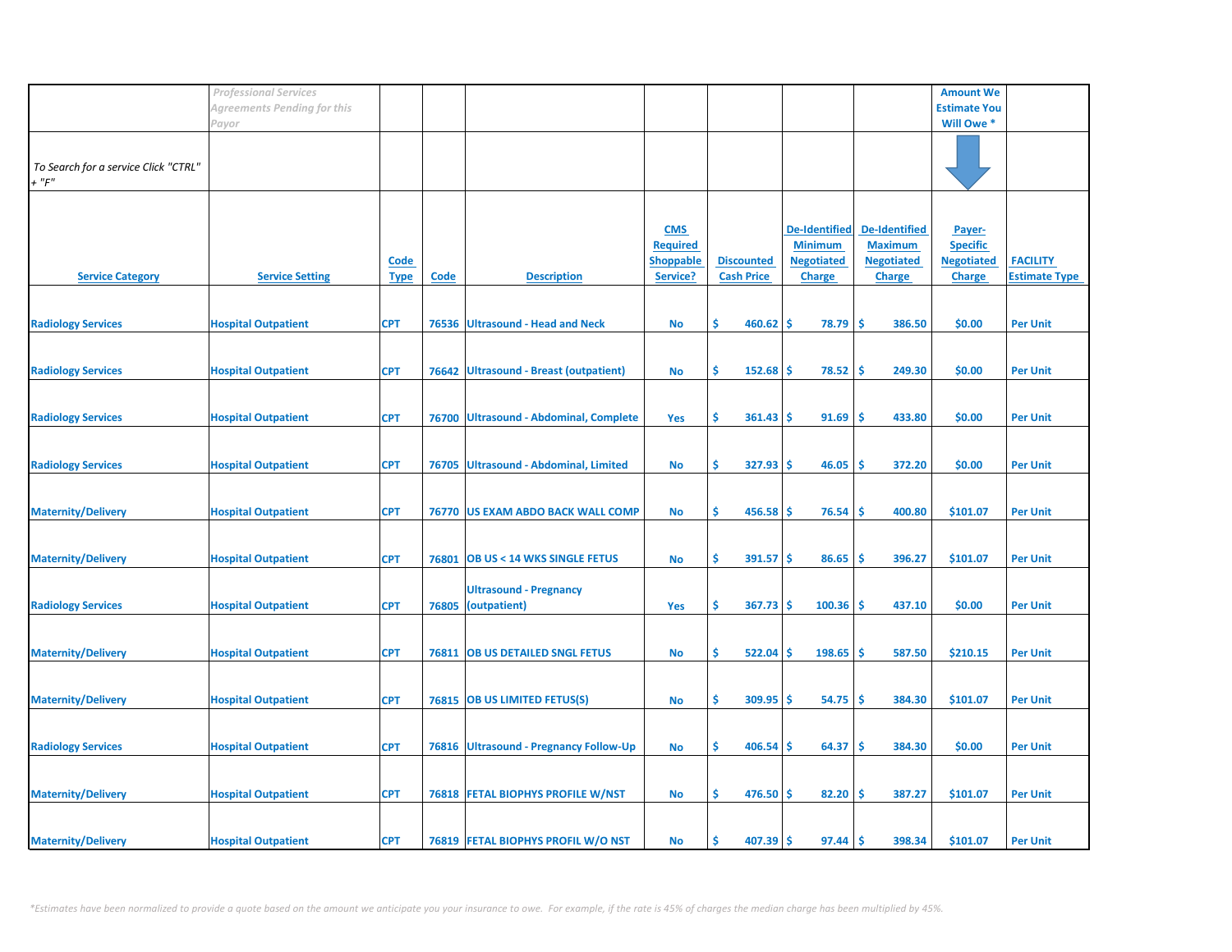|                                      | <b>Professional Services</b> |                            |             |                                        |                              |                                        |                                    |                                     | <b>Amount We</b>                   |                      |
|--------------------------------------|------------------------------|----------------------------|-------------|----------------------------------------|------------------------------|----------------------------------------|------------------------------------|-------------------------------------|------------------------------------|----------------------|
|                                      | Agreements Pending for this  |                            |             |                                        |                              |                                        |                                    |                                     | <b>Estimate You</b>                |                      |
|                                      | Payor                        |                            |             |                                        |                              |                                        |                                    |                                     | Will Owe *                         |                      |
|                                      |                              |                            |             |                                        |                              |                                        |                                    |                                     |                                    |                      |
| To Search for a service Click "CTRL" |                              |                            |             |                                        |                              |                                        |                                    |                                     |                                    |                      |
| $+$ " $F$ "                          |                              |                            |             |                                        |                              |                                        |                                    |                                     |                                    |                      |
|                                      |                              |                            |             |                                        |                              |                                        |                                    |                                     |                                    |                      |
|                                      |                              |                            |             |                                        |                              |                                        |                                    |                                     |                                    |                      |
|                                      |                              |                            |             |                                        | <b>CMS</b>                   |                                        | <b>De-Identified</b>               | <b>De-Identified</b>                | Payer-                             |                      |
|                                      |                              |                            |             |                                        | <b>Required</b>              |                                        | <b>Minimum</b>                     | <b>Maximum</b><br><b>Negotiated</b> | <b>Specific</b>                    | <b>FACILITY</b>      |
| <b>Service Category</b>              | <b>Service Setting</b>       | <u>Code</u><br><b>Type</b> | <b>Code</b> | <b>Description</b>                     | <b>Shoppable</b><br>Service? | <b>Discounted</b><br><b>Cash Price</b> | <b>Negotiated</b><br><b>Charge</b> | <b>Charge</b>                       | <b>Negotiated</b><br><b>Charge</b> | <b>Estimate Type</b> |
|                                      |                              |                            |             |                                        |                              |                                        |                                    |                                     |                                    |                      |
|                                      |                              |                            |             |                                        |                              |                                        |                                    |                                     |                                    |                      |
| <b>Radiology Services</b>            | <b>Hospital Outpatient</b>   | <b>CPT</b>                 |             | 76536 Ultrasound - Head and Neck       | No                           | Ŝ.<br>460.62                           | -\$<br>78.79                       | -Ś<br>386.50                        | \$0.00                             | <b>Per Unit</b>      |
|                                      |                              |                            |             |                                        |                              |                                        |                                    |                                     |                                    |                      |
|                                      |                              |                            |             |                                        |                              |                                        |                                    |                                     |                                    |                      |
| <b>Radiology Services</b>            | <b>Hospital Outpatient</b>   | <b>CPT</b>                 |             | 76642 Ultrasound - Breast (outpatient) | <b>No</b>                    | \$<br>152.68                           | -\$<br>78.52                       | \$<br>249.30                        | \$0.00                             | <b>Per Unit</b>      |
|                                      |                              |                            |             |                                        |                              |                                        |                                    |                                     |                                    |                      |
| <b>Radiology Services</b>            | <b>Hospital Outpatient</b>   | <b>CPT</b>                 |             | 76700 Ultrasound - Abdominal, Complete | Yes                          | \$<br>361.43                           | 91.69<br>-\$                       | \$.<br>433.80                       | \$0.00                             | <b>Per Unit</b>      |
|                                      |                              |                            |             |                                        |                              |                                        |                                    |                                     |                                    |                      |
|                                      |                              |                            |             |                                        |                              |                                        |                                    |                                     |                                    |                      |
| <b>Radiology Services</b>            | <b>Hospital Outpatient</b>   | <b>CPT</b>                 |             | 76705 Ultrasound - Abdominal, Limited  | <b>No</b>                    | Ŝ.<br>327.93                           | -\$<br>46.05                       | Ŝ<br>372.20                         | \$0.00                             | <b>Per Unit</b>      |
|                                      |                              |                            |             |                                        |                              |                                        |                                    |                                     |                                    |                      |
| <b>Maternity/Delivery</b>            | <b>Hospital Outpatient</b>   | <b>CPT</b>                 |             | 76770 US EXAM ABDO BACK WALL COMP      | No                           | \$<br>$456.58$ \$                      | 76.54                              | \$<br>400.80                        | \$101.07                           | <b>Per Unit</b>      |
|                                      |                              |                            |             |                                        |                              |                                        |                                    |                                     |                                    |                      |
|                                      |                              |                            |             |                                        |                              |                                        |                                    |                                     |                                    |                      |
| <b>Maternity/Delivery</b>            | <b>Hospital Outpatient</b>   | <b>CPT</b>                 | 76801       | <b>OB US &lt; 14 WKS SINGLE FETUS</b>  | <b>No</b>                    | \$<br>$391.57$ \$                      | 86.65                              | \$.<br>396.27                       | \$101.07                           | <b>Per Unit</b>      |
|                                      |                              |                            |             |                                        |                              |                                        |                                    |                                     |                                    |                      |
|                                      |                              |                            |             | <b>Ultrasound - Pregnancy</b>          |                              | Ŝ.<br>$367.73$ \$                      | 100.36                             | -Ś<br>437.10                        | \$0.00                             |                      |
| <b>Radiology Services</b>            | <b>Hospital Outpatient</b>   | <b>CPT</b>                 | 76805       | (outpatient)                           | Yes                          |                                        |                                    |                                     |                                    | <b>Per Unit</b>      |
|                                      |                              |                            |             |                                        |                              |                                        |                                    |                                     |                                    |                      |
| <b>Maternity/Delivery</b>            | <b>Hospital Outpatient</b>   | <b>CPT</b>                 |             | 76811 OB US DETAILED SNGL FETUS        | <b>No</b>                    | \$<br>522.04                           | 198.65<br>-\$                      | -\$<br>587.50                       | \$210.15                           | <b>Per Unit</b>      |
|                                      |                              |                            |             |                                        |                              |                                        |                                    |                                     |                                    |                      |
|                                      |                              |                            |             |                                        |                              |                                        |                                    |                                     |                                    |                      |
| <b>Maternity/Delivery</b>            | <b>Hospital Outpatient</b>   | <b>CPT</b>                 |             | 76815 OB US LIMITED FETUS(S)           | No                           | \$<br>309.95                           | \$<br>54.75                        | Ŝ<br>384.30                         | \$101.07                           | <b>Per Unit</b>      |
|                                      |                              |                            |             |                                        |                              |                                        |                                    |                                     |                                    |                      |
| <b>Radiology Services</b>            | <b>Hospital Outpatient</b>   | <b>CPT</b>                 |             | 76816 Ultrasound - Pregnancy Follow-Up | <b>No</b>                    | \$<br>406.54                           | 64.37<br>-S                        | \$.<br>384.30                       | \$0.00                             | <b>Per Unit</b>      |
|                                      |                              |                            |             |                                        |                              |                                        |                                    |                                     |                                    |                      |
|                                      |                              |                            |             |                                        |                              |                                        |                                    |                                     |                                    |                      |
| <b>Maternity/Delivery</b>            | <b>Hospital Outpatient</b>   | <b>CPT</b>                 |             | 76818 FETAL BIOPHYS PROFILE W/NST      | <b>No</b>                    | \$<br>$476.50$ \$                      | 82.20                              | -\$<br>387.27                       | \$101.07                           | <b>Per Unit</b>      |
|                                      |                              |                            |             |                                        |                              |                                        |                                    |                                     |                                    |                      |
| <b>Maternity/Delivery</b>            | <b>Hospital Outpatient</b>   | <b>CPT</b>                 |             | 76819 FETAL BIOPHYS PROFIL W/O NST     | No                           | 407.39<br>Ś                            | 97.44<br>-S                        | <b>S</b><br>398.34                  | \$101.07                           | <b>Per Unit</b>      |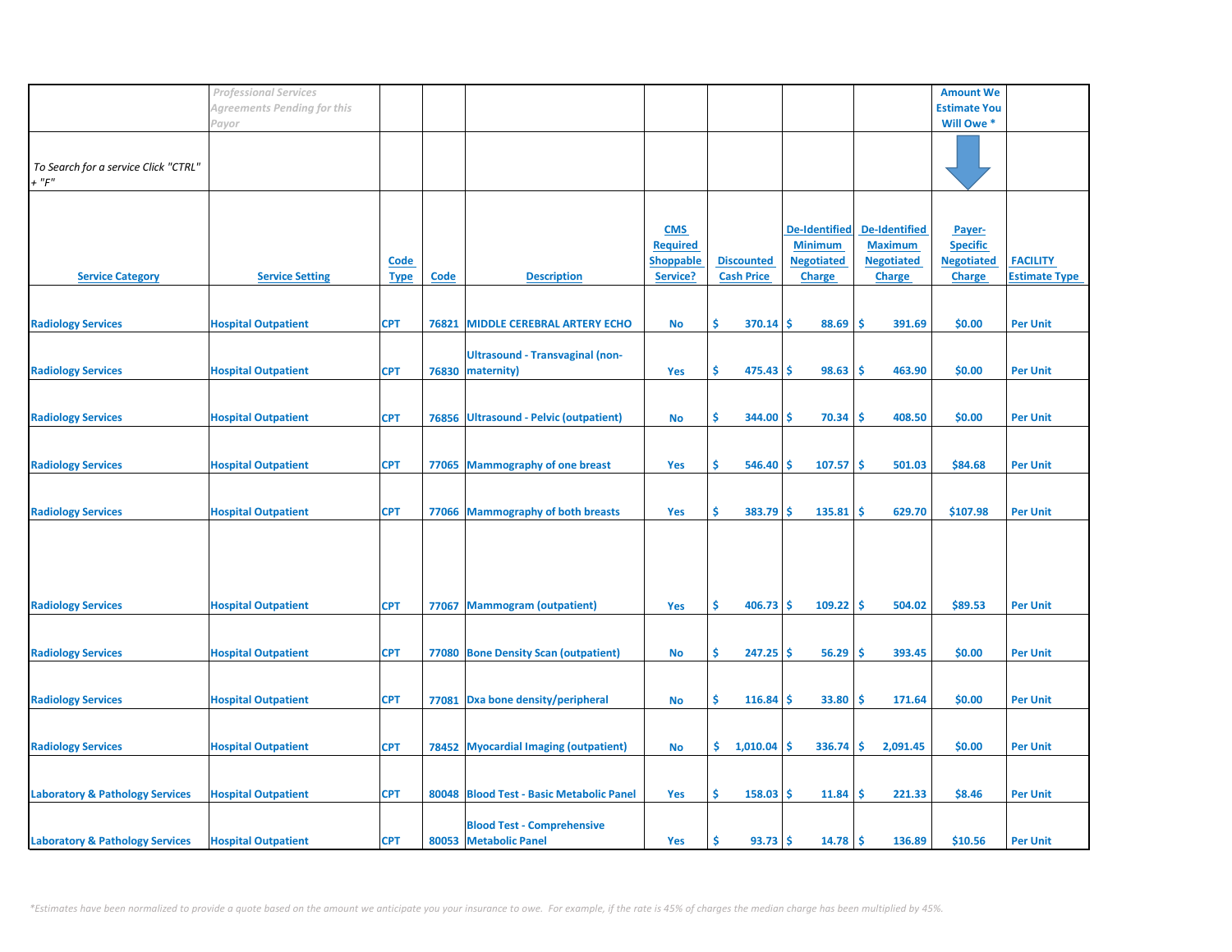|                                            | <b>Professional Services</b>       |             |             |                                          |                  |                   |                      |        |                      | <b>Amount We</b>    |                      |
|--------------------------------------------|------------------------------------|-------------|-------------|------------------------------------------|------------------|-------------------|----------------------|--------|----------------------|---------------------|----------------------|
|                                            | <b>Agreements Pending for this</b> |             |             |                                          |                  |                   |                      |        |                      | <b>Estimate You</b> |                      |
|                                            | Payor                              |             |             |                                          |                  |                   |                      |        |                      | Will Owe *          |                      |
|                                            |                                    |             |             |                                          |                  |                   |                      |        |                      |                     |                      |
|                                            |                                    |             |             |                                          |                  |                   |                      |        |                      |                     |                      |
| To Search for a service Click "CTRL"       |                                    |             |             |                                          |                  |                   |                      |        |                      |                     |                      |
| $+$ " $F$ "                                |                                    |             |             |                                          |                  |                   |                      |        |                      |                     |                      |
|                                            |                                    |             |             |                                          |                  |                   |                      |        |                      |                     |                      |
|                                            |                                    |             |             |                                          |                  |                   |                      |        |                      |                     |                      |
|                                            |                                    |             |             |                                          |                  |                   |                      |        |                      |                     |                      |
|                                            |                                    |             |             |                                          | <b>CMS</b>       |                   | <b>De-Identified</b> |        | <b>De-Identified</b> | Payer-              |                      |
|                                            |                                    |             |             |                                          | <b>Required</b>  |                   | <b>Minimum</b>       |        | <b>Maximum</b>       | <b>Specific</b>     |                      |
|                                            |                                    | <u>Code</u> |             |                                          | <b>Shoppable</b> | <b>Discounted</b> | <b>Negotiated</b>    |        | <b>Negotiated</b>    | <b>Negotiated</b>   | <b>FACILITY</b>      |
| <b>Service Category</b>                    | <b>Service Setting</b>             | <b>Type</b> | <b>Code</b> | <b>Description</b>                       | Service?         | <b>Cash Price</b> | <b>Charge</b>        |        | <b>Charge</b>        | <b>Charge</b>       | <b>Estimate Type</b> |
|                                            |                                    |             |             |                                          |                  |                   |                      |        |                      |                     |                      |
|                                            |                                    |             |             |                                          |                  |                   |                      |        |                      |                     |                      |
| <b>Radiology Services</b>                  | <b>Hospital Outpatient</b>         | <b>CPT</b>  | 76821       | <b>MIDDLE CEREBRAL ARTERY ECHO</b>       | <b>No</b>        | Ŝ.<br>370.14      | \$.                  | 88.69  | \$.<br>391.69        | \$0.00              | <b>Per Unit</b>      |
|                                            |                                    |             |             |                                          |                  |                   |                      |        |                      |                     |                      |
|                                            |                                    |             |             | <b>Ultrasound - Transvaginal (non-</b>   |                  |                   |                      |        |                      |                     |                      |
| <b>Radiology Services</b>                  | <b>Hospital Outpatient</b>         | <b>CPT</b>  | 76830       | maternity)                               | Yes              | \$<br>475.43      | \$                   | 98.63  | \$.<br>463.90        | \$0.00              | <b>Per Unit</b>      |
|                                            |                                    |             |             |                                          |                  |                   |                      |        |                      |                     |                      |
|                                            |                                    |             |             |                                          |                  |                   |                      |        |                      |                     |                      |
| <b>Radiology Services</b>                  | <b>Hospital Outpatient</b>         | <b>CPT</b>  |             | 76856 Ultrasound - Pelvic (outpatient)   | <b>No</b>        | \$<br>344.00      | \$.                  | 70.34  | \$.<br>408.50        | \$0.00              | <b>Per Unit</b>      |
|                                            |                                    |             |             |                                          |                  |                   |                      |        |                      |                     |                      |
|                                            |                                    |             |             |                                          |                  |                   |                      |        |                      |                     |                      |
|                                            |                                    |             |             |                                          |                  |                   |                      |        |                      |                     |                      |
| <b>Radiology Services</b>                  | <b>Hospital Outpatient</b>         | <b>CPT</b>  |             | 77065 Mammography of one breast          | Yes              | Ŝ.<br>546.40      | S                    | 107.57 | Ŝ<br>501.03          | \$84.68             | <b>Per Unit</b>      |
|                                            |                                    |             |             |                                          |                  |                   |                      |        |                      |                     |                      |
|                                            |                                    |             |             |                                          |                  |                   |                      |        |                      |                     |                      |
| <b>Radiology Services</b>                  | <b>Hospital Outpatient</b>         | <b>CPT</b>  |             | 77066 Mammography of both breasts        | Yes              | \$<br>383.79      | \$                   | 135.81 | \$<br>629.70         | \$107.98            | <b>Per Unit</b>      |
|                                            |                                    |             |             |                                          |                  |                   |                      |        |                      |                     |                      |
|                                            |                                    |             |             |                                          |                  |                   |                      |        |                      |                     |                      |
|                                            |                                    |             |             |                                          |                  |                   |                      |        |                      |                     |                      |
|                                            |                                    |             |             |                                          |                  |                   |                      |        |                      |                     |                      |
|                                            |                                    |             |             |                                          |                  |                   |                      |        |                      |                     |                      |
| <b>Radiology Services</b>                  | <b>Hospital Outpatient</b>         | <b>CPT</b>  | 77067       | <b>Mammogram (outpatient)</b>            | Yes              | Ŝ.<br>406.73      | \$                   | 109.22 | <b>S</b><br>504.02   | \$89.53             | <b>Per Unit</b>      |
|                                            |                                    |             |             |                                          |                  |                   |                      |        |                      |                     |                      |
|                                            |                                    |             |             |                                          |                  |                   |                      |        |                      |                     |                      |
| <b>Radiology Services</b>                  | <b>Hospital Outpatient</b>         | <b>CPT</b>  |             | 77080 Bone Density Scan (outpatient)     | <b>No</b>        | \$<br>247.25      | \$                   | 56.29  | \$<br>393.45         | \$0.00              | <b>Per Unit</b>      |
|                                            |                                    |             |             |                                          |                  |                   |                      |        |                      |                     |                      |
|                                            |                                    |             |             |                                          |                  |                   |                      |        |                      |                     |                      |
| <b>Radiology Services</b>                  | <b>Hospital Outpatient</b>         | <b>CPT</b>  | 77081       | Dxa bone density/peripheral              | No               | \$<br>116.84      | Ś                    | 33.80  | Ś<br>171.64          | \$0.00              | <b>Per Unit</b>      |
|                                            |                                    |             |             |                                          |                  |                   |                      |        |                      |                     |                      |
|                                            |                                    |             |             |                                          |                  |                   |                      |        |                      |                     |                      |
|                                            |                                    |             |             |                                          |                  |                   |                      |        |                      |                     |                      |
| <b>Radiology Services</b>                  | <b>Hospital Outpatient</b>         | <b>CPT</b>  |             | 78452 Myocardial Imaging (outpatient)    | <b>No</b>        | \$.<br>1,010.04   | S                    | 336.74 | <b>S</b><br>2,091.45 | \$0.00              | <b>Per Unit</b>      |
|                                            |                                    |             |             |                                          |                  |                   |                      |        |                      |                     |                      |
|                                            |                                    |             |             |                                          |                  |                   |                      |        |                      |                     |                      |
| <b>Laboratory &amp; Pathology Services</b> | <b>Hospital Outpatient</b>         | <b>CPT</b>  |             | 80048 Blood Test - Basic Metabolic Panel | Yes              | \$<br>158.03      | \$.                  | 11.84  | \$<br>221.33         | \$8.46              | <b>Per Unit</b>      |
|                                            |                                    |             |             |                                          |                  |                   |                      |        |                      |                     |                      |
|                                            |                                    |             |             | <b>Blood Test - Comprehensive</b>        |                  |                   |                      |        |                      |                     |                      |
| <b>Laboratory &amp; Pathology Services</b> | <b>Hospital Outpatient</b>         | <b>CPT</b>  |             | 80053 Metabolic Panel                    | Yes              | Ś<br>93.73        | \$.                  | 14.78  | Ŝ.<br>136.89         | \$10.56             | <b>Per Unit</b>      |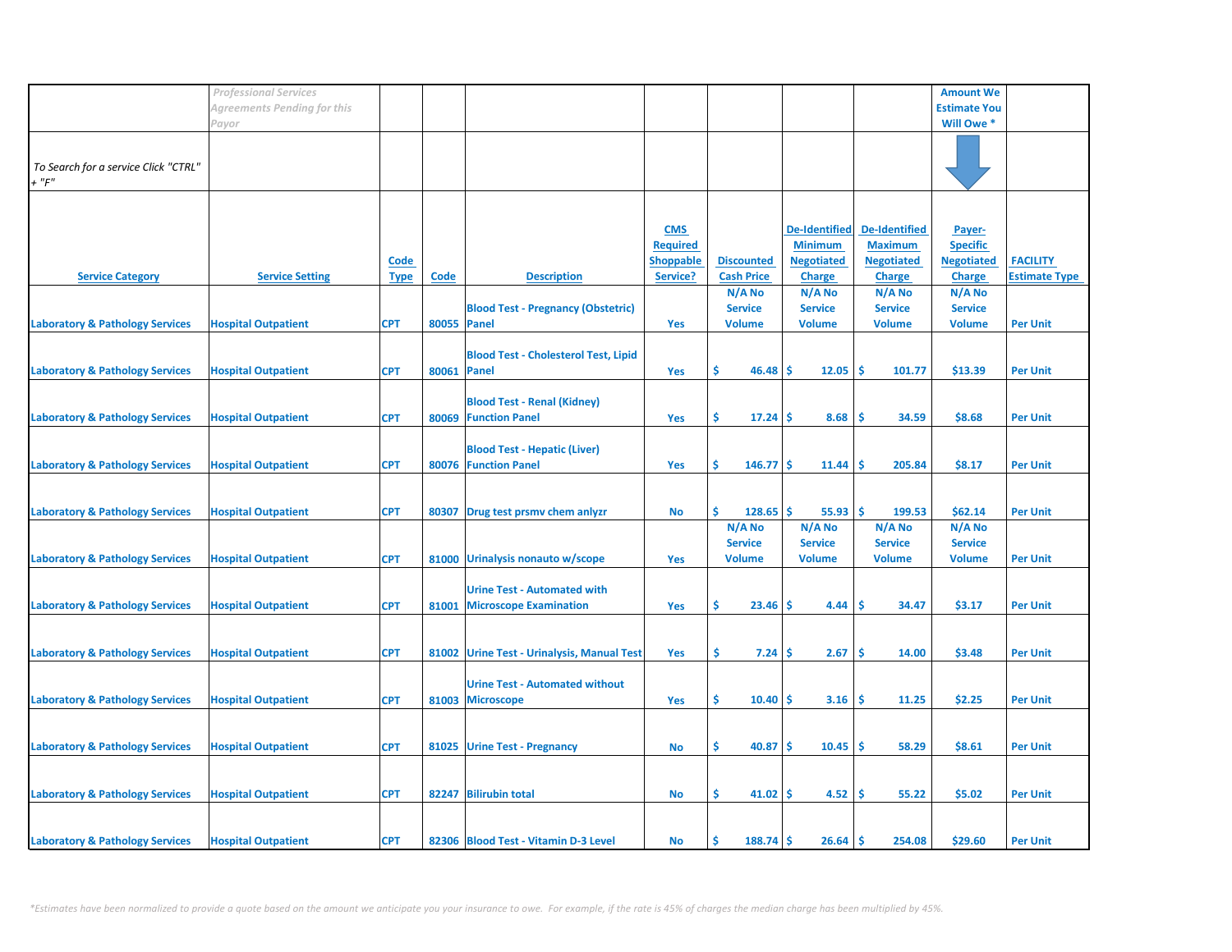|                                                 | <b>Professional Services</b> |                            |                    |                                                                     |                                                               |                                           |                                                                              |                                                                              | <b>Amount We</b>                                                |                                         |
|-------------------------------------------------|------------------------------|----------------------------|--------------------|---------------------------------------------------------------------|---------------------------------------------------------------|-------------------------------------------|------------------------------------------------------------------------------|------------------------------------------------------------------------------|-----------------------------------------------------------------|-----------------------------------------|
|                                                 | Agreements Pending for this  |                            |                    |                                                                     |                                                               |                                           |                                                                              |                                                                              | <b>Estimate You</b>                                             |                                         |
|                                                 | Payor                        |                            |                    |                                                                     |                                                               |                                           |                                                                              |                                                                              | Will Owe *                                                      |                                         |
| To Search for a service Click "CTRL"<br>$+$ "F" |                              |                            |                    |                                                                     |                                                               |                                           |                                                                              |                                                                              |                                                                 |                                         |
| <b>Service Category</b>                         | <b>Service Setting</b>       | <b>Code</b><br><b>Type</b> | <b>Code</b>        | <b>Description</b>                                                  | <b>CMS</b><br><b>Required</b><br><b>Shoppable</b><br>Service? | <b>Discounted</b><br><b>Cash Price</b>    | <b>De-Identified</b><br><b>Minimum</b><br><b>Negotiated</b><br><b>Charge</b> | <b>De-Identified</b><br><b>Maximum</b><br><b>Negotiated</b><br><b>Charge</b> | Payer-<br><b>Specific</b><br><b>Negotiated</b><br><b>Charge</b> | <b>FACILITY</b><br><b>Estimate Type</b> |
|                                                 |                              |                            |                    |                                                                     |                                                               | N/A No                                    | N/A No                                                                       | $N/A$ No                                                                     | N/A No                                                          |                                         |
| <b>Laboratory &amp; Pathology Services</b>      | <b>Hospital Outpatient</b>   | <b>CPT</b>                 | 80055 Panel        | <b>Blood Test - Pregnancy (Obstetric)</b>                           | Yes                                                           | <b>Service</b><br><b>Volume</b>           | <b>Service</b><br><b>Volume</b>                                              | <b>Service</b><br><b>Volume</b>                                              | <b>Service</b><br><b>Volume</b>                                 | <b>Per Unit</b>                         |
| <b>Laboratory &amp; Pathology Services</b>      | <b>Hospital Outpatient</b>   | <b>CPT</b>                 | <b>80061 Panel</b> | <b>Blood Test - Cholesterol Test, Lipid</b>                         | Yes                                                           | \$<br>46.48                               | ۱Ś<br>12.05                                                                  | 1\$<br>101.77                                                                | \$13.39                                                         | <b>Per Unit</b>                         |
| <b>Laboratory &amp; Pathology Services</b>      | <b>Hospital Outpatient</b>   | <b>CPT</b>                 | 80069              | <b>Blood Test - Renal (Kidney)</b><br><b>Function Panel</b>         | Yes                                                           | \$<br>$17.24$   \$                        | 8.68                                                                         | -Ś<br>34.59                                                                  | \$8.68                                                          | <b>Per Unit</b>                         |
| <b>Laboratory &amp; Pathology Services</b>      | <b>Hospital Outpatient</b>   | <b>CPT</b>                 | 80076              | <b>Blood Test - Hepatic (Liver)</b><br><b>Function Panel</b>        | Yes                                                           | \$<br>$146.77$ \$                         | 11.44                                                                        | ١\$<br>205.84                                                                | \$8.17                                                          | <b>Per Unit</b>                         |
| <b>Laboratory &amp; Pathology Services</b>      | <b>Hospital Outpatient</b>   | <b>CPT</b>                 |                    | 80307 Drug test prsmv chem anlyzr                                   | No                                                            | \$<br>128.65                              | ۱\$<br>55.93                                                                 | ١\$<br>199.53                                                                | \$62.14                                                         | <b>Per Unit</b>                         |
| <b>Laboratory &amp; Pathology Services</b>      | <b>Hospital Outpatient</b>   | <b>CPT</b>                 |                    | 81000 Urinalysis nonauto w/scope                                    | <b>Yes</b>                                                    | N/A No<br><b>Service</b><br><b>Volume</b> | N/A No<br><b>Service</b><br><b>Volume</b>                                    | N/A No<br><b>Service</b><br><b>Volume</b>                                    | N/A No<br><b>Service</b><br><b>Volume</b>                       | <b>Per Unit</b>                         |
| <b>Laboratory &amp; Pathology Services</b>      | <b>Hospital Outpatient</b>   | <b>CPT</b>                 | 81001              | <b>Urine Test - Automated with</b><br><b>Microscope Examination</b> | Yes                                                           | \$<br>23.46                               | 4.44<br>-S                                                                   | 34.47<br>s                                                                   | \$3.17                                                          | <b>Per Unit</b>                         |
| <b>Laboratory &amp; Pathology Services</b>      | <b>Hospital Outpatient</b>   | <b>CPT</b>                 |                    | 81002 Urine Test - Urinalysis, Manual Test                          | Yes                                                           | \$<br>7.24                                | 2.67<br>۱S                                                                   | -Ś<br>14.00                                                                  | \$3.48                                                          | <b>Per Unit</b>                         |
| <b>Laboratory &amp; Pathology Services</b>      | <b>Hospital Outpatient</b>   | <b>CPT</b>                 | 81003              | <b>Urine Test - Automated without</b><br><b>Microscope</b>          | Yes                                                           | \$<br>$10.40$ \$                          | 3.16                                                                         | 11.25<br>- \$                                                                | \$2.25                                                          | <b>Per Unit</b>                         |
|                                                 |                              |                            |                    |                                                                     |                                                               |                                           |                                                                              |                                                                              |                                                                 |                                         |
| <b>Laboratory &amp; Pathology Services</b>      | <b>Hospital Outpatient</b>   | <b>CPT</b>                 |                    | 81025 Urine Test - Pregnancy                                        | No                                                            | \$<br>$40.87$ \$                          | $10.45$ \$                                                                   | 58.29                                                                        | \$8.61                                                          | <b>Per Unit</b>                         |
| <b>Laboratory &amp; Pathology Services</b>      | <b>Hospital Outpatient</b>   | <b>CPT</b>                 |                    | 82247 Bilirubin total                                               | No                                                            | \$<br>$41.02$ \$                          | 4.52                                                                         | ۱\$<br>55.22                                                                 | \$5.02                                                          | <b>Per Unit</b>                         |
| <b>Laboratory &amp; Pathology Services</b>      | <b>Hospital Outpatient</b>   | <b>CPT</b>                 |                    | 82306 Blood Test - Vitamin D-3 Level                                | No                                                            | \$.<br>$188.74$ \$                        | 26.64                                                                        | ۱Ś<br>254.08                                                                 | \$29.60                                                         | <b>Per Unit</b>                         |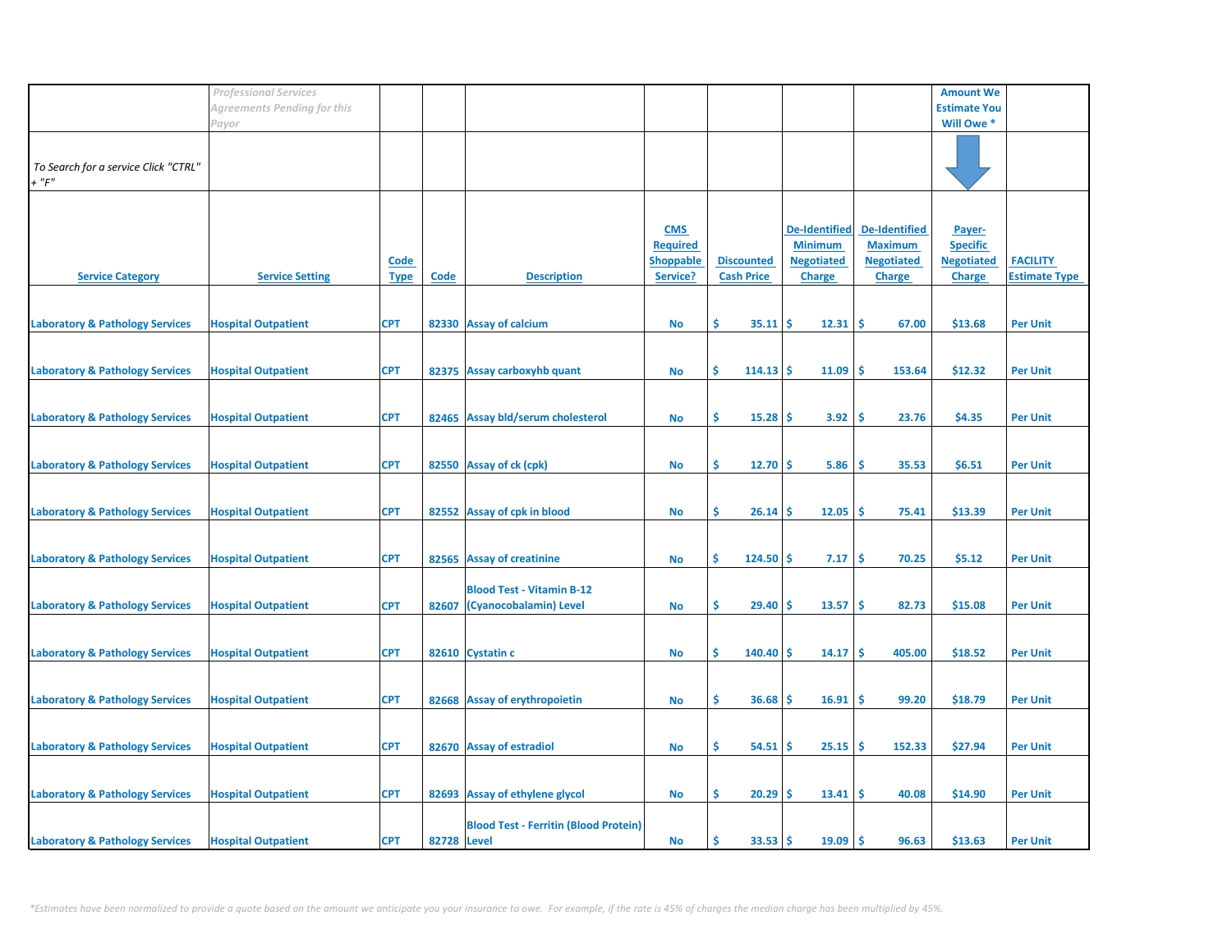| Agreements Pending for this<br><b>Estimate You</b><br>Will Owe *<br>Payor<br>To Search for a service Click "CTRL"<br>$+$ " $F$ "<br><b>De-Identified</b><br><b>De-Identified</b><br><b>CMS</b><br>Payer-<br><b>Required</b><br><b>Minimum</b><br><b>Maximum</b><br><b>Specific</b><br><b>Negotiated</b><br><b>Negotiated</b><br><b>Negotiated</b><br><b>FACILITY</b><br><b>Shoppable</b><br><b>Discounted</b><br><u>Code</u><br><b>Service Setting</b><br>Service?<br><b>Cash Price</b><br><b>Estimate Type</b><br><b>Service Category</b><br><b>Description</b><br><b>Charge</b><br><b>Type</b><br><b>Code</b><br><b>Charge</b><br><b>Charge</b><br>\$.<br>-Ś<br>\$13.68<br><b>Hospital Outpatient</b><br>82330 Assay of calcium<br>35.11<br>\$.<br>12.31<br>67.00<br><b>Per Unit</b><br><b>CPT</b><br>No<br><b>Laboratory &amp; Pathology Services</b><br><b>CPT</b><br>82375 Assay carboxyhb quant<br>\$<br>$114.13$ \$<br>11.09<br>\$<br>153.64<br>\$12.32<br><b>Hospital Outpatient</b><br><b>No</b><br><b>Per Unit</b><br><b>CPT</b><br>\$<br>\$4.35<br><b>Laboratory &amp; Pathology Services</b><br><b>Hospital Outpatient</b><br>82465 Assay bld/serum cholesterol<br>15.28<br>3.92<br>\$.<br>23.76<br><b>Per Unit</b><br><b>No</b><br>-S<br>\$.<br><b>Laboratory &amp; Pathology Services</b><br><b>Hospital Outpatient</b><br><b>CPT</b><br>82550 Assay of ck (cpk)<br>12.70<br>5.86<br>Ŝ<br>35.53<br>\$6.51<br><b>Per Unit</b><br><b>No</b><br>-S<br><b>CPT</b><br>\$<br>$26.14$ \$<br>12.05<br>-\$<br>75.41<br>\$13.39<br><b>Hospital Outpatient</b><br>82552 Assay of cpk in blood<br>No<br><b>Per Unit</b><br><b>CPT</b><br>Ŝ.<br>-\$<br>\$5.12<br><b>Laboratory &amp; Pathology Services</b><br><b>Hospital Outpatient</b><br>82565 Assay of creatinine<br>$124.50$ \$<br>7.17<br>70.25<br><b>Per Unit</b><br><b>No</b><br><b>Blood Test - Vitamin B-12</b><br>\$<br>-Ś<br><b>Laboratory &amp; Pathology Services</b><br><b>Hospital Outpatient</b><br><b>CPT</b><br>(Cyanocobalamin) Level<br>29.40<br>-S<br>13.57<br>82.73<br>\$15.08<br>82607<br><b>No</b><br><b>Per Unit</b><br><b>CPT</b><br>82610 Cystatin c<br>\$<br>140.40<br>14.17<br>-\$<br>405.00<br>\$18.52<br><b>Laboratory &amp; Pathology Services</b><br><b>Hospital Outpatient</b><br><b>No</b><br><b>S</b><br><b>Per Unit</b><br><b>CPT</b><br>\$<br>\$18.79<br><b>Laboratory &amp; Pathology Services</b><br><b>Hospital Outpatient</b><br>82668 Assay of erythropoietin<br>36.68<br>16.91<br>\$.<br>99.20<br><b>Per Unit</b><br>-S<br>No<br><b>CPT</b><br>\$.<br>\$.<br>\$27.94<br><b>Hospital Outpatient</b><br>82670 Assay of estradiol<br>54.51<br>25.15<br>152.33<br><b>Per Unit</b><br><b>No</b><br>-S<br><b>CPT</b><br>82693 Assay of ethylene glycol<br>\$.<br>20.29<br>13.41<br>-\$<br>40.08<br>\$14.90<br><b>Hospital Outpatient</b><br>No<br>-\$<br><b>Per Unit</b><br><b>Blood Test - Ferritin (Blood Protein)</b><br><b>CPT</b><br>82728 Level<br>\$<br>33.53<br>19.09<br><b>S</b><br>\$13.63<br><b>Hospital Outpatient</b><br><b>No</b><br>-S<br>96.63<br><b>Per Unit</b> |                                            | <b>Professional Services</b> |  |  |  | <b>Amount We</b> |  |
|----------------------------------------------------------------------------------------------------------------------------------------------------------------------------------------------------------------------------------------------------------------------------------------------------------------------------------------------------------------------------------------------------------------------------------------------------------------------------------------------------------------------------------------------------------------------------------------------------------------------------------------------------------------------------------------------------------------------------------------------------------------------------------------------------------------------------------------------------------------------------------------------------------------------------------------------------------------------------------------------------------------------------------------------------------------------------------------------------------------------------------------------------------------------------------------------------------------------------------------------------------------------------------------------------------------------------------------------------------------------------------------------------------------------------------------------------------------------------------------------------------------------------------------------------------------------------------------------------------------------------------------------------------------------------------------------------------------------------------------------------------------------------------------------------------------------------------------------------------------------------------------------------------------------------------------------------------------------------------------------------------------------------------------------------------------------------------------------------------------------------------------------------------------------------------------------------------------------------------------------------------------------------------------------------------------------------------------------------------------------------------------------------------------------------------------------------------------------------------------------------------------------------------------------------------------------------------------------------------------------------------------------------------------------------------------------------------------------------------------------------------------------------------------------------------------------------------------------------------------------------------------------------------------------------------------------------------------------------------------------------------------------------------------------------------------------------|--------------------------------------------|------------------------------|--|--|--|------------------|--|
|                                                                                                                                                                                                                                                                                                                                                                                                                                                                                                                                                                                                                                                                                                                                                                                                                                                                                                                                                                                                                                                                                                                                                                                                                                                                                                                                                                                                                                                                                                                                                                                                                                                                                                                                                                                                                                                                                                                                                                                                                                                                                                                                                                                                                                                                                                                                                                                                                                                                                                                                                                                                                                                                                                                                                                                                                                                                                                                                                                                                                                                                            |                                            |                              |  |  |  |                  |  |
|                                                                                                                                                                                                                                                                                                                                                                                                                                                                                                                                                                                                                                                                                                                                                                                                                                                                                                                                                                                                                                                                                                                                                                                                                                                                                                                                                                                                                                                                                                                                                                                                                                                                                                                                                                                                                                                                                                                                                                                                                                                                                                                                                                                                                                                                                                                                                                                                                                                                                                                                                                                                                                                                                                                                                                                                                                                                                                                                                                                                                                                                            |                                            |                              |  |  |  |                  |  |
|                                                                                                                                                                                                                                                                                                                                                                                                                                                                                                                                                                                                                                                                                                                                                                                                                                                                                                                                                                                                                                                                                                                                                                                                                                                                                                                                                                                                                                                                                                                                                                                                                                                                                                                                                                                                                                                                                                                                                                                                                                                                                                                                                                                                                                                                                                                                                                                                                                                                                                                                                                                                                                                                                                                                                                                                                                                                                                                                                                                                                                                                            |                                            |                              |  |  |  |                  |  |
|                                                                                                                                                                                                                                                                                                                                                                                                                                                                                                                                                                                                                                                                                                                                                                                                                                                                                                                                                                                                                                                                                                                                                                                                                                                                                                                                                                                                                                                                                                                                                                                                                                                                                                                                                                                                                                                                                                                                                                                                                                                                                                                                                                                                                                                                                                                                                                                                                                                                                                                                                                                                                                                                                                                                                                                                                                                                                                                                                                                                                                                                            |                                            |                              |  |  |  |                  |  |
|                                                                                                                                                                                                                                                                                                                                                                                                                                                                                                                                                                                                                                                                                                                                                                                                                                                                                                                                                                                                                                                                                                                                                                                                                                                                                                                                                                                                                                                                                                                                                                                                                                                                                                                                                                                                                                                                                                                                                                                                                                                                                                                                                                                                                                                                                                                                                                                                                                                                                                                                                                                                                                                                                                                                                                                                                                                                                                                                                                                                                                                                            |                                            |                              |  |  |  |                  |  |
|                                                                                                                                                                                                                                                                                                                                                                                                                                                                                                                                                                                                                                                                                                                                                                                                                                                                                                                                                                                                                                                                                                                                                                                                                                                                                                                                                                                                                                                                                                                                                                                                                                                                                                                                                                                                                                                                                                                                                                                                                                                                                                                                                                                                                                                                                                                                                                                                                                                                                                                                                                                                                                                                                                                                                                                                                                                                                                                                                                                                                                                                            |                                            |                              |  |  |  |                  |  |
|                                                                                                                                                                                                                                                                                                                                                                                                                                                                                                                                                                                                                                                                                                                                                                                                                                                                                                                                                                                                                                                                                                                                                                                                                                                                                                                                                                                                                                                                                                                                                                                                                                                                                                                                                                                                                                                                                                                                                                                                                                                                                                                                                                                                                                                                                                                                                                                                                                                                                                                                                                                                                                                                                                                                                                                                                                                                                                                                                                                                                                                                            |                                            |                              |  |  |  |                  |  |
|                                                                                                                                                                                                                                                                                                                                                                                                                                                                                                                                                                                                                                                                                                                                                                                                                                                                                                                                                                                                                                                                                                                                                                                                                                                                                                                                                                                                                                                                                                                                                                                                                                                                                                                                                                                                                                                                                                                                                                                                                                                                                                                                                                                                                                                                                                                                                                                                                                                                                                                                                                                                                                                                                                                                                                                                                                                                                                                                                                                                                                                                            |                                            |                              |  |  |  |                  |  |
|                                                                                                                                                                                                                                                                                                                                                                                                                                                                                                                                                                                                                                                                                                                                                                                                                                                                                                                                                                                                                                                                                                                                                                                                                                                                                                                                                                                                                                                                                                                                                                                                                                                                                                                                                                                                                                                                                                                                                                                                                                                                                                                                                                                                                                                                                                                                                                                                                                                                                                                                                                                                                                                                                                                                                                                                                                                                                                                                                                                                                                                                            |                                            |                              |  |  |  |                  |  |
|                                                                                                                                                                                                                                                                                                                                                                                                                                                                                                                                                                                                                                                                                                                                                                                                                                                                                                                                                                                                                                                                                                                                                                                                                                                                                                                                                                                                                                                                                                                                                                                                                                                                                                                                                                                                                                                                                                                                                                                                                                                                                                                                                                                                                                                                                                                                                                                                                                                                                                                                                                                                                                                                                                                                                                                                                                                                                                                                                                                                                                                                            |                                            |                              |  |  |  |                  |  |
|                                                                                                                                                                                                                                                                                                                                                                                                                                                                                                                                                                                                                                                                                                                                                                                                                                                                                                                                                                                                                                                                                                                                                                                                                                                                                                                                                                                                                                                                                                                                                                                                                                                                                                                                                                                                                                                                                                                                                                                                                                                                                                                                                                                                                                                                                                                                                                                                                                                                                                                                                                                                                                                                                                                                                                                                                                                                                                                                                                                                                                                                            |                                            |                              |  |  |  |                  |  |
|                                                                                                                                                                                                                                                                                                                                                                                                                                                                                                                                                                                                                                                                                                                                                                                                                                                                                                                                                                                                                                                                                                                                                                                                                                                                                                                                                                                                                                                                                                                                                                                                                                                                                                                                                                                                                                                                                                                                                                                                                                                                                                                                                                                                                                                                                                                                                                                                                                                                                                                                                                                                                                                                                                                                                                                                                                                                                                                                                                                                                                                                            |                                            |                              |  |  |  |                  |  |
|                                                                                                                                                                                                                                                                                                                                                                                                                                                                                                                                                                                                                                                                                                                                                                                                                                                                                                                                                                                                                                                                                                                                                                                                                                                                                                                                                                                                                                                                                                                                                                                                                                                                                                                                                                                                                                                                                                                                                                                                                                                                                                                                                                                                                                                                                                                                                                                                                                                                                                                                                                                                                                                                                                                                                                                                                                                                                                                                                                                                                                                                            |                                            |                              |  |  |  |                  |  |
|                                                                                                                                                                                                                                                                                                                                                                                                                                                                                                                                                                                                                                                                                                                                                                                                                                                                                                                                                                                                                                                                                                                                                                                                                                                                                                                                                                                                                                                                                                                                                                                                                                                                                                                                                                                                                                                                                                                                                                                                                                                                                                                                                                                                                                                                                                                                                                                                                                                                                                                                                                                                                                                                                                                                                                                                                                                                                                                                                                                                                                                                            |                                            |                              |  |  |  |                  |  |
|                                                                                                                                                                                                                                                                                                                                                                                                                                                                                                                                                                                                                                                                                                                                                                                                                                                                                                                                                                                                                                                                                                                                                                                                                                                                                                                                                                                                                                                                                                                                                                                                                                                                                                                                                                                                                                                                                                                                                                                                                                                                                                                                                                                                                                                                                                                                                                                                                                                                                                                                                                                                                                                                                                                                                                                                                                                                                                                                                                                                                                                                            |                                            |                              |  |  |  |                  |  |
|                                                                                                                                                                                                                                                                                                                                                                                                                                                                                                                                                                                                                                                                                                                                                                                                                                                                                                                                                                                                                                                                                                                                                                                                                                                                                                                                                                                                                                                                                                                                                                                                                                                                                                                                                                                                                                                                                                                                                                                                                                                                                                                                                                                                                                                                                                                                                                                                                                                                                                                                                                                                                                                                                                                                                                                                                                                                                                                                                                                                                                                                            | <b>Laboratory &amp; Pathology Services</b> |                              |  |  |  |                  |  |
|                                                                                                                                                                                                                                                                                                                                                                                                                                                                                                                                                                                                                                                                                                                                                                                                                                                                                                                                                                                                                                                                                                                                                                                                                                                                                                                                                                                                                                                                                                                                                                                                                                                                                                                                                                                                                                                                                                                                                                                                                                                                                                                                                                                                                                                                                                                                                                                                                                                                                                                                                                                                                                                                                                                                                                                                                                                                                                                                                                                                                                                                            |                                            |                              |  |  |  |                  |  |
|                                                                                                                                                                                                                                                                                                                                                                                                                                                                                                                                                                                                                                                                                                                                                                                                                                                                                                                                                                                                                                                                                                                                                                                                                                                                                                                                                                                                                                                                                                                                                                                                                                                                                                                                                                                                                                                                                                                                                                                                                                                                                                                                                                                                                                                                                                                                                                                                                                                                                                                                                                                                                                                                                                                                                                                                                                                                                                                                                                                                                                                                            |                                            |                              |  |  |  |                  |  |
|                                                                                                                                                                                                                                                                                                                                                                                                                                                                                                                                                                                                                                                                                                                                                                                                                                                                                                                                                                                                                                                                                                                                                                                                                                                                                                                                                                                                                                                                                                                                                                                                                                                                                                                                                                                                                                                                                                                                                                                                                                                                                                                                                                                                                                                                                                                                                                                                                                                                                                                                                                                                                                                                                                                                                                                                                                                                                                                                                                                                                                                                            |                                            |                              |  |  |  |                  |  |
|                                                                                                                                                                                                                                                                                                                                                                                                                                                                                                                                                                                                                                                                                                                                                                                                                                                                                                                                                                                                                                                                                                                                                                                                                                                                                                                                                                                                                                                                                                                                                                                                                                                                                                                                                                                                                                                                                                                                                                                                                                                                                                                                                                                                                                                                                                                                                                                                                                                                                                                                                                                                                                                                                                                                                                                                                                                                                                                                                                                                                                                                            |                                            |                              |  |  |  |                  |  |
|                                                                                                                                                                                                                                                                                                                                                                                                                                                                                                                                                                                                                                                                                                                                                                                                                                                                                                                                                                                                                                                                                                                                                                                                                                                                                                                                                                                                                                                                                                                                                                                                                                                                                                                                                                                                                                                                                                                                                                                                                                                                                                                                                                                                                                                                                                                                                                                                                                                                                                                                                                                                                                                                                                                                                                                                                                                                                                                                                                                                                                                                            |                                            |                              |  |  |  |                  |  |
|                                                                                                                                                                                                                                                                                                                                                                                                                                                                                                                                                                                                                                                                                                                                                                                                                                                                                                                                                                                                                                                                                                                                                                                                                                                                                                                                                                                                                                                                                                                                                                                                                                                                                                                                                                                                                                                                                                                                                                                                                                                                                                                                                                                                                                                                                                                                                                                                                                                                                                                                                                                                                                                                                                                                                                                                                                                                                                                                                                                                                                                                            |                                            |                              |  |  |  |                  |  |
|                                                                                                                                                                                                                                                                                                                                                                                                                                                                                                                                                                                                                                                                                                                                                                                                                                                                                                                                                                                                                                                                                                                                                                                                                                                                                                                                                                                                                                                                                                                                                                                                                                                                                                                                                                                                                                                                                                                                                                                                                                                                                                                                                                                                                                                                                                                                                                                                                                                                                                                                                                                                                                                                                                                                                                                                                                                                                                                                                                                                                                                                            |                                            |                              |  |  |  |                  |  |
|                                                                                                                                                                                                                                                                                                                                                                                                                                                                                                                                                                                                                                                                                                                                                                                                                                                                                                                                                                                                                                                                                                                                                                                                                                                                                                                                                                                                                                                                                                                                                                                                                                                                                                                                                                                                                                                                                                                                                                                                                                                                                                                                                                                                                                                                                                                                                                                                                                                                                                                                                                                                                                                                                                                                                                                                                                                                                                                                                                                                                                                                            |                                            |                              |  |  |  |                  |  |
|                                                                                                                                                                                                                                                                                                                                                                                                                                                                                                                                                                                                                                                                                                                                                                                                                                                                                                                                                                                                                                                                                                                                                                                                                                                                                                                                                                                                                                                                                                                                                                                                                                                                                                                                                                                                                                                                                                                                                                                                                                                                                                                                                                                                                                                                                                                                                                                                                                                                                                                                                                                                                                                                                                                                                                                                                                                                                                                                                                                                                                                                            |                                            |                              |  |  |  |                  |  |
|                                                                                                                                                                                                                                                                                                                                                                                                                                                                                                                                                                                                                                                                                                                                                                                                                                                                                                                                                                                                                                                                                                                                                                                                                                                                                                                                                                                                                                                                                                                                                                                                                                                                                                                                                                                                                                                                                                                                                                                                                                                                                                                                                                                                                                                                                                                                                                                                                                                                                                                                                                                                                                                                                                                                                                                                                                                                                                                                                                                                                                                                            |                                            |                              |  |  |  |                  |  |
|                                                                                                                                                                                                                                                                                                                                                                                                                                                                                                                                                                                                                                                                                                                                                                                                                                                                                                                                                                                                                                                                                                                                                                                                                                                                                                                                                                                                                                                                                                                                                                                                                                                                                                                                                                                                                                                                                                                                                                                                                                                                                                                                                                                                                                                                                                                                                                                                                                                                                                                                                                                                                                                                                                                                                                                                                                                                                                                                                                                                                                                                            |                                            |                              |  |  |  |                  |  |
|                                                                                                                                                                                                                                                                                                                                                                                                                                                                                                                                                                                                                                                                                                                                                                                                                                                                                                                                                                                                                                                                                                                                                                                                                                                                                                                                                                                                                                                                                                                                                                                                                                                                                                                                                                                                                                                                                                                                                                                                                                                                                                                                                                                                                                                                                                                                                                                                                                                                                                                                                                                                                                                                                                                                                                                                                                                                                                                                                                                                                                                                            |                                            |                              |  |  |  |                  |  |
|                                                                                                                                                                                                                                                                                                                                                                                                                                                                                                                                                                                                                                                                                                                                                                                                                                                                                                                                                                                                                                                                                                                                                                                                                                                                                                                                                                                                                                                                                                                                                                                                                                                                                                                                                                                                                                                                                                                                                                                                                                                                                                                                                                                                                                                                                                                                                                                                                                                                                                                                                                                                                                                                                                                                                                                                                                                                                                                                                                                                                                                                            | <b>Laboratory &amp; Pathology Services</b> |                              |  |  |  |                  |  |
|                                                                                                                                                                                                                                                                                                                                                                                                                                                                                                                                                                                                                                                                                                                                                                                                                                                                                                                                                                                                                                                                                                                                                                                                                                                                                                                                                                                                                                                                                                                                                                                                                                                                                                                                                                                                                                                                                                                                                                                                                                                                                                                                                                                                                                                                                                                                                                                                                                                                                                                                                                                                                                                                                                                                                                                                                                                                                                                                                                                                                                                                            |                                            |                              |  |  |  |                  |  |
|                                                                                                                                                                                                                                                                                                                                                                                                                                                                                                                                                                                                                                                                                                                                                                                                                                                                                                                                                                                                                                                                                                                                                                                                                                                                                                                                                                                                                                                                                                                                                                                                                                                                                                                                                                                                                                                                                                                                                                                                                                                                                                                                                                                                                                                                                                                                                                                                                                                                                                                                                                                                                                                                                                                                                                                                                                                                                                                                                                                                                                                                            |                                            |                              |  |  |  |                  |  |
|                                                                                                                                                                                                                                                                                                                                                                                                                                                                                                                                                                                                                                                                                                                                                                                                                                                                                                                                                                                                                                                                                                                                                                                                                                                                                                                                                                                                                                                                                                                                                                                                                                                                                                                                                                                                                                                                                                                                                                                                                                                                                                                                                                                                                                                                                                                                                                                                                                                                                                                                                                                                                                                                                                                                                                                                                                                                                                                                                                                                                                                                            |                                            |                              |  |  |  |                  |  |
|                                                                                                                                                                                                                                                                                                                                                                                                                                                                                                                                                                                                                                                                                                                                                                                                                                                                                                                                                                                                                                                                                                                                                                                                                                                                                                                                                                                                                                                                                                                                                                                                                                                                                                                                                                                                                                                                                                                                                                                                                                                                                                                                                                                                                                                                                                                                                                                                                                                                                                                                                                                                                                                                                                                                                                                                                                                                                                                                                                                                                                                                            |                                            |                              |  |  |  |                  |  |
|                                                                                                                                                                                                                                                                                                                                                                                                                                                                                                                                                                                                                                                                                                                                                                                                                                                                                                                                                                                                                                                                                                                                                                                                                                                                                                                                                                                                                                                                                                                                                                                                                                                                                                                                                                                                                                                                                                                                                                                                                                                                                                                                                                                                                                                                                                                                                                                                                                                                                                                                                                                                                                                                                                                                                                                                                                                                                                                                                                                                                                                                            |                                            |                              |  |  |  |                  |  |
|                                                                                                                                                                                                                                                                                                                                                                                                                                                                                                                                                                                                                                                                                                                                                                                                                                                                                                                                                                                                                                                                                                                                                                                                                                                                                                                                                                                                                                                                                                                                                                                                                                                                                                                                                                                                                                                                                                                                                                                                                                                                                                                                                                                                                                                                                                                                                                                                                                                                                                                                                                                                                                                                                                                                                                                                                                                                                                                                                                                                                                                                            |                                            |                              |  |  |  |                  |  |
|                                                                                                                                                                                                                                                                                                                                                                                                                                                                                                                                                                                                                                                                                                                                                                                                                                                                                                                                                                                                                                                                                                                                                                                                                                                                                                                                                                                                                                                                                                                                                                                                                                                                                                                                                                                                                                                                                                                                                                                                                                                                                                                                                                                                                                                                                                                                                                                                                                                                                                                                                                                                                                                                                                                                                                                                                                                                                                                                                                                                                                                                            |                                            |                              |  |  |  |                  |  |
|                                                                                                                                                                                                                                                                                                                                                                                                                                                                                                                                                                                                                                                                                                                                                                                                                                                                                                                                                                                                                                                                                                                                                                                                                                                                                                                                                                                                                                                                                                                                                                                                                                                                                                                                                                                                                                                                                                                                                                                                                                                                                                                                                                                                                                                                                                                                                                                                                                                                                                                                                                                                                                                                                                                                                                                                                                                                                                                                                                                                                                                                            |                                            |                              |  |  |  |                  |  |
|                                                                                                                                                                                                                                                                                                                                                                                                                                                                                                                                                                                                                                                                                                                                                                                                                                                                                                                                                                                                                                                                                                                                                                                                                                                                                                                                                                                                                                                                                                                                                                                                                                                                                                                                                                                                                                                                                                                                                                                                                                                                                                                                                                                                                                                                                                                                                                                                                                                                                                                                                                                                                                                                                                                                                                                                                                                                                                                                                                                                                                                                            |                                            |                              |  |  |  |                  |  |
|                                                                                                                                                                                                                                                                                                                                                                                                                                                                                                                                                                                                                                                                                                                                                                                                                                                                                                                                                                                                                                                                                                                                                                                                                                                                                                                                                                                                                                                                                                                                                                                                                                                                                                                                                                                                                                                                                                                                                                                                                                                                                                                                                                                                                                                                                                                                                                                                                                                                                                                                                                                                                                                                                                                                                                                                                                                                                                                                                                                                                                                                            |                                            |                              |  |  |  |                  |  |
|                                                                                                                                                                                                                                                                                                                                                                                                                                                                                                                                                                                                                                                                                                                                                                                                                                                                                                                                                                                                                                                                                                                                                                                                                                                                                                                                                                                                                                                                                                                                                                                                                                                                                                                                                                                                                                                                                                                                                                                                                                                                                                                                                                                                                                                                                                                                                                                                                                                                                                                                                                                                                                                                                                                                                                                                                                                                                                                                                                                                                                                                            |                                            |                              |  |  |  |                  |  |
|                                                                                                                                                                                                                                                                                                                                                                                                                                                                                                                                                                                                                                                                                                                                                                                                                                                                                                                                                                                                                                                                                                                                                                                                                                                                                                                                                                                                                                                                                                                                                                                                                                                                                                                                                                                                                                                                                                                                                                                                                                                                                                                                                                                                                                                                                                                                                                                                                                                                                                                                                                                                                                                                                                                                                                                                                                                                                                                                                                                                                                                                            |                                            |                              |  |  |  |                  |  |
|                                                                                                                                                                                                                                                                                                                                                                                                                                                                                                                                                                                                                                                                                                                                                                                                                                                                                                                                                                                                                                                                                                                                                                                                                                                                                                                                                                                                                                                                                                                                                                                                                                                                                                                                                                                                                                                                                                                                                                                                                                                                                                                                                                                                                                                                                                                                                                                                                                                                                                                                                                                                                                                                                                                                                                                                                                                                                                                                                                                                                                                                            |                                            |                              |  |  |  |                  |  |
|                                                                                                                                                                                                                                                                                                                                                                                                                                                                                                                                                                                                                                                                                                                                                                                                                                                                                                                                                                                                                                                                                                                                                                                                                                                                                                                                                                                                                                                                                                                                                                                                                                                                                                                                                                                                                                                                                                                                                                                                                                                                                                                                                                                                                                                                                                                                                                                                                                                                                                                                                                                                                                                                                                                                                                                                                                                                                                                                                                                                                                                                            |                                            |                              |  |  |  |                  |  |
|                                                                                                                                                                                                                                                                                                                                                                                                                                                                                                                                                                                                                                                                                                                                                                                                                                                                                                                                                                                                                                                                                                                                                                                                                                                                                                                                                                                                                                                                                                                                                                                                                                                                                                                                                                                                                                                                                                                                                                                                                                                                                                                                                                                                                                                                                                                                                                                                                                                                                                                                                                                                                                                                                                                                                                                                                                                                                                                                                                                                                                                                            |                                            |                              |  |  |  |                  |  |
|                                                                                                                                                                                                                                                                                                                                                                                                                                                                                                                                                                                                                                                                                                                                                                                                                                                                                                                                                                                                                                                                                                                                                                                                                                                                                                                                                                                                                                                                                                                                                                                                                                                                                                                                                                                                                                                                                                                                                                                                                                                                                                                                                                                                                                                                                                                                                                                                                                                                                                                                                                                                                                                                                                                                                                                                                                                                                                                                                                                                                                                                            | <b>Laboratory &amp; Pathology Services</b> |                              |  |  |  |                  |  |
|                                                                                                                                                                                                                                                                                                                                                                                                                                                                                                                                                                                                                                                                                                                                                                                                                                                                                                                                                                                                                                                                                                                                                                                                                                                                                                                                                                                                                                                                                                                                                                                                                                                                                                                                                                                                                                                                                                                                                                                                                                                                                                                                                                                                                                                                                                                                                                                                                                                                                                                                                                                                                                                                                                                                                                                                                                                                                                                                                                                                                                                                            |                                            |                              |  |  |  |                  |  |
|                                                                                                                                                                                                                                                                                                                                                                                                                                                                                                                                                                                                                                                                                                                                                                                                                                                                                                                                                                                                                                                                                                                                                                                                                                                                                                                                                                                                                                                                                                                                                                                                                                                                                                                                                                                                                                                                                                                                                                                                                                                                                                                                                                                                                                                                                                                                                                                                                                                                                                                                                                                                                                                                                                                                                                                                                                                                                                                                                                                                                                                                            |                                            |                              |  |  |  |                  |  |
|                                                                                                                                                                                                                                                                                                                                                                                                                                                                                                                                                                                                                                                                                                                                                                                                                                                                                                                                                                                                                                                                                                                                                                                                                                                                                                                                                                                                                                                                                                                                                                                                                                                                                                                                                                                                                                                                                                                                                                                                                                                                                                                                                                                                                                                                                                                                                                                                                                                                                                                                                                                                                                                                                                                                                                                                                                                                                                                                                                                                                                                                            | <b>Laboratory &amp; Pathology Services</b> |                              |  |  |  |                  |  |
|                                                                                                                                                                                                                                                                                                                                                                                                                                                                                                                                                                                                                                                                                                                                                                                                                                                                                                                                                                                                                                                                                                                                                                                                                                                                                                                                                                                                                                                                                                                                                                                                                                                                                                                                                                                                                                                                                                                                                                                                                                                                                                                                                                                                                                                                                                                                                                                                                                                                                                                                                                                                                                                                                                                                                                                                                                                                                                                                                                                                                                                                            |                                            |                              |  |  |  |                  |  |
|                                                                                                                                                                                                                                                                                                                                                                                                                                                                                                                                                                                                                                                                                                                                                                                                                                                                                                                                                                                                                                                                                                                                                                                                                                                                                                                                                                                                                                                                                                                                                                                                                                                                                                                                                                                                                                                                                                                                                                                                                                                                                                                                                                                                                                                                                                                                                                                                                                                                                                                                                                                                                                                                                                                                                                                                                                                                                                                                                                                                                                                                            |                                            |                              |  |  |  |                  |  |
|                                                                                                                                                                                                                                                                                                                                                                                                                                                                                                                                                                                                                                                                                                                                                                                                                                                                                                                                                                                                                                                                                                                                                                                                                                                                                                                                                                                                                                                                                                                                                                                                                                                                                                                                                                                                                                                                                                                                                                                                                                                                                                                                                                                                                                                                                                                                                                                                                                                                                                                                                                                                                                                                                                                                                                                                                                                                                                                                                                                                                                                                            | <b>Laboratory &amp; Pathology Services</b> |                              |  |  |  |                  |  |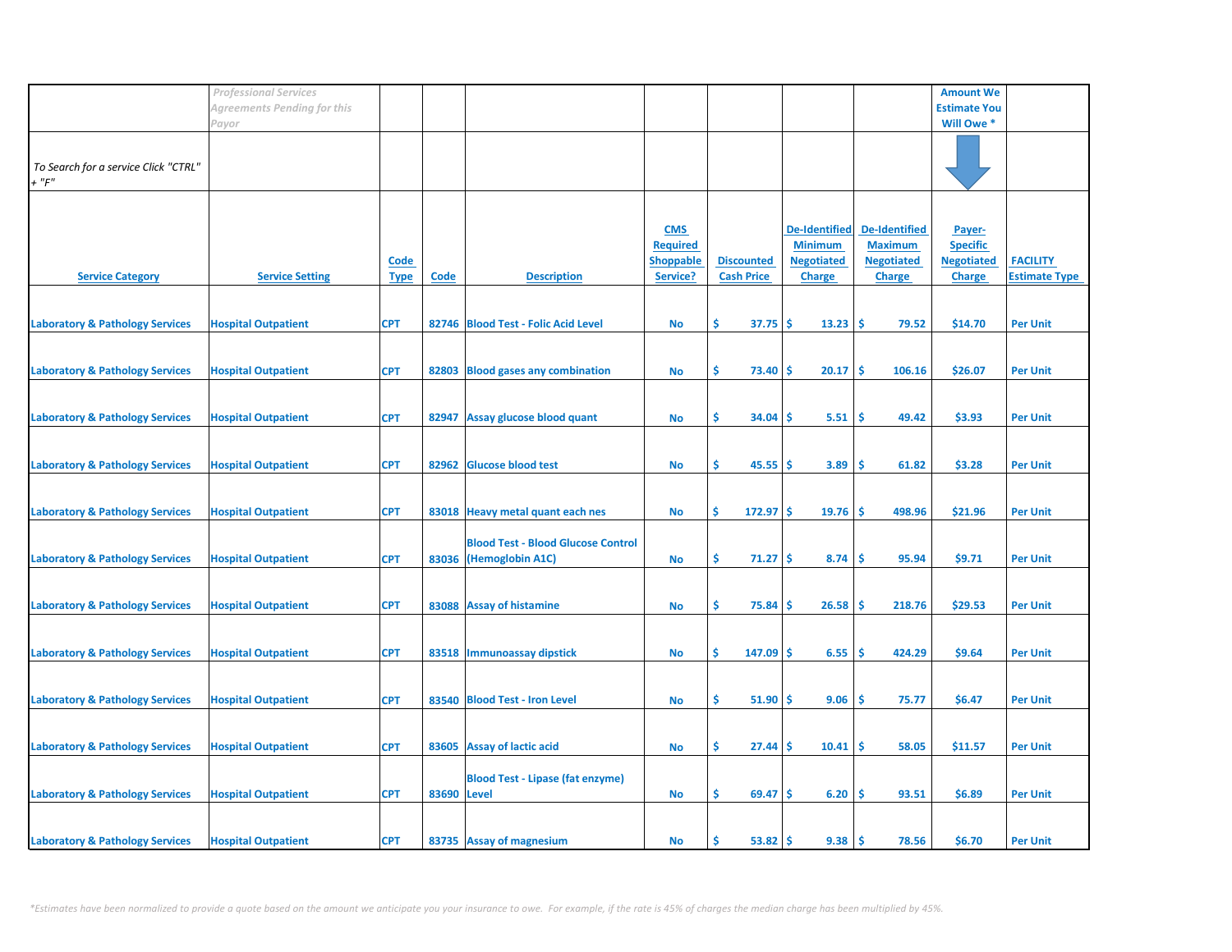|                                            | <b>Professional Services</b> |             |             |                                           |                  |                   |                      |                      | <b>Amount We</b>    |                      |
|--------------------------------------------|------------------------------|-------------|-------------|-------------------------------------------|------------------|-------------------|----------------------|----------------------|---------------------|----------------------|
|                                            | Agreements Pending for this  |             |             |                                           |                  |                   |                      |                      | <b>Estimate You</b> |                      |
|                                            | Payor                        |             |             |                                           |                  |                   |                      |                      | Will Owe *          |                      |
|                                            |                              |             |             |                                           |                  |                   |                      |                      |                     |                      |
|                                            |                              |             |             |                                           |                  |                   |                      |                      |                     |                      |
| To Search for a service Click "CTRL"       |                              |             |             |                                           |                  |                   |                      |                      |                     |                      |
| $+$ " $F$ "                                |                              |             |             |                                           |                  |                   |                      |                      |                     |                      |
|                                            |                              |             |             |                                           |                  |                   |                      |                      |                     |                      |
|                                            |                              |             |             |                                           |                  |                   |                      |                      |                     |                      |
|                                            |                              |             |             |                                           |                  |                   |                      |                      |                     |                      |
|                                            |                              |             |             |                                           | <b>CMS</b>       |                   | <b>De-Identified</b> | <b>De-Identified</b> | Payer-              |                      |
|                                            |                              |             |             |                                           | <b>Required</b>  |                   | <b>Minimum</b>       | <b>Maximum</b>       | <b>Specific</b>     |                      |
|                                            |                              | <u>Code</u> |             |                                           | <b>Shoppable</b> | <b>Discounted</b> | <b>Negotiated</b>    | <b>Negotiated</b>    | <b>Negotiated</b>   | <b>FACILITY</b>      |
| <b>Service Category</b>                    | <b>Service Setting</b>       | <b>Type</b> | Code        | <b>Description</b>                        | Service?         | <b>Cash Price</b> | <b>Charge</b>        | <b>Charge</b>        | <b>Charge</b>       | <b>Estimate Type</b> |
|                                            |                              |             |             |                                           |                  |                   |                      |                      |                     |                      |
|                                            |                              |             |             |                                           |                  |                   |                      |                      |                     |                      |
| <b>Laboratory &amp; Pathology Services</b> | <b>Hospital Outpatient</b>   | <b>CPT</b>  |             | 82746 Blood Test - Folic Acid Level       | No               | Ŝ.<br>37.75       | \$.<br>13.23         | -Ś<br>79.52          | \$14.70             | <b>Per Unit</b>      |
|                                            |                              |             |             |                                           |                  |                   |                      |                      |                     |                      |
|                                            |                              |             |             |                                           |                  |                   |                      |                      |                     |                      |
| <b>Laboratory &amp; Pathology Services</b> | <b>Hospital Outpatient</b>   | <b>CPT</b>  | 82803       | <b>Blood gases any combination</b>        | <b>No</b>        | \$.<br>73.40      | 20.17<br>-\$         | -\$<br>106.16        | \$26.07             | <b>Per Unit</b>      |
|                                            |                              |             |             |                                           |                  |                   |                      |                      |                     |                      |
|                                            |                              |             |             |                                           |                  |                   |                      |                      |                     |                      |
| <b>Laboratory &amp; Pathology Services</b> | <b>Hospital Outpatient</b>   | <b>CPT</b>  |             | 82947 Assay glucose blood quant           | <b>No</b>        | \$<br>34.04       | 5.51<br>-S           | \$<br>49.42          | \$3.93              | <b>Per Unit</b>      |
|                                            |                              |             |             |                                           |                  |                   |                      |                      |                     |                      |
|                                            |                              |             |             |                                           |                  |                   |                      |                      |                     |                      |
|                                            |                              |             |             |                                           |                  |                   |                      |                      |                     |                      |
| <b>Laboratory &amp; Pathology Services</b> | <b>Hospital Outpatient</b>   | <b>CPT</b>  | 82962       | <b>Glucose blood test</b>                 | <b>No</b>        | \$<br>45.55       | 3.89<br>-S           | Ŝ<br>61.82           | \$3.28              | <b>Per Unit</b>      |
|                                            |                              |             |             |                                           |                  |                   |                      |                      |                     |                      |
|                                            |                              |             |             |                                           |                  |                   |                      |                      |                     |                      |
| <b>Laboratory &amp; Pathology Services</b> | <b>Hospital Outpatient</b>   | <b>CPT</b>  |             | 83018 Heavy metal quant each nes          | No               | \$<br>$172.97$ \$ | 19.76                | -\$<br>498.96        | \$21.96             | <b>Per Unit</b>      |
|                                            |                              |             |             |                                           |                  |                   |                      |                      |                     |                      |
|                                            |                              |             |             | <b>Blood Test - Blood Glucose Control</b> |                  |                   |                      |                      |                     |                      |
| <b>Laboratory &amp; Pathology Services</b> | <b>Hospital Outpatient</b>   | <b>CPT</b>  |             | 83036 (Hemoglobin A1C)                    | <b>No</b>        | \$<br>71.27       | -\$<br>8.74          | \$.<br>95.94         | \$9.71              | <b>Per Unit</b>      |
|                                            |                              |             |             |                                           |                  |                   |                      |                      |                     |                      |
|                                            |                              |             |             |                                           |                  |                   |                      |                      |                     |                      |
| <b>Laboratory &amp; Pathology Services</b> | <b>Hospital Outpatient</b>   | <b>CPT</b>  |             | 83088 Assay of histamine                  | <b>No</b>        | \$<br>75.84       | -S<br>26.58          | \$.<br>218.76        | \$29.53             | <b>Per Unit</b>      |
|                                            |                              |             |             |                                           |                  |                   |                      |                      |                     |                      |
|                                            |                              |             |             |                                           |                  |                   |                      |                      |                     |                      |
|                                            |                              |             |             |                                           |                  |                   |                      |                      |                     |                      |
| <b>Laboratory &amp; Pathology Services</b> | <b>Hospital Outpatient</b>   | <b>CPT</b>  |             | 83518 Immunoassay dipstick                | <b>No</b>        | \$<br>147.09      | 6.55<br>\$.          | \$<br>424.29         | \$9.64              | <b>Per Unit</b>      |
|                                            |                              |             |             |                                           |                  |                   |                      |                      |                     |                      |
|                                            |                              |             |             |                                           |                  |                   |                      |                      |                     |                      |
| <b>Laboratory &amp; Pathology Services</b> | <b>Hospital Outpatient</b>   | <b>CPT</b>  |             | 83540 Blood Test - Iron Level             | No               | \$<br>51.90       | -\$<br>9.06          | \$.<br>75.77         | \$6.47              | <b>Per Unit</b>      |
|                                            |                              |             |             |                                           |                  |                   |                      |                      |                     |                      |
|                                            |                              |             |             |                                           |                  |                   |                      |                      |                     |                      |
| <b>Laboratory &amp; Pathology Services</b> | <b>Hospital Outpatient</b>   | <b>CPT</b>  |             | 83605 Assay of lactic acid                | <b>No</b>        | \$.<br>27.44      | 10.41<br>-S          | \$.<br>58.05         | \$11.57             | <b>Per Unit</b>      |
|                                            |                              |             |             |                                           |                  |                   |                      |                      |                     |                      |
|                                            |                              |             |             | <b>Blood Test - Lipase (fat enzyme)</b>   |                  |                   |                      |                      |                     |                      |
| <b>Laboratory &amp; Pathology Services</b> | <b>Hospital Outpatient</b>   | <b>CPT</b>  | 83690 Level |                                           | No               | \$.<br>$69.47$ \$ | 6.20                 | -\$<br>93.51         | \$6.89              | <b>Per Unit</b>      |
|                                            |                              |             |             |                                           |                  |                   |                      |                      |                     |                      |
|                                            |                              |             |             |                                           |                  |                   |                      |                      |                     |                      |
| <b>Laboratory &amp; Pathology Services</b> | <b>Hospital Outpatient</b>   | <b>CPT</b>  |             | 83735 Assay of magnesium                  | No               | Ś.<br>53.82       | 9.38<br>-S           | <b>S</b><br>78.56    | \$6.70              | <b>Per Unit</b>      |
|                                            |                              |             |             |                                           |                  |                   |                      |                      |                     |                      |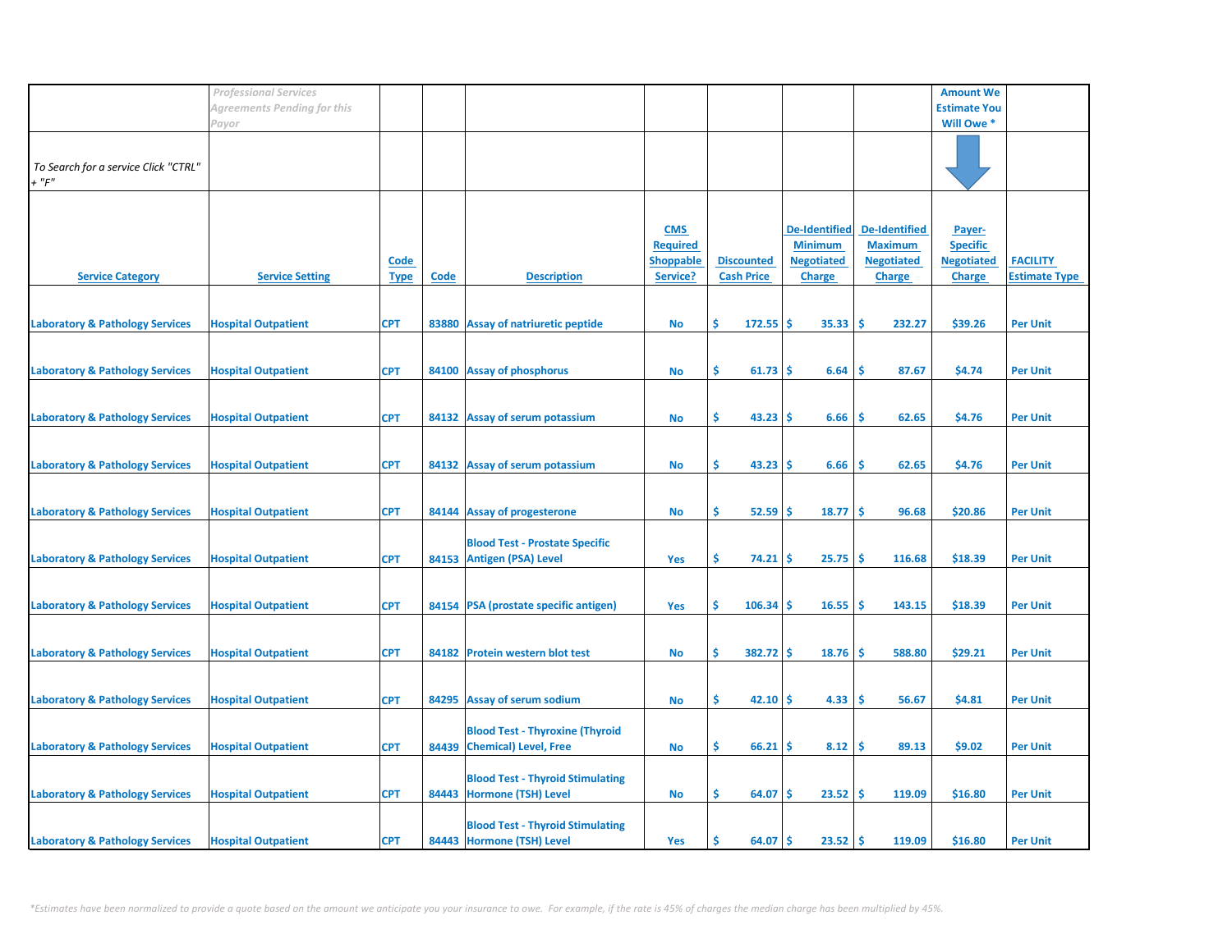|                                            | <b>Professional Services</b> |             |             |                                                                      |                  |                   |                      |                      | <b>Amount We</b>    |                      |
|--------------------------------------------|------------------------------|-------------|-------------|----------------------------------------------------------------------|------------------|-------------------|----------------------|----------------------|---------------------|----------------------|
|                                            | Agreements Pending for this  |             |             |                                                                      |                  |                   |                      |                      | <b>Estimate You</b> |                      |
|                                            | Payor                        |             |             |                                                                      |                  |                   |                      |                      | Will Owe *          |                      |
|                                            |                              |             |             |                                                                      |                  |                   |                      |                      |                     |                      |
| To Search for a service Click "CTRL"       |                              |             |             |                                                                      |                  |                   |                      |                      |                     |                      |
| $+$ " $F$ "                                |                              |             |             |                                                                      |                  |                   |                      |                      |                     |                      |
|                                            |                              |             |             |                                                                      |                  |                   |                      |                      |                     |                      |
|                                            |                              |             |             |                                                                      |                  |                   |                      |                      |                     |                      |
|                                            |                              |             |             |                                                                      | <b>CMS</b>       |                   | <b>De-Identified</b> | <b>De-Identified</b> | Payer-              |                      |
|                                            |                              |             |             |                                                                      | <b>Required</b>  |                   | <b>Minimum</b>       | <b>Maximum</b>       | <b>Specific</b>     |                      |
|                                            |                              | <b>Code</b> |             |                                                                      | <b>Shoppable</b> | <b>Discounted</b> | <b>Negotiated</b>    | <b>Negotiated</b>    | <b>Negotiated</b>   | <b>FACILITY</b>      |
| <b>Service Category</b>                    | <b>Service Setting</b>       | <b>Type</b> | <b>Code</b> | <b>Description</b>                                                   | Service?         | <b>Cash Price</b> | <b>Charge</b>        | <b>Charge</b>        | <b>Charge</b>       | <b>Estimate Type</b> |
|                                            |                              |             |             |                                                                      |                  |                   |                      |                      |                     |                      |
| <b>Laboratory &amp; Pathology Services</b> | <b>Hospital Outpatient</b>   | <b>CPT</b>  |             | 83880 Assay of natriuretic peptide                                   | No               | \$.<br>172.55     | Ŝ<br>35.33           | -Ś<br>232.27         | \$39.26             | <b>Per Unit</b>      |
|                                            |                              |             |             |                                                                      |                  |                   |                      |                      |                     |                      |
|                                            |                              |             |             |                                                                      |                  |                   |                      |                      |                     |                      |
| <b>Laboratory &amp; Pathology Services</b> | <b>Hospital Outpatient</b>   | <b>CPT</b>  | 84100       | <b>Assay of phosphorus</b>                                           | No               | \$<br>61.73       | -\$<br>6.64          | 87.67<br>\$          | \$4.74              | <b>Per Unit</b>      |
|                                            |                              |             |             |                                                                      |                  |                   |                      |                      |                     |                      |
|                                            |                              |             |             |                                                                      |                  | \$                |                      |                      |                     |                      |
| <b>Laboratory &amp; Pathology Services</b> | <b>Hospital Outpatient</b>   | <b>CPT</b>  |             | 84132 Assay of serum potassium                                       | No               | 43.23             | 6.66<br>-S           | \$<br>62.65          | \$4.76              | <b>Per Unit</b>      |
|                                            |                              |             |             |                                                                      |                  |                   |                      |                      |                     |                      |
| <b>Laboratory &amp; Pathology Services</b> | <b>Hospital Outpatient</b>   | <b>CPT</b>  |             | 84132 Assay of serum potassium                                       | No               | \$<br>43.23       | -Ś<br>6.66           | 62.65<br><b>S</b>    | \$4.76              | <b>Per Unit</b>      |
|                                            |                              |             |             |                                                                      |                  |                   |                      |                      |                     |                      |
|                                            |                              |             |             |                                                                      |                  |                   |                      |                      |                     |                      |
| <b>Laboratory &amp; Pathology Services</b> | <b>Hospital Outpatient</b>   | <b>CPT</b>  |             | 84144 Assay of progesterone                                          | No               | \$<br>52.59       | 18.77<br>-\$         | \$<br>96.68          | \$20.86             | <b>Per Unit</b>      |
|                                            |                              |             |             |                                                                      |                  |                   |                      |                      |                     |                      |
|                                            |                              |             |             | <b>Blood Test - Prostate Specific</b><br>84153 Antigen (PSA) Level   |                  | \$<br>74.21       | -Ś<br>25.75          | \$<br>116.68         | \$18.39             | <b>Per Unit</b>      |
| <b>Laboratory &amp; Pathology Services</b> | <b>Hospital Outpatient</b>   | <b>CPT</b>  |             |                                                                      | <b>Yes</b>       |                   |                      |                      |                     |                      |
|                                            |                              |             |             |                                                                      |                  |                   |                      |                      |                     |                      |
| <b>Laboratory &amp; Pathology Services</b> | <b>Hospital Outpatient</b>   | <b>CPT</b>  |             | 84154 PSA (prostate specific antigen)                                | <b>Yes</b>       | \$.<br>106.34     | -S<br>16.55          | -Ś<br>143.15         | \$18.39             | <b>Per Unit</b>      |
|                                            |                              |             |             |                                                                      |                  |                   |                      |                      |                     |                      |
|                                            |                              |             |             |                                                                      |                  |                   |                      |                      |                     |                      |
| <b>Laboratory &amp; Pathology Services</b> | <b>Hospital Outpatient</b>   | <b>CPT</b>  |             | 84182 Protein western blot test                                      | No               | \$<br>382.72      | 18.76<br>۱\$         | 588.80<br>-\$        | \$29.21             | <b>Per Unit</b>      |
|                                            |                              |             |             |                                                                      |                  |                   |                      |                      |                     |                      |
| <b>Laboratory &amp; Pathology Services</b> | <b>Hospital Outpatient</b>   | <b>CPT</b>  |             | 84295 Assay of serum sodium                                          | No               | \$<br>42.10       | 4.33<br>-Ś           | \$<br>56.67          | \$4.81              | <b>Per Unit</b>      |
|                                            |                              |             |             |                                                                      |                  |                   |                      |                      |                     |                      |
|                                            |                              |             |             | <b>Blood Test - Thyroxine (Thyroid</b>                               |                  |                   |                      |                      |                     |                      |
| <b>Laboratory &amp; Pathology Services</b> | <b>Hospital Outpatient</b>   | <b>CPT</b>  |             | 84439 Chemical) Level, Free                                          | No               | \$<br>66.21       | \$.<br>8.12          | -\$<br>89.13         | \$9.02              | <b>Per Unit</b>      |
|                                            |                              |             |             |                                                                      |                  |                   |                      |                      |                     |                      |
|                                            |                              |             |             | <b>Blood Test - Thyroid Stimulating</b>                              |                  |                   |                      |                      |                     |                      |
| <b>Laboratory &amp; Pathology Services</b> | <b>Hospital Outpatient</b>   | <b>CPT</b>  |             | 84443 Hormone (TSH) Level                                            | No               | \$<br>64.07       | 23.52<br>-\$         | \$<br>119.09         | \$16.80             | <b>Per Unit</b>      |
|                                            |                              |             |             |                                                                      |                  |                   |                      |                      |                     |                      |
|                                            |                              | <b>CPT</b>  |             | <b>Blood Test - Thyroid Stimulating</b><br>84443 Hormone (TSH) Level |                  | Ś<br>64.07        | 23.52<br>-S          | l \$<br>119.09       |                     |                      |
| <b>Laboratory &amp; Pathology Services</b> | <b>Hospital Outpatient</b>   |             |             |                                                                      | Yes              |                   |                      |                      | \$16.80             | <b>Per Unit</b>      |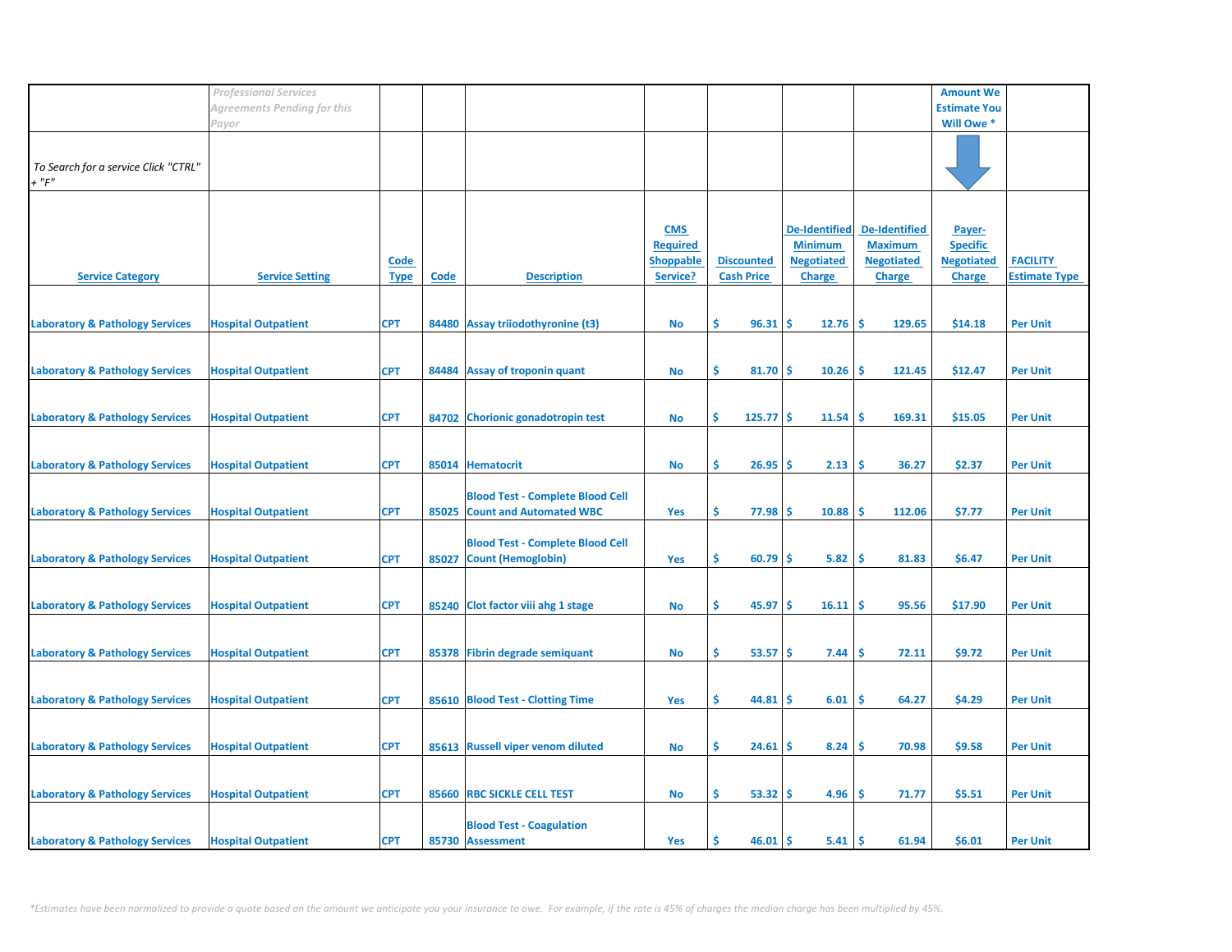|                                            | <b>Professional Services</b> |             |       |                                         |                  |                   |                      |                      | <b>Amount We</b>      |                      |
|--------------------------------------------|------------------------------|-------------|-------|-----------------------------------------|------------------|-------------------|----------------------|----------------------|-----------------------|----------------------|
|                                            | Agreements Pending for this  |             |       |                                         |                  |                   |                      |                      | <b>Estimate You</b>   |                      |
|                                            |                              |             |       |                                         |                  |                   |                      |                      | Will Owe <sup>*</sup> |                      |
|                                            | Payor                        |             |       |                                         |                  |                   |                      |                      |                       |                      |
|                                            |                              |             |       |                                         |                  |                   |                      |                      |                       |                      |
| To Search for a service Click "CTRL"       |                              |             |       |                                         |                  |                   |                      |                      |                       |                      |
|                                            |                              |             |       |                                         |                  |                   |                      |                      |                       |                      |
| $+$ " $F"$                                 |                              |             |       |                                         |                  |                   |                      |                      |                       |                      |
|                                            |                              |             |       |                                         |                  |                   |                      |                      |                       |                      |
|                                            |                              |             |       |                                         |                  |                   |                      |                      |                       |                      |
|                                            |                              |             |       |                                         | <b>CMS</b>       |                   | <b>De-Identified</b> | <b>De-Identified</b> | Payer-                |                      |
|                                            |                              |             |       |                                         | <b>Required</b>  |                   | <b>Minimum</b>       | <b>Maximum</b>       | <b>Specific</b>       |                      |
|                                            |                              | <b>Code</b> |       |                                         | <b>Shoppable</b> | <b>Discounted</b> | <b>Negotiated</b>    | <b>Negotiated</b>    | <b>Negotiated</b>     | <b>FACILITY</b>      |
| <b>Service Category</b>                    | <b>Service Setting</b>       | <b>Type</b> | Code  | <b>Description</b>                      | Service?         | <b>Cash Price</b> | <b>Charge</b>        | <b>Charge</b>        | <b>Charge</b>         | <b>Estimate Type</b> |
|                                            |                              |             |       |                                         |                  |                   |                      |                      |                       |                      |
|                                            |                              |             |       |                                         |                  |                   |                      |                      |                       |                      |
|                                            |                              |             |       |                                         |                  |                   |                      |                      |                       |                      |
| <b>Laboratory &amp; Pathology Services</b> | <b>Hospital Outpatient</b>   | <b>CPT</b>  |       | 84480 Assay triiodothyronine (t3)       | No               | \$<br>96.31       | Ŝ.<br>12.76          | <b>S</b><br>129.65   | \$14.18               | <b>Per Unit</b>      |
|                                            |                              |             |       |                                         |                  |                   |                      |                      |                       |                      |
|                                            |                              |             |       |                                         |                  |                   |                      |                      |                       |                      |
| <b>Laboratory &amp; Pathology Services</b> | <b>Hospital Outpatient</b>   | <b>CPT</b>  |       | 84484 Assay of troponin quant           | <b>No</b>        | \$.<br>$81.70$ \$ | 10.26                | \$.<br>121.45        | \$12.47               | <b>Per Unit</b>      |
|                                            |                              |             |       |                                         |                  |                   |                      |                      |                       |                      |
|                                            |                              |             |       |                                         |                  |                   |                      |                      |                       |                      |
| <b>Laboratory &amp; Pathology Services</b> | <b>Hospital Outpatient</b>   | <b>CPT</b>  |       | 84702 Chorionic gonadotropin test       | <b>No</b>        | \$<br>125.77S     | 11.54                | Ŝ.<br>169.31         | \$15.05               | <b>Per Unit</b>      |
|                                            |                              |             |       |                                         |                  |                   |                      |                      |                       |                      |
|                                            |                              |             |       |                                         |                  |                   |                      |                      |                       |                      |
| <b>Laboratory &amp; Pathology Services</b> | <b>Hospital Outpatient</b>   | <b>CPT</b>  |       | 85014 Hematocrit                        | <b>No</b>        | \$.<br>26.95      | 2.13<br>\$.          | \$.<br>36.27         | \$2.37                | <b>Per Unit</b>      |
|                                            |                              |             |       |                                         |                  |                   |                      |                      |                       |                      |
|                                            |                              |             |       |                                         |                  |                   |                      |                      |                       |                      |
|                                            |                              |             |       | <b>Blood Test - Complete Blood Cell</b> |                  |                   |                      |                      |                       |                      |
| <b>Laboratory &amp; Pathology Services</b> | <b>Hospital Outpatient</b>   | <b>CPT</b>  |       | 85025 Count and Automated WBC           | Yes              | \$.<br>$77.98$ \$ | 10.88                | -\$<br>112.06        | \$7.77                | <b>Per Unit</b>      |
|                                            |                              |             |       |                                         |                  |                   |                      |                      |                       |                      |
|                                            |                              |             |       | <b>Blood Test - Complete Blood Cell</b> |                  |                   |                      |                      |                       |                      |
| <b>Laboratory &amp; Pathology Services</b> | <b>Hospital Outpatient</b>   | <b>CPT</b>  | 85027 | <b>Count (Hemoglobin)</b>               | Yes              | \$.<br>60.79      | 5.82<br><b>S</b>     | -Ś<br>81.83          | \$6.47                | <b>Per Unit</b>      |
|                                            |                              |             |       |                                         |                  |                   |                      |                      |                       |                      |
|                                            |                              |             |       |                                         |                  |                   |                      |                      |                       |                      |
| <b>Laboratory &amp; Pathology Services</b> | <b>Hospital Outpatient</b>   | <b>CPT</b>  |       | 85240 Clot factor viii ahg 1 stage      | <b>No</b>        | Ś.<br>45.97       | -\$<br>16.11         | -\$<br>95.56         | \$17.90               | <b>Per Unit</b>      |
|                                            |                              |             |       |                                         |                  |                   |                      |                      |                       |                      |
|                                            |                              |             |       |                                         |                  |                   |                      |                      |                       |                      |
|                                            |                              |             |       |                                         |                  |                   |                      |                      |                       |                      |
| <b>Laboratory &amp; Pathology Services</b> | <b>Hospital Outpatient</b>   | <b>CPT</b>  |       | 85378 Fibrin degrade semiquant          | <b>No</b>        | \$.<br>53.57      | 7.44<br>-S           | \$<br>72.11          | \$9.72                | <b>Per Unit</b>      |
|                                            |                              |             |       |                                         |                  |                   |                      |                      |                       |                      |
|                                            |                              |             |       |                                         |                  |                   |                      |                      |                       |                      |
| <b>Laboratory &amp; Pathology Services</b> | <b>Hospital Outpatient</b>   | <b>CPT</b>  |       | 85610 Blood Test - Clotting Time        | Yes              | Ŝ.<br>44.81       | 6.01<br>-S           | \$.<br>64.27         | \$4.29                | <b>Per Unit</b>      |
|                                            |                              |             |       |                                         |                  |                   |                      |                      |                       |                      |
|                                            |                              |             |       |                                         |                  |                   |                      |                      |                       |                      |
| <b>Laboratory &amp; Pathology Services</b> | <b>Hospital Outpatient</b>   | <b>CPT</b>  |       | 85613 Russell viper venom diluted       | <b>No</b>        | \$.<br>24.61      | 8.24<br>-S           | \$.<br>70.98         | \$9.58                | <b>Per Unit</b>      |
|                                            |                              |             |       |                                         |                  |                   |                      |                      |                       |                      |
|                                            |                              |             |       |                                         |                  |                   |                      |                      |                       |                      |
| <b>Laboratory &amp; Pathology Services</b> | <b>Hospital Outpatient</b>   | <b>CPT</b>  |       | 85660 RBC SICKLE CELL TEST              | No               | \$.<br>$53.32$ \$ | 4.96                 | \$<br>71.77          | \$5.51                | <b>Per Unit</b>      |
|                                            |                              |             |       |                                         |                  |                   |                      |                      |                       |                      |
|                                            |                              |             |       | <b>Blood Test - Coagulation</b>         |                  |                   |                      |                      |                       |                      |
| <b>Laboratory &amp; Pathology Services</b> | <b>Hospital Outpatient</b>   | <b>CPT</b>  |       | 85730 Assessment                        | Yes              | Ś.<br>46.01       | -S<br>5.41           | <b>S</b><br>61.94    | \$6.01                | <b>Per Unit</b>      |
|                                            |                              |             |       |                                         |                  |                   |                      |                      |                       |                      |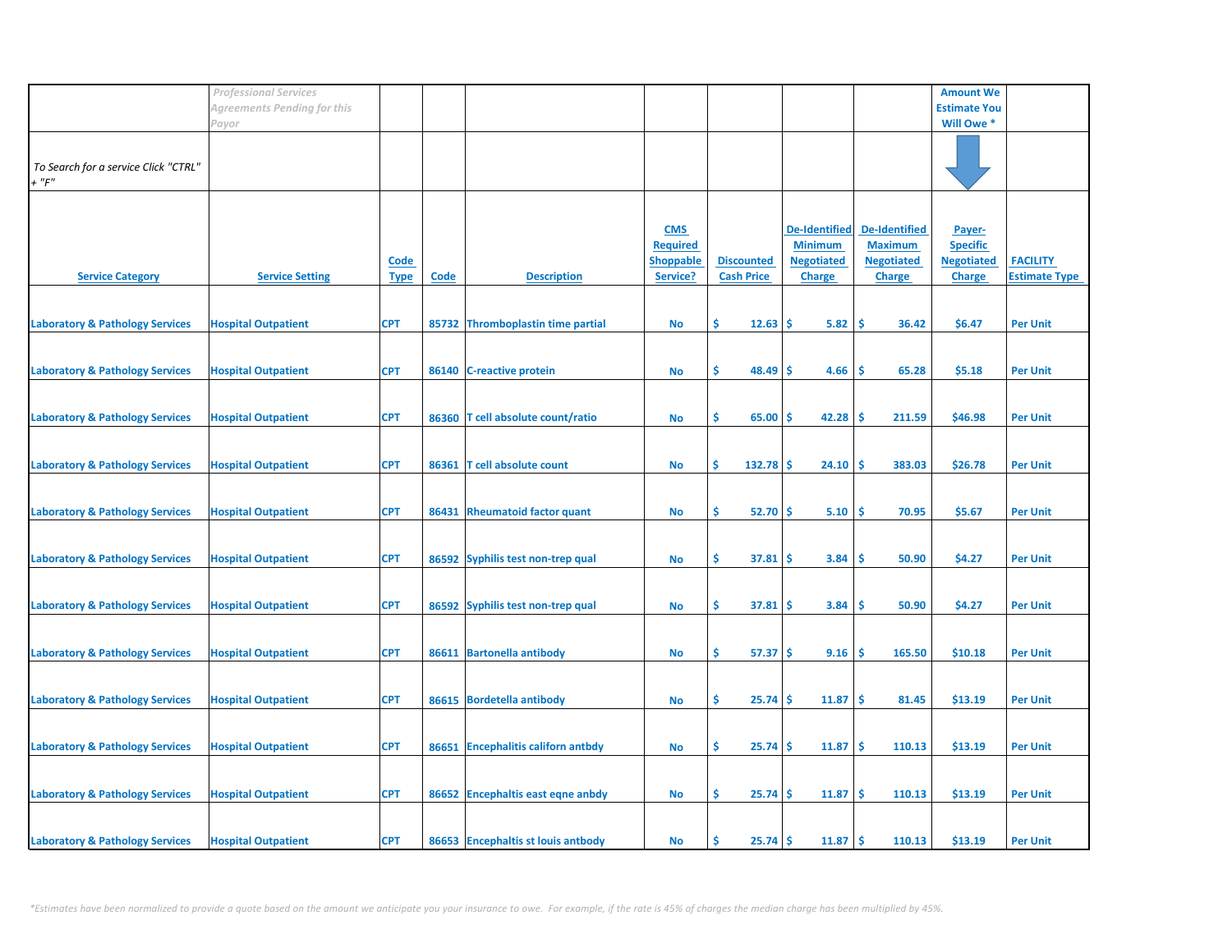|                                                     | <b>Professional Services</b> |                            |             |                                    |                                                               |                                        |                                                                              |                                                                              | <b>Amount We</b>                                                |                                         |
|-----------------------------------------------------|------------------------------|----------------------------|-------------|------------------------------------|---------------------------------------------------------------|----------------------------------------|------------------------------------------------------------------------------|------------------------------------------------------------------------------|-----------------------------------------------------------------|-----------------------------------------|
|                                                     | Agreements Pending for this  |                            |             |                                    |                                                               |                                        |                                                                              |                                                                              | <b>Estimate You</b>                                             |                                         |
|                                                     | Payor                        |                            |             |                                    |                                                               |                                        |                                                                              |                                                                              | Will Owe *                                                      |                                         |
| To Search for a service Click "CTRL"<br>$+$ " $F$ " |                              |                            |             |                                    |                                                               |                                        |                                                                              |                                                                              |                                                                 |                                         |
| <b>Service Category</b>                             | <b>Service Setting</b>       | <b>Code</b><br><b>Type</b> | <b>Code</b> | <b>Description</b>                 | <b>CMS</b><br><b>Required</b><br><b>Shoppable</b><br>Service? | <b>Discounted</b><br><b>Cash Price</b> | <b>De-Identified</b><br><b>Minimum</b><br><b>Negotiated</b><br><b>Charge</b> | <b>De-Identified</b><br><b>Maximum</b><br><b>Negotiated</b><br><b>Charge</b> | Payer-<br><b>Specific</b><br><b>Negotiated</b><br><b>Charge</b> | <b>FACILITY</b><br><b>Estimate Type</b> |
| <b>Laboratory &amp; Pathology Services</b>          | <b>Hospital Outpatient</b>   | <b>CPT</b>                 |             | 85732 Thromboplastin time partial  | No                                                            | \$.<br>12.63                           | Ŝ<br>5.82                                                                    | -\$<br>36.42                                                                 | \$6.47                                                          | <b>Per Unit</b>                         |
| <b>Laboratory &amp; Pathology Services</b>          | <b>Hospital Outpatient</b>   | <b>CPT</b>                 | 86140       | <b>C-reactive protein</b>          | <b>No</b>                                                     | \$<br>48.49                            | 4.66<br>Ŝ                                                                    | -\$<br>65.28                                                                 | \$5.18                                                          | <b>Per Unit</b>                         |
| <b>Laboratory &amp; Pathology Services</b>          | <b>Hospital Outpatient</b>   | <b>CPT</b>                 |             | 86360 T cell absolute count/ratio  | No                                                            | \$.<br>65.00                           | 42.28<br>S                                                                   | -\$<br>211.59                                                                | \$46.98                                                         | <b>Per Unit</b>                         |
| <b>Laboratory &amp; Pathology Services</b>          | <b>Hospital Outpatient</b>   | <b>CPT</b>                 | 86361       | <b>T</b> cell absolute count       | <b>No</b>                                                     | \$<br>132.78                           | .S<br>24.10                                                                  | -Ś<br>383.03                                                                 | \$26.78                                                         | <b>Per Unit</b>                         |
| <b>Laboratory &amp; Pathology Services</b>          | <b>Hospital Outpatient</b>   | <b>CPT</b>                 |             | 86431 Rheumatoid factor quant      | <b>No</b>                                                     | \$<br>52.70                            | 5.10<br>-\$                                                                  | ۱\$<br>70.95                                                                 | \$5.67                                                          | <b>Per Unit</b>                         |
| <b>Laboratory &amp; Pathology Services</b>          | <b>Hospital Outpatient</b>   | <b>CPT</b>                 |             | 86592 Syphilis test non-trep qual  | No                                                            | \$.<br>37.81                           | 3.84<br>S                                                                    | -\$<br>50.90                                                                 | \$4.27                                                          | <b>Per Unit</b>                         |
| <b>Laboratory &amp; Pathology Services</b>          | <b>Hospital Outpatient</b>   | <b>CPT</b>                 |             | 86592 Syphilis test non-trep qual  | No                                                            | \$.<br>37.81                           | '\$<br>3.84                                                                  | -\$<br>50.90                                                                 | \$4.27                                                          | <b>Per Unit</b>                         |
| <b>Laboratory &amp; Pathology Services</b>          | <b>Hospital Outpatient</b>   | <b>CPT</b>                 |             | 86611 Bartonella antibody          | <b>No</b>                                                     | \$.<br>57.37                           | '\$<br>9.16                                                                  | -\$<br>165.50                                                                | \$10.18                                                         | <b>Per Unit</b>                         |
| <b>Laboratory &amp; Pathology Services</b>          | <b>Hospital Outpatient</b>   | <b>CPT</b>                 |             | 86615 Bordetella antibody          | No                                                            | \$.<br>25.74                           | 11.87<br>Ŝ                                                                   | -\$<br>81.45                                                                 | \$13.19                                                         | <b>Per Unit</b>                         |
| <b>Laboratory &amp; Pathology Services</b>          | <b>Hospital Outpatient</b>   | <b>CPT</b>                 |             | 86651 Encephalitis californ antbdy | No                                                            | \$.<br>25.74                           | 11.87<br>-S                                                                  | -\$<br>110.13                                                                | \$13.19                                                         | <b>Per Unit</b>                         |
| <b>Laboratory &amp; Pathology Services</b>          | <b>Hospital Outpatient</b>   | <b>CPT</b>                 |             | 86652 Encephaltis east eqne anbdy  | No                                                            | \$.<br>25.74                           | 11.87<br>\$.                                                                 | -\$<br>110.13                                                                | \$13.19                                                         | <b>Per Unit</b>                         |
| <b>Laboratory &amp; Pathology Services</b>          | <b>Hospital Outpatient</b>   | <b>CPT</b>                 |             | 86653 Encephaltis st louis antbody | No                                                            | 25.74<br>Ś                             | 11.87<br>Ŝ.                                                                  | l \$<br>110.13                                                               | \$13.19                                                         | <b>Per Unit</b>                         |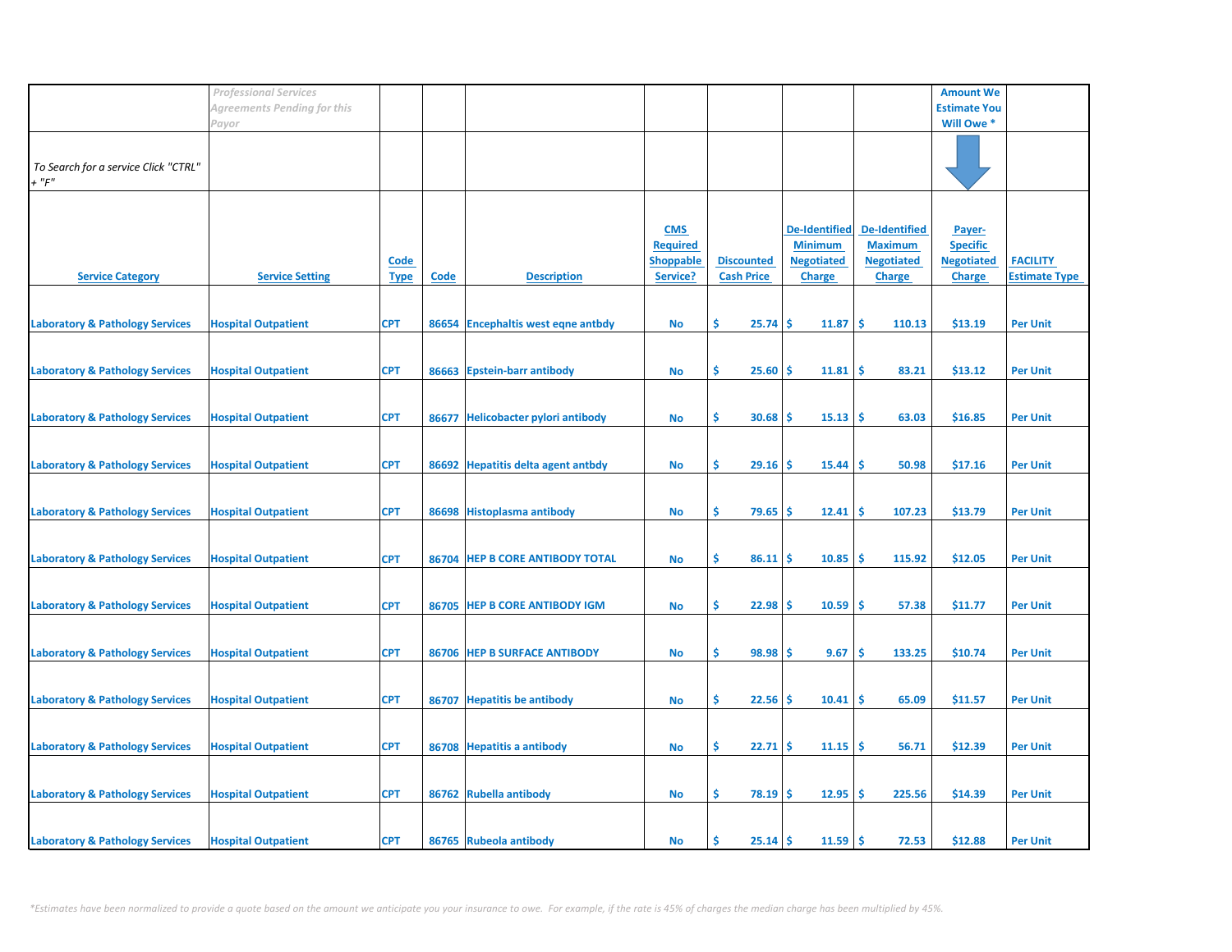|                                                     | <b>Professional Services</b> |                            |             |                                    |                                                               |                                        |                                                                              |                                                                              | <b>Amount We</b>                                                |                                         |
|-----------------------------------------------------|------------------------------|----------------------------|-------------|------------------------------------|---------------------------------------------------------------|----------------------------------------|------------------------------------------------------------------------------|------------------------------------------------------------------------------|-----------------------------------------------------------------|-----------------------------------------|
|                                                     | Agreements Pending for this  |                            |             |                                    |                                                               |                                        |                                                                              |                                                                              | <b>Estimate You</b>                                             |                                         |
|                                                     | Payor                        |                            |             |                                    |                                                               |                                        |                                                                              |                                                                              | Will Owe *                                                      |                                         |
| To Search for a service Click "CTRL"<br>$+$ " $F$ " |                              |                            |             |                                    |                                                               |                                        |                                                                              |                                                                              |                                                                 |                                         |
| <b>Service Category</b>                             | <b>Service Setting</b>       | <b>Code</b><br><b>Type</b> | <b>Code</b> | <b>Description</b>                 | <b>CMS</b><br><b>Required</b><br><b>Shoppable</b><br>Service? | <b>Discounted</b><br><b>Cash Price</b> | <b>De-Identified</b><br><b>Minimum</b><br><b>Negotiated</b><br><b>Charge</b> | <b>De-Identified</b><br><b>Maximum</b><br><b>Negotiated</b><br><b>Charge</b> | Payer-<br><b>Specific</b><br><b>Negotiated</b><br><b>Charge</b> | <b>FACILITY</b><br><b>Estimate Type</b> |
| <b>Laboratory &amp; Pathology Services</b>          | <b>Hospital Outpatient</b>   | <b>CPT</b>                 |             | 86654 Encephaltis west eqne antbdy | No                                                            | \$.<br>25.74                           | Ŝ.<br>11.87                                                                  | -\$<br>110.13                                                                | \$13.19                                                         | <b>Per Unit</b>                         |
| <b>Laboratory &amp; Pathology Services</b>          | <b>Hospital Outpatient</b>   | <b>CPT</b>                 | 86663       | <b>Epstein-barr antibody</b>       | <b>No</b>                                                     | \$<br>25.60                            | 11.81<br>\$.                                                                 | -\$<br>83.21                                                                 | \$13.12                                                         | <b>Per Unit</b>                         |
| <b>Laboratory &amp; Pathology Services</b>          | <b>Hospital Outpatient</b>   | <b>CPT</b>                 |             | 86677 Helicobacter pylori antibody | No                                                            | \$.<br>30.68                           | 15.13<br>S                                                                   | ۱\$<br>63.03                                                                 | \$16.85                                                         | <b>Per Unit</b>                         |
| <b>Laboratory &amp; Pathology Services</b>          | <b>Hospital Outpatient</b>   | <b>CPT</b>                 |             | 86692 Hepatitis delta agent antbdy | <b>No</b>                                                     | Ś<br>29.16                             | 15.44<br>.S                                                                  | -\$<br>50.98                                                                 | \$17.16                                                         | <b>Per Unit</b>                         |
| <b>Laboratory &amp; Pathology Services</b>          | <b>Hospital Outpatient</b>   | <b>CPT</b>                 |             | 86698 Histoplasma antibody         | No                                                            | \$<br>79.65                            | 12.41<br>\$.                                                                 | ۱\$<br>107.23                                                                | \$13.79                                                         | <b>Per Unit</b>                         |
| <b>Laboratory &amp; Pathology Services</b>          | <b>Hospital Outpatient</b>   | <b>CPT</b>                 |             | 86704 HEP B CORE ANTIBODY TOTAL    | No                                                            | \$.<br>86.11                           | 10.85<br>-S                                                                  | -\$<br>115.92                                                                | \$12.05                                                         | <b>Per Unit</b>                         |
| <b>Laboratory &amp; Pathology Services</b>          | <b>Hospital Outpatient</b>   | <b>CPT</b>                 |             | 86705 HEP B CORE ANTIBODY IGM      | No                                                            | \$.<br>22.98                           | '\$<br>10.59                                                                 | -\$<br>57.38                                                                 | \$11.77                                                         | <b>Per Unit</b>                         |
| <b>Laboratory &amp; Pathology Services</b>          | <b>Hospital Outpatient</b>   | <b>CPT</b>                 |             | 86706 HEP B SURFACE ANTIBODY       | <b>No</b>                                                     | \$.<br>98.98                           | 9.67<br>Ŝ                                                                    | \$<br>133.25                                                                 | \$10.74                                                         | <b>Per Unit</b>                         |
| <b>Laboratory &amp; Pathology Services</b>          | <b>Hospital Outpatient</b>   | <b>CPT</b>                 | 86707       | <b>Hepatitis be antibody</b>       | No                                                            | \$.<br>22.56                           | Ŝ<br>10.41                                                                   | \$.<br>65.09                                                                 | \$11.57                                                         | <b>Per Unit</b>                         |
| <b>Laboratory &amp; Pathology Services</b>          | <b>Hospital Outpatient</b>   | <b>CPT</b>                 |             | 86708 Hepatitis a antibody         | No                                                            | \$.<br>22.71                           | 11.15<br>-S                                                                  | -\$<br>56.71                                                                 | \$12.39                                                         | <b>Per Unit</b>                         |
| <b>Laboratory &amp; Pathology Services</b>          | <b>Hospital Outpatient</b>   | <b>CPT</b>                 |             | 86762 Rubella antibody             | No                                                            | \$.<br>78.19                           | 12.95<br>\$.                                                                 | -\$<br>225.56                                                                | \$14.39                                                         | <b>Per Unit</b>                         |
| <b>Laboratory &amp; Pathology Services</b>          | <b>Hospital Outpatient</b>   | <b>CPT</b>                 |             | 86765 Rubeola antibody             | No                                                            | 25.14<br>Ś                             | $11.59$ \$<br>Ŝ.                                                             | 72.53                                                                        | \$12.88                                                         | <b>Per Unit</b>                         |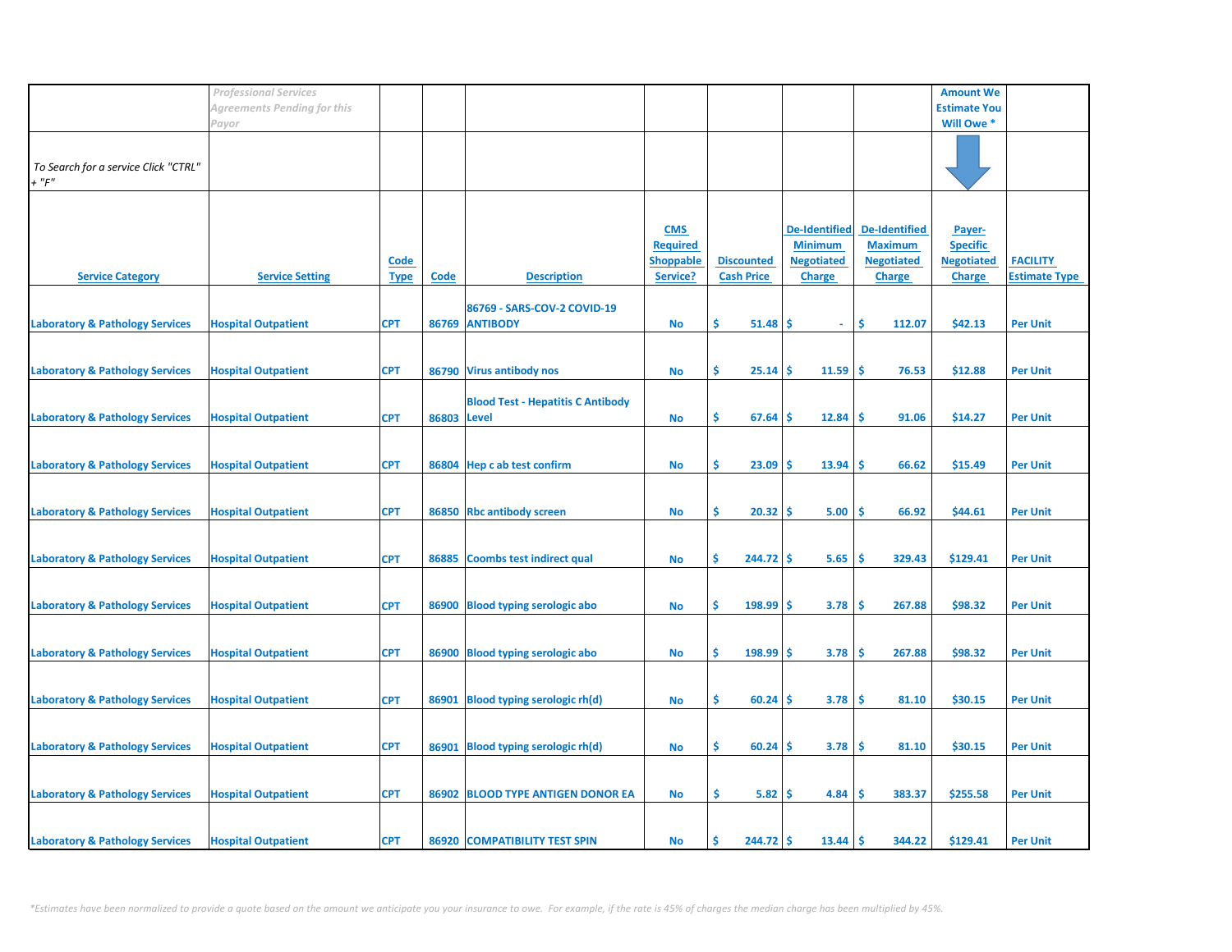|                                            | <b>Professional Services</b> |             |             |                                          |                  |                           |                      |                      | <b>Amount We</b>    |                      |
|--------------------------------------------|------------------------------|-------------|-------------|------------------------------------------|------------------|---------------------------|----------------------|----------------------|---------------------|----------------------|
|                                            | Agreements Pending for this  |             |             |                                          |                  |                           |                      |                      | <b>Estimate You</b> |                      |
|                                            | Payor                        |             |             |                                          |                  |                           |                      |                      | Will Owe *          |                      |
|                                            |                              |             |             |                                          |                  |                           |                      |                      |                     |                      |
|                                            |                              |             |             |                                          |                  |                           |                      |                      |                     |                      |
| To Search for a service Click "CTRL"       |                              |             |             |                                          |                  |                           |                      |                      |                     |                      |
| $+$ " $F$ "                                |                              |             |             |                                          |                  |                           |                      |                      |                     |                      |
|                                            |                              |             |             |                                          |                  |                           |                      |                      |                     |                      |
|                                            |                              |             |             |                                          |                  |                           |                      |                      |                     |                      |
|                                            |                              |             |             |                                          | <b>CMS</b>       |                           | <b>De-Identified</b> | <b>De-Identified</b> | Payer-              |                      |
|                                            |                              |             |             |                                          | <b>Required</b>  |                           | <b>Minimum</b>       | <b>Maximum</b>       | <b>Specific</b>     |                      |
|                                            |                              | <u>Code</u> |             |                                          | <b>Shoppable</b> | <b>Discounted</b>         | <b>Negotiated</b>    | <b>Negotiated</b>    | <b>Negotiated</b>   | <b>FACILITY</b>      |
| <b>Service Category</b>                    | <b>Service Setting</b>       | <b>Type</b> | <b>Code</b> | <b>Description</b>                       | Service?         | <b>Cash Price</b>         | <b>Charge</b>        | <b>Charge</b>        | <b>Charge</b>       | <b>Estimate Type</b> |
|                                            |                              |             |             |                                          |                  |                           |                      |                      |                     |                      |
|                                            |                              |             |             | 86769 - SARS-COV-2 COVID-19              |                  |                           |                      |                      |                     |                      |
| <b>Laboratory &amp; Pathology Services</b> | <b>Hospital Outpatient</b>   | <b>CPT</b>  |             | 86769 ANTIBODY                           | No               | \$.<br>51.48              | -S<br>$\omega$ .     | Ŝ.<br>112.07         | \$42.13             | <b>Per Unit</b>      |
|                                            |                              |             |             |                                          |                  |                           |                      |                      |                     |                      |
|                                            |                              |             |             |                                          |                  |                           |                      |                      |                     |                      |
|                                            |                              |             |             |                                          |                  |                           |                      |                      |                     |                      |
| <b>Laboratory &amp; Pathology Services</b> | <b>Hospital Outpatient</b>   | <b>CPT</b>  |             | 86790 Virus antibody nos                 | <b>No</b>        | \$.<br>25.14              | 11.59<br>\$.         | -\$<br>76.53         | \$12.88             | <b>Per Unit</b>      |
|                                            |                              |             |             |                                          |                  |                           |                      |                      |                     |                      |
|                                            |                              |             |             | <b>Blood Test - Hepatitis C Antibody</b> |                  |                           |                      |                      |                     |                      |
| <b>Laboratory &amp; Pathology Services</b> | <b>Hospital Outpatient</b>   | <b>CPT</b>  | 86803 Level |                                          | No               | \$.<br>67.64              | 12.84<br>-S          | \$.<br>91.06         | \$14.27             | <b>Per Unit</b>      |
|                                            |                              |             |             |                                          |                  |                           |                      |                      |                     |                      |
|                                            |                              |             |             |                                          |                  |                           |                      |                      |                     |                      |
| <b>Laboratory &amp; Pathology Services</b> | <b>Hospital Outpatient</b>   | <b>CPT</b>  |             | 86804 Hep c ab test confirm              | <b>No</b>        | \$<br>23.09               | 13.94<br>-S          | Ŝ<br>66.62           | \$15.49             | <b>Per Unit</b>      |
|                                            |                              |             |             |                                          |                  |                           |                      |                      |                     |                      |
|                                            |                              |             |             |                                          |                  |                           |                      |                      |                     |                      |
| <b>Laboratory &amp; Pathology Services</b> | <b>Hospital Outpatient</b>   | <b>CPT</b>  |             | 86850 Rbc antibody screen                | No               | \$<br>$20.32 \, \text{S}$ | 5.00                 | -\$<br>66.92         | \$44.61             | <b>Per Unit</b>      |
|                                            |                              |             |             |                                          |                  |                           |                      |                      |                     |                      |
|                                            |                              |             |             |                                          |                  |                           |                      |                      |                     |                      |
| <b>Laboratory &amp; Pathology Services</b> | <b>Hospital Outpatient</b>   | <b>CPT</b>  | 86885       | <b>Coombs test indirect qual</b>         | <b>No</b>        | \$.<br>$244.72$ \$        | 5.65                 | \$.<br>329.43        | \$129.41            | <b>Per Unit</b>      |
|                                            |                              |             |             |                                          |                  |                           |                      |                      |                     |                      |
|                                            |                              |             |             |                                          |                  |                           |                      |                      |                     |                      |
| <b>Laboratory &amp; Pathology Services</b> | <b>Hospital Outpatient</b>   | <b>CPT</b>  | 86900       | <b>Blood typing serologic abo</b>        | <b>No</b>        | Ŝ.<br>198.99              | 3.78<br>-S           | \$.<br>267.88        | \$98.32             | <b>Per Unit</b>      |
|                                            |                              |             |             |                                          |                  |                           |                      |                      |                     |                      |
|                                            |                              |             |             |                                          |                  |                           |                      |                      |                     |                      |
| <b>Laboratory &amp; Pathology Services</b> | <b>Hospital Outpatient</b>   | <b>CPT</b>  |             | 86900 Blood typing serologic abo         | <b>No</b>        | \$<br>198.99              | -\$<br>3.78          | \$<br>267.88         | \$98.32             | <b>Per Unit</b>      |
|                                            |                              |             |             |                                          |                  |                           |                      |                      |                     |                      |
|                                            |                              |             |             |                                          |                  |                           |                      |                      |                     |                      |
| <b>Laboratory &amp; Pathology Services</b> | <b>Hospital Outpatient</b>   | <b>CPT</b>  | 86901       | <b>Blood typing serologic rh(d)</b>      | No               | \$<br>60.24               | 3.78<br>-S           | \$.<br>81.10         | \$30.15             | <b>Per Unit</b>      |
|                                            |                              |             |             |                                          |                  |                           |                      |                      |                     |                      |
|                                            |                              |             |             |                                          |                  |                           |                      |                      |                     |                      |
| <b>Laboratory &amp; Pathology Services</b> | <b>Hospital Outpatient</b>   | <b>CPT</b>  |             | 86901 Blood typing serologic rh(d)       | <b>No</b>        | \$.<br>60.24              | 3.78<br>-S           | \$.<br>81.10         | \$30.15             | <b>Per Unit</b>      |
|                                            |                              |             |             |                                          |                  |                           |                      |                      |                     |                      |
|                                            |                              |             |             |                                          |                  |                           |                      |                      |                     |                      |
|                                            |                              | <b>CPT</b>  |             | 86902 BLOOD TYPE ANTIGEN DONOR EA        | No               | \$.<br>5.82               | 4.84<br>-\$          | \$<br>383.37         | \$255.58            |                      |
| <b>Laboratory &amp; Pathology Services</b> | <b>Hospital Outpatient</b>   |             |             |                                          |                  |                           |                      |                      |                     | <b>Per Unit</b>      |
|                                            |                              |             |             |                                          |                  |                           |                      |                      |                     |                      |
|                                            |                              |             |             |                                          |                  |                           |                      |                      |                     |                      |
| <b>Laboratory &amp; Pathology Services</b> | <b>Hospital Outpatient</b>   | <b>CPT</b>  |             | 86920 COMPATIBILITY TEST SPIN            | No               | Ś<br>$244.72$ \$          | 13.44                | <b>S</b><br>344.22   | \$129.41            | <b>Per Unit</b>      |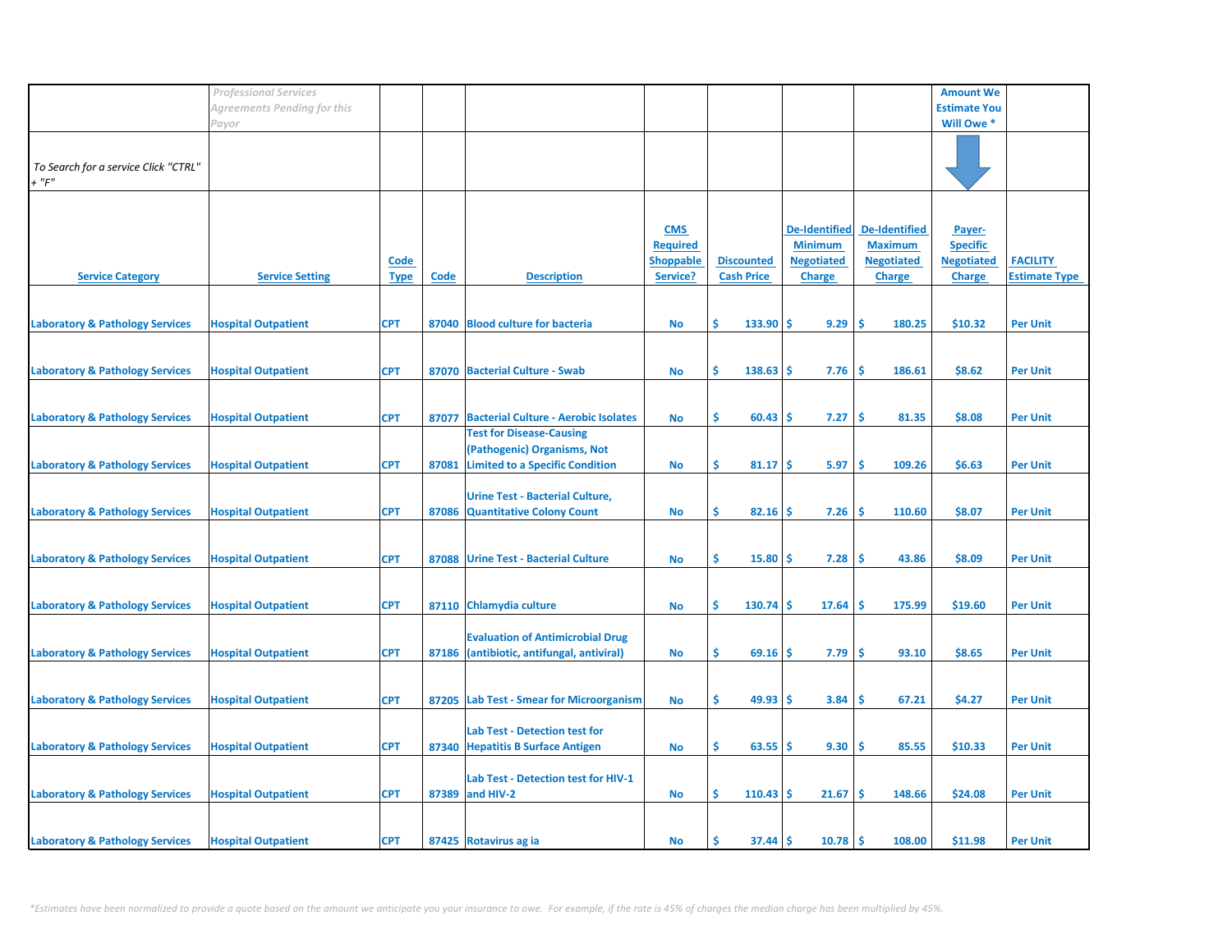|                                                 | <b>Professional Services</b> |                            |       |                                                                                                          |                                                               |                                        |                                                                              |                                                                              | <b>Amount We</b>                                                |                                         |
|-------------------------------------------------|------------------------------|----------------------------|-------|----------------------------------------------------------------------------------------------------------|---------------------------------------------------------------|----------------------------------------|------------------------------------------------------------------------------|------------------------------------------------------------------------------|-----------------------------------------------------------------|-----------------------------------------|
|                                                 | Agreements Pending for this  |                            |       |                                                                                                          |                                                               |                                        |                                                                              |                                                                              | <b>Estimate You</b>                                             |                                         |
|                                                 | Payor                        |                            |       |                                                                                                          |                                                               |                                        |                                                                              |                                                                              | Will Owe *                                                      |                                         |
| To Search for a service Click "CTRL"<br>$+$ "F" |                              |                            |       |                                                                                                          |                                                               |                                        |                                                                              |                                                                              |                                                                 |                                         |
| <b>Service Category</b>                         | <b>Service Setting</b>       | <b>Code</b><br><b>Type</b> | Code  | <b>Description</b>                                                                                       | <b>CMS</b><br><b>Required</b><br><b>Shoppable</b><br>Service? | <b>Discounted</b><br><b>Cash Price</b> | <b>De-Identified</b><br><b>Minimum</b><br><b>Negotiated</b><br><b>Charge</b> | <b>De-Identified</b><br><b>Maximum</b><br><b>Negotiated</b><br><b>Charge</b> | Payer-<br><b>Specific</b><br><b>Negotiated</b><br><b>Charge</b> | <b>FACILITY</b><br><b>Estimate Type</b> |
|                                                 |                              |                            |       | 87040 Blood culture for bacteria                                                                         |                                                               | \$<br>$133.90$ \$                      | 9.29                                                                         | 1\$<br>180.25                                                                | \$10.32                                                         | <b>Per Unit</b>                         |
| <b>Laboratory &amp; Pathology Services</b>      | <b>Hospital Outpatient</b>   | <b>CPT</b>                 |       |                                                                                                          | No                                                            |                                        |                                                                              |                                                                              |                                                                 |                                         |
| <b>Laboratory &amp; Pathology Services</b>      | <b>Hospital Outpatient</b>   | <b>CPT</b>                 |       | 87070 Bacterial Culture - Swab                                                                           | <b>No</b>                                                     | \$<br>$138.63$ \$                      | 7.76                                                                         | ۱Ś<br>186.61                                                                 | \$8.62                                                          | <b>Per Unit</b>                         |
| <b>Laboratory &amp; Pathology Services</b>      | <b>Hospital Outpatient</b>   | <b>CPT</b>                 | 87077 | <b>Bacterial Culture - Aerobic Isolates</b>                                                              | <b>No</b>                                                     | \$<br>$60.43$   \$                     | 7.27                                                                         | <b>S</b><br>81.35                                                            | \$8.08                                                          | <b>Per Unit</b>                         |
| <b>Laboratory &amp; Pathology Services</b>      | <b>Hospital Outpatient</b>   | <b>CPT</b>                 | 87081 | <b>Test for Disease-Causing</b><br>(Pathogenic) Organisms, Not<br><b>Limited to a Specific Condition</b> | <b>No</b>                                                     | \$<br>81.17                            | 5.97<br>۱Ś                                                                   | -Ś<br>109.26                                                                 | \$6.63                                                          | <b>Per Unit</b>                         |
| <b>Laboratory &amp; Pathology Services</b>      | <b>Hospital Outpatient</b>   | <b>CPT</b>                 |       | <b>Urine Test - Bacterial Culture,</b><br>87086 Quantitative Colony Count                                | No                                                            | \$<br>$82.16$ \$                       | 7.26                                                                         | 110.60<br>$\sqrt{5}$                                                         | \$8.07                                                          | <b>Per Unit</b>                         |
|                                                 |                              |                            |       |                                                                                                          |                                                               |                                        |                                                                              |                                                                              |                                                                 |                                         |
| <b>Laboratory &amp; Pathology Services</b>      | <b>Hospital Outpatient</b>   | <b>CPT</b>                 | 87088 | <b>Urine Test - Bacterial Culture</b>                                                                    | No                                                            | \$<br>15.80                            | 7.28<br>-S                                                                   | 43.86<br>-S                                                                  | \$8.09                                                          | <b>Per Unit</b>                         |
| <b>Laboratory &amp; Pathology Services</b>      | <b>Hospital Outpatient</b>   | <b>CPT</b>                 |       | 87110 Chlamydia culture                                                                                  | <b>No</b>                                                     | \$<br>130.74                           | 17.64<br>۱S                                                                  | 175.99<br>-S                                                                 | \$19.60                                                         | <b>Per Unit</b>                         |
| <b>Laboratory &amp; Pathology Services</b>      | <b>Hospital Outpatient</b>   | <b>CPT</b>                 | 87186 | <b>Evaluation of Antimicrobial Drug</b><br>(antibiotic, antifungal, antiviral)                           | No                                                            | \$<br>69.16                            | 7.79<br>۱S                                                                   | -Ś<br>93.10                                                                  | \$8.65                                                          | <b>Per Unit</b>                         |
| <b>Laboratory &amp; Pathology Services</b>      | <b>Hospital Outpatient</b>   | <b>CPT</b>                 |       | 87205 Lab Test - Smear for Microorganism                                                                 | No                                                            | \$<br>$49.93$ \$                       | 3.84                                                                         | -\$<br>67.21                                                                 | \$4.27                                                          | <b>Per Unit</b>                         |
| <b>Laboratory &amp; Pathology Services</b>      | <b>Hospital Outpatient</b>   | <b>CPT</b>                 |       | Lab Test - Detection test for<br>87340 Hepatitis B Surface Antigen                                       | No                                                            | \$<br>$63.55$ \$                       | 9.30                                                                         | ۱\$<br>85.55                                                                 | \$10.33                                                         | <b>Per Unit</b>                         |
| <b>Laboratory &amp; Pathology Services</b>      | <b>Hospital Outpatient</b>   | <b>CPT</b>                 |       | Lab Test - Detection test for HIV-1<br>87389 and HIV-2                                                   | <b>No</b>                                                     | \$<br>$110.43$ \$                      | 21.67                                                                        | ۱Ś<br>148.66                                                                 | \$24.08                                                         | <b>Per Unit</b>                         |
| <b>Laboratory &amp; Pathology Services</b>      | <b>Hospital Outpatient</b>   | <b>CPT</b>                 |       | 87425 Rotavirus ag ia                                                                                    | <b>No</b>                                                     | Ŝ.<br>$37.44$   \$                     | 10.78                                                                        | ۱Ś<br>108.00                                                                 | \$11.98                                                         | <b>Per Unit</b>                         |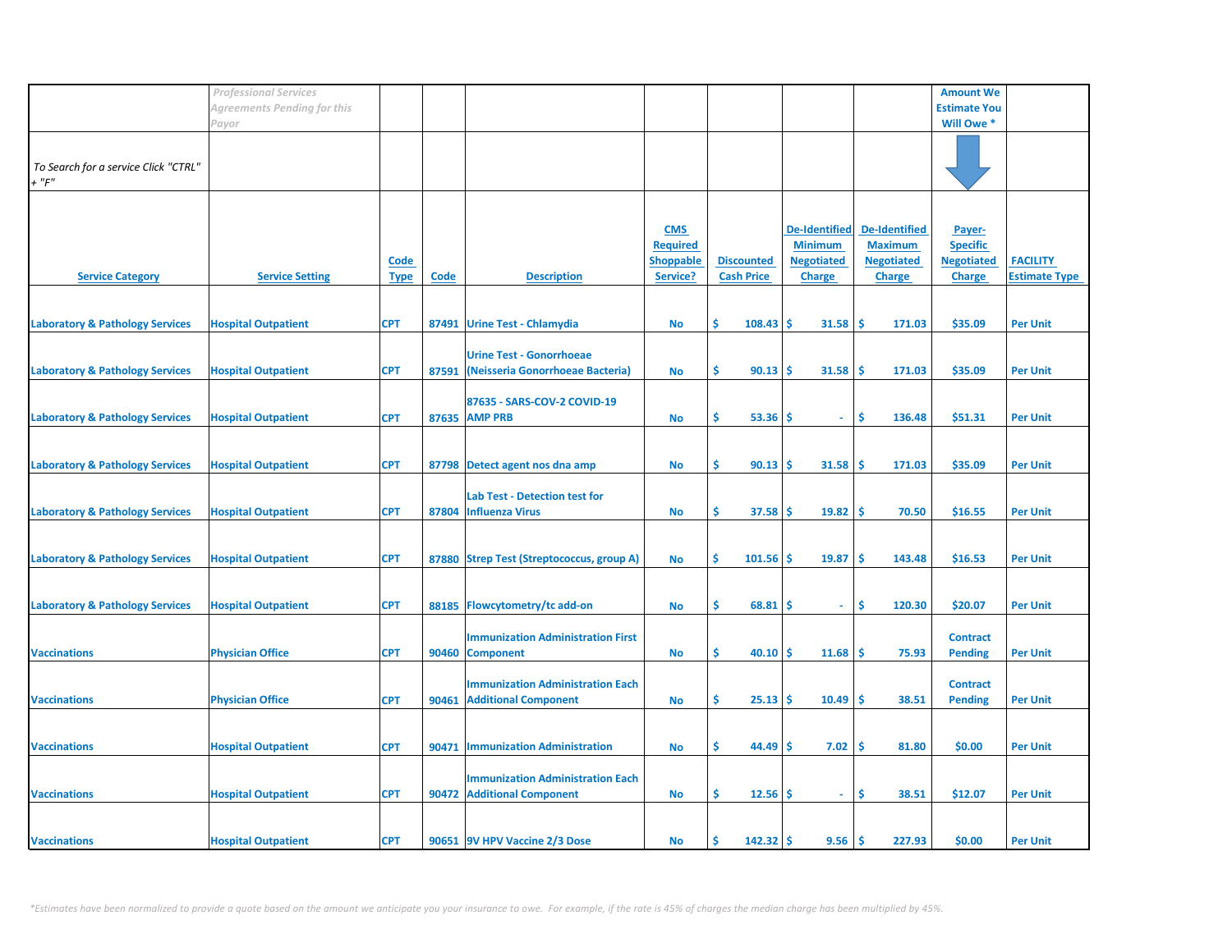|                                                     | <b>Professional Services</b> |                            |             |                                                                        |                                                               |                                        |                                                                              |                                                                              | <b>Amount We</b>                                                |                                         |
|-----------------------------------------------------|------------------------------|----------------------------|-------------|------------------------------------------------------------------------|---------------------------------------------------------------|----------------------------------------|------------------------------------------------------------------------------|------------------------------------------------------------------------------|-----------------------------------------------------------------|-----------------------------------------|
|                                                     | Agreements Pending for this  |                            |             |                                                                        |                                                               |                                        |                                                                              |                                                                              | <b>Estimate You</b>                                             |                                         |
|                                                     | Payor                        |                            |             |                                                                        |                                                               |                                        |                                                                              |                                                                              | Will Owe *                                                      |                                         |
| To Search for a service Click "CTRL"<br>$+$ " $F$ " |                              |                            |             |                                                                        |                                                               |                                        |                                                                              |                                                                              |                                                                 |                                         |
| <b>Service Category</b>                             | <b>Service Setting</b>       | <b>Code</b><br><b>Type</b> | <b>Code</b> | <b>Description</b>                                                     | <b>CMS</b><br><b>Required</b><br><b>Shoppable</b><br>Service? | <b>Discounted</b><br><b>Cash Price</b> | <b>De-Identified</b><br><b>Minimum</b><br><b>Negotiated</b><br><b>Charge</b> | <b>De-Identified</b><br><b>Maximum</b><br><b>Negotiated</b><br><b>Charge</b> | Payer-<br><b>Specific</b><br><b>Negotiated</b><br><b>Charge</b> | <b>FACILITY</b><br><b>Estimate Type</b> |
| <b>Laboratory &amp; Pathology Services</b>          | <b>Hospital Outpatient</b>   | <b>CPT</b>                 |             | 87491 Urine Test - Chlamydia                                           | No                                                            | \$<br>$108.43$ \$                      | $31.58$ \$                                                                   | 171.03                                                                       | \$35.09                                                         | <b>Per Unit</b>                         |
| <b>Laboratory &amp; Pathology Services</b>          | <b>Hospital Outpatient</b>   | <b>CPT</b>                 | 87591       | <b>Urine Test - Gonorrhoeae</b><br>(Neisseria Gonorrhoeae Bacteria)    | No                                                            | \$<br>$90.13$ \$                       | $31.58$ \$                                                                   | 171.03                                                                       | \$35.09                                                         | <b>Per Unit</b>                         |
| <b>Laboratory &amp; Pathology Services</b>          | <b>Hospital Outpatient</b>   | <b>CPT</b>                 |             | 87635 - SARS-COV-2 COVID-19<br>87635 AMP PRB                           | <b>No</b>                                                     | \$<br>$53.36$ \$                       | $\sim$                                                                       | \$<br>136.48                                                                 | \$51.31                                                         | <b>Per Unit</b>                         |
| <b>Laboratory &amp; Pathology Services</b>          | <b>Hospital Outpatient</b>   | <b>CPT</b>                 |             | 87798 Detect agent nos dna amp                                         | <b>No</b>                                                     | \$<br>90.13                            | ۱Ś<br>31.58                                                                  | ۱Ś<br>171.03                                                                 | \$35.09                                                         | <b>Per Unit</b>                         |
| <b>Laboratory &amp; Pathology Services</b>          | <b>Hospital Outpatient</b>   | <b>CPT</b>                 | 87804       | <b>Lab Test - Detection test for</b><br><b>Influenza Virus</b>         | No                                                            | \$<br>37.58                            | 19.82<br>۱\$                                                                 | $\sqrt{5}$<br>70.50                                                          | \$16.55                                                         | <b>Per Unit</b>                         |
| <b>Laboratory &amp; Pathology Services</b>          | <b>Hospital Outpatient</b>   | <b>CPT</b>                 |             | 87880 Strep Test (Streptococcus, group A)                              | No                                                            | \$<br>101.56                           | 19.87<br>l \$                                                                | -\$<br>143.48                                                                | \$16.53                                                         | <b>Per Unit</b>                         |
| <b>Laboratory &amp; Pathology Services</b>          | <b>Hospital Outpatient</b>   | <b>CPT</b>                 |             | 88185 Flowcytometry/tc add-on                                          | No                                                            | \$<br>68.81                            | -S<br>$\overline{\phantom{a}}$                                               | \$<br>120.30                                                                 | \$20.07                                                         | <b>Per Unit</b>                         |
| <b>Vaccinations</b>                                 | <b>Physician Office</b>      | <b>CPT</b>                 | 90460       | <b>Immunization Administration First</b><br><b>Component</b>           | <b>No</b>                                                     | \$<br>40.10                            | ۱\$<br>$11.68$   \$                                                          | 75.93                                                                        | <b>Contract</b><br><b>Pending</b>                               | <b>Per Unit</b>                         |
| <b>Vaccinations</b>                                 | <b>Physician Office</b>      | <b>CPT</b>                 | 90461       | <b>Immunization Administration Each</b><br><b>Additional Component</b> | No                                                            | \$<br>$25.13$ \$                       | $10.49$ \$                                                                   | 38.51                                                                        | <b>Contract</b><br><b>Pending</b>                               | <b>Per Unit</b>                         |
| <b>Vaccinations</b>                                 | <b>Hospital Outpatient</b>   | <b>CPT</b>                 | 90471       | <b>Immunization Administration</b>                                     | No                                                            | \$<br>$44.49$ \$                       | 7.02                                                                         | 1\$<br>81.80                                                                 | \$0.00                                                          | <b>Per Unit</b>                         |
| <b>Vaccinations</b>                                 | <b>Hospital Outpatient</b>   | <b>CPT</b>                 |             | <b>Immunization Administration Each</b><br>90472 Additional Component  | <b>No</b>                                                     | \$<br>$12.56$ \$                       | $\sim$                                                                       | \$<br>38.51                                                                  | \$12.07                                                         | <b>Per Unit</b>                         |
| <b>Vaccinations</b>                                 | <b>Hospital Outpatient</b>   | <b>CPT</b>                 |             | 90651 9V HPV Vaccine 2/3 Dose                                          | <b>No</b>                                                     | Ŝ.<br>$142.32$   \$                    | 9.56                                                                         | l \$<br>227.93                                                               | \$0.00                                                          | <b>Per Unit</b>                         |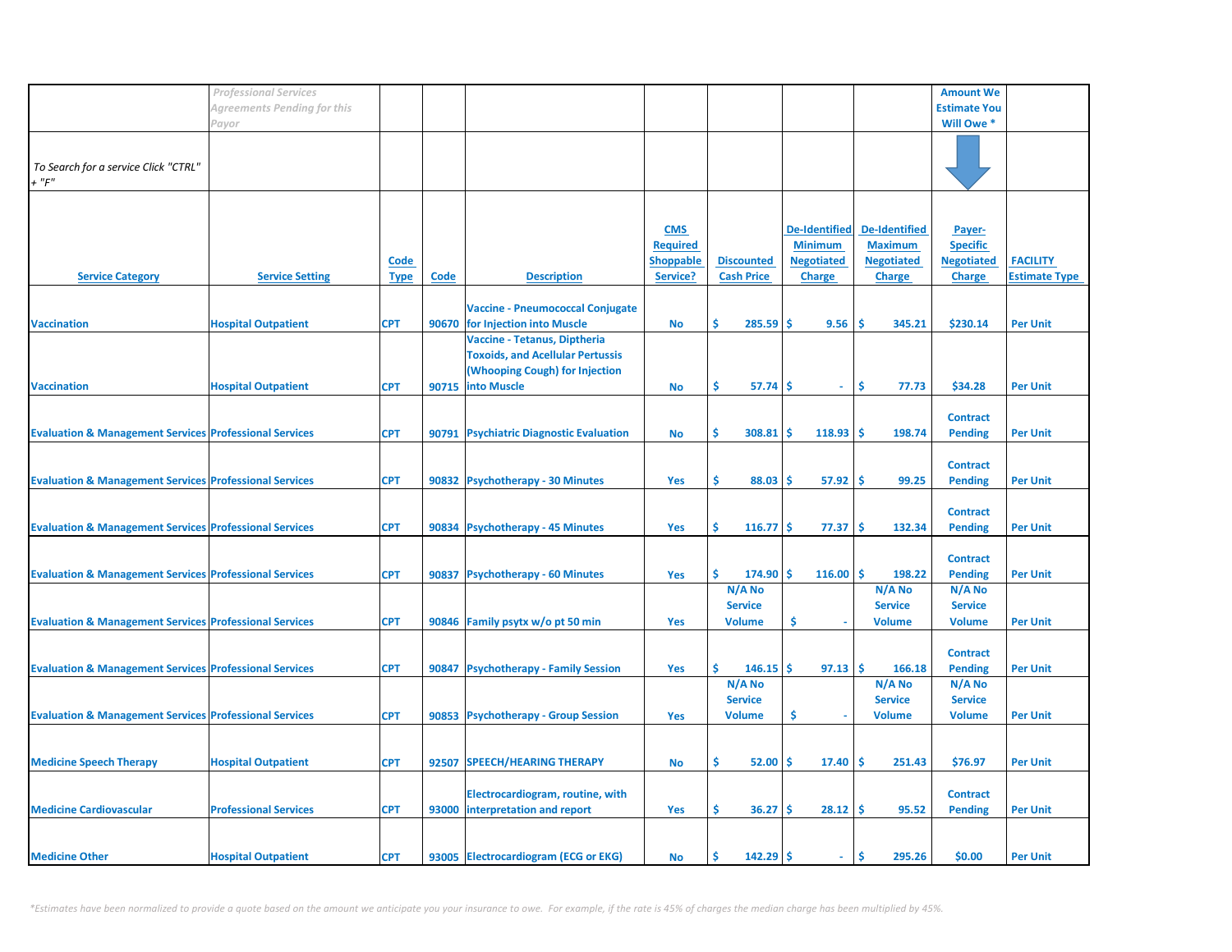|                                                                   | <b>Professional Services</b> |             |       |                                         |                  |                   |                      |                      | <b>Amount We</b>    |                      |
|-------------------------------------------------------------------|------------------------------|-------------|-------|-----------------------------------------|------------------|-------------------|----------------------|----------------------|---------------------|----------------------|
|                                                                   |                              |             |       |                                         |                  |                   |                      |                      |                     |                      |
|                                                                   | Agreements Pending for this  |             |       |                                         |                  |                   |                      |                      | <b>Estimate You</b> |                      |
|                                                                   | Payor                        |             |       |                                         |                  |                   |                      |                      | Will Owe *          |                      |
|                                                                   |                              |             |       |                                         |                  |                   |                      |                      |                     |                      |
|                                                                   |                              |             |       |                                         |                  |                   |                      |                      |                     |                      |
| To Search for a service Click "CTRL"                              |                              |             |       |                                         |                  |                   |                      |                      |                     |                      |
| $+$ " $F$ "                                                       |                              |             |       |                                         |                  |                   |                      |                      |                     |                      |
|                                                                   |                              |             |       |                                         |                  |                   |                      |                      |                     |                      |
|                                                                   |                              |             |       |                                         |                  |                   |                      |                      |                     |                      |
|                                                                   |                              |             |       |                                         |                  |                   |                      |                      |                     |                      |
|                                                                   |                              |             |       |                                         | <b>CMS</b>       |                   | <b>De-Identified</b> | <b>De-Identified</b> | Payer-              |                      |
|                                                                   |                              |             |       |                                         | <b>Required</b>  |                   | <b>Minimum</b>       | <b>Maximum</b>       | <b>Specific</b>     |                      |
|                                                                   |                              | Code        |       |                                         | <b>Shoppable</b> | <b>Discounted</b> | <b>Negotiated</b>    | <b>Negotiated</b>    | <b>Negotiated</b>   | <b>FACILITY</b>      |
|                                                                   |                              |             |       |                                         |                  |                   |                      |                      |                     |                      |
| <b>Service Category</b>                                           | <b>Service Setting</b>       | <b>Type</b> | Code  | <b>Description</b>                      | Service?         | <b>Cash Price</b> | <b>Charge</b>        | <b>Charge</b>        | <b>Charge</b>       | <b>Estimate Type</b> |
|                                                                   |                              |             |       |                                         |                  |                   |                      |                      |                     |                      |
|                                                                   |                              |             |       | <b>Vaccine - Pneumococcal Conjugate</b> |                  |                   |                      |                      |                     |                      |
| <b>Vaccination</b>                                                | <b>Hospital Outpatient</b>   | <b>CPT</b>  | 90670 | for Injection into Muscle               | <b>No</b>        | Ś<br>285.59       | <b>S</b><br>9.56     | Ś<br>345.21          | \$230.14            | <b>Per Unit</b>      |
|                                                                   |                              |             |       | Vaccine - Tetanus, Diptheria            |                  |                   |                      |                      |                     |                      |
|                                                                   |                              |             |       |                                         |                  |                   |                      |                      |                     |                      |
|                                                                   |                              |             |       | <b>Toxoids, and Acellular Pertussis</b> |                  |                   |                      |                      |                     |                      |
|                                                                   |                              |             |       | (Whooping Cough) for Injection          |                  |                   |                      |                      |                     |                      |
| <b>Vaccination</b>                                                | <b>Hospital Outpatient</b>   | <b>CPT</b>  | 90715 | <b>into Muscle</b>                      | <b>No</b>        | \$<br>57.74       | -S<br>÷.             | \$<br>77.73          | \$34.28             | <b>Per Unit</b>      |
|                                                                   |                              |             |       |                                         |                  |                   |                      |                      |                     |                      |
|                                                                   |                              |             |       |                                         |                  |                   |                      |                      | <b>Contract</b>     |                      |
|                                                                   |                              |             |       |                                         |                  |                   |                      |                      |                     |                      |
| <b>Evaluation &amp; Management Services Professional Services</b> |                              | <b>CPT</b>  |       | 90791 Psychiatric Diagnostic Evaluation | <b>No</b>        | Ŝ.<br>308.81      | 118.93<br>s.         | Ŝ.<br>198.74         | <b>Pending</b>      | <b>Per Unit</b>      |
|                                                                   |                              |             |       |                                         |                  |                   |                      |                      |                     |                      |
|                                                                   |                              |             |       |                                         |                  |                   |                      |                      | <b>Contract</b>     |                      |
| <b>Evaluation &amp; Management Services Professional Services</b> |                              | <b>CPT</b>  |       | 90832 Psychotherapy - 30 Minutes        | <b>Yes</b>       | \$<br>88.03       | Ŝ<br>57.92           | -Ś<br>99.25          | <b>Pending</b>      | <b>Per Unit</b>      |
|                                                                   |                              |             |       |                                         |                  |                   |                      |                      |                     |                      |
|                                                                   |                              |             |       |                                         |                  |                   |                      |                      |                     |                      |
|                                                                   |                              |             |       |                                         |                  |                   |                      |                      | <b>Contract</b>     |                      |
| <b>Evaluation &amp; Management Services Professional Services</b> |                              | <b>CPT</b>  |       | 90834 Psychotherapy - 45 Minutes        | Yes              | Ŝ<br>$116.77$ \$  | 77.37                | \$.<br>132.34        | <b>Pending</b>      | <b>Per Unit</b>      |
|                                                                   |                              |             |       |                                         |                  |                   |                      |                      |                     |                      |
|                                                                   |                              |             |       |                                         |                  |                   |                      |                      | <b>Contract</b>     |                      |
| <b>Evaluation &amp; Management Services Professional Services</b> |                              | <b>CPT</b>  | 90837 | <b>Psychotherapy - 60 Minutes</b>       | Yes              | Ŝ<br>174.90       | Ŝ.<br>116.00         | <b>S</b><br>198.22   | <b>Pending</b>      | <b>Per Unit</b>      |
|                                                                   |                              |             |       |                                         |                  |                   |                      |                      |                     |                      |
|                                                                   |                              |             |       |                                         |                  | N/A No            |                      | N/A No               | N/A No              |                      |
|                                                                   |                              |             |       |                                         |                  | <b>Service</b>    |                      | <b>Service</b>       | <b>Service</b>      |                      |
| <b>Evaluation &amp; Management Services Professional Services</b> |                              | <b>CPT</b>  |       | 90846 Family psytx w/o pt 50 min        | <b>Yes</b>       | <b>Volume</b>     | \$                   | <b>Volume</b>        | <b>Volume</b>       | <b>Per Unit</b>      |
|                                                                   |                              |             |       |                                         |                  |                   |                      |                      |                     |                      |
|                                                                   |                              |             |       |                                         |                  |                   |                      |                      | <b>Contract</b>     |                      |
|                                                                   |                              | <b>CPT</b>  | 90847 |                                         | Yes              | Ś.<br>146.15      | Ŝ.<br>97.13          | Ŝ<br>166.18          |                     |                      |
| <b>Evaluation &amp; Management Services Professional Services</b> |                              |             |       | <b>Psychotherapy - Family Session</b>   |                  |                   |                      |                      | <b>Pending</b>      | <b>Per Unit</b>      |
|                                                                   |                              |             |       |                                         |                  | N/A No            |                      | N/A No               | N/A No              |                      |
|                                                                   |                              |             |       |                                         |                  | <b>Service</b>    |                      | <b>Service</b>       | <b>Service</b>      |                      |
| <b>Evaluation &amp; Management Services Professional Services</b> |                              | <b>CPT</b>  |       | 90853 Psychotherapy - Group Session     | <b>Yes</b>       | <b>Volume</b>     | \$<br>×,             | <b>Volume</b>        | <b>Volume</b>       | <b>Per Unit</b>      |
|                                                                   |                              |             |       |                                         |                  |                   |                      |                      |                     |                      |
|                                                                   |                              |             |       |                                         |                  |                   |                      |                      |                     |                      |
|                                                                   |                              |             |       |                                         |                  |                   |                      |                      |                     |                      |
| <b>Medicine Speech Therapy</b>                                    | <b>Hospital Outpatient</b>   | <b>CPT</b>  | 92507 | <b>SPEECH/HEARING THERAPY</b>           | No               | Ś.<br>52.00       | Ŝ.<br>17.40          | <b>S</b><br>251.43   | \$76.97             | <b>Per Unit</b>      |
|                                                                   |                              |             |       |                                         |                  |                   |                      |                      |                     |                      |
|                                                                   |                              |             |       | Electrocardiogram, routine, with        |                  |                   |                      |                      | <b>Contract</b>     |                      |
| <b>Medicine Cardiovascular</b>                                    | <b>Professional Services</b> | <b>CPT</b>  |       | 93000 interpretation and report         | Yes              | \$.<br>36.27      | 28.12<br>\$.         | -Ś<br>95.52          | <b>Pending</b>      | <b>Per Unit</b>      |
|                                                                   |                              |             |       |                                         |                  |                   |                      |                      |                     |                      |
|                                                                   |                              |             |       |                                         |                  |                   |                      |                      |                     |                      |
|                                                                   |                              |             |       |                                         |                  |                   |                      |                      |                     |                      |
| <b>Medicine Other</b>                                             | <b>Hospital Outpatient</b>   | <b>CPT</b>  |       | 93005 Electrocardiogram (ECG or EKG)    | <b>No</b>        | Ŝ.<br>$142.29$ \$ | $\sim$               | Ŝ.<br>295.26         | \$0.00              | <b>Per Unit</b>      |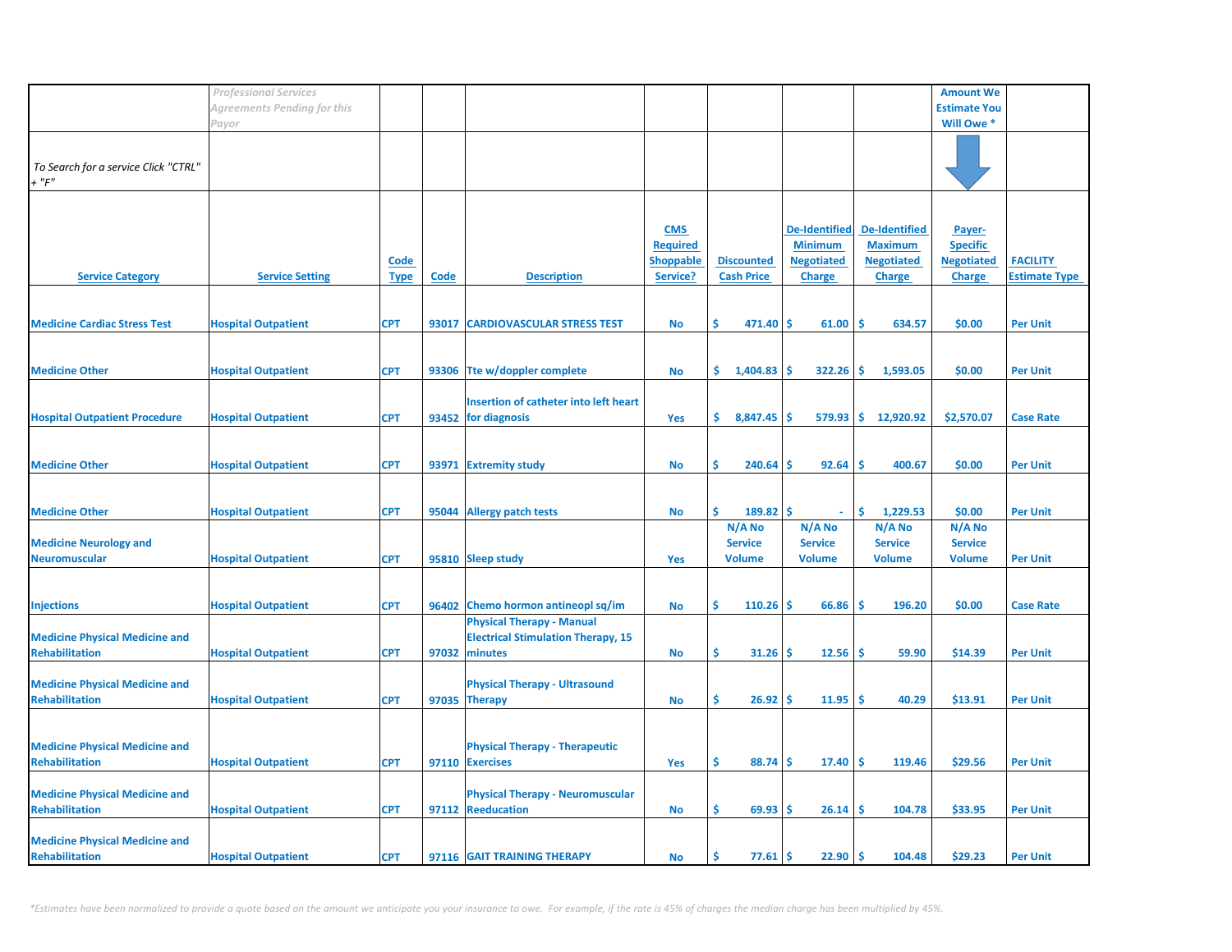|                                       | <b>Professional Services</b> |             |       |                                           |                  |                   |                      |                      | <b>Amount We</b>    |                      |
|---------------------------------------|------------------------------|-------------|-------|-------------------------------------------|------------------|-------------------|----------------------|----------------------|---------------------|----------------------|
|                                       | Agreements Pending for this  |             |       |                                           |                  |                   |                      |                      | <b>Estimate You</b> |                      |
|                                       |                              |             |       |                                           |                  |                   |                      |                      |                     |                      |
|                                       | Payor                        |             |       |                                           |                  |                   |                      |                      | Will Owe *          |                      |
|                                       |                              |             |       |                                           |                  |                   |                      |                      |                     |                      |
|                                       |                              |             |       |                                           |                  |                   |                      |                      |                     |                      |
| To Search for a service Click "CTRL"  |                              |             |       |                                           |                  |                   |                      |                      |                     |                      |
| $+$ " $F$ "                           |                              |             |       |                                           |                  |                   |                      |                      |                     |                      |
|                                       |                              |             |       |                                           |                  |                   |                      |                      |                     |                      |
|                                       |                              |             |       |                                           |                  |                   |                      |                      |                     |                      |
|                                       |                              |             |       |                                           | <b>CMS</b>       |                   | <b>De-Identified</b> | <b>De-Identified</b> | Payer-              |                      |
|                                       |                              |             |       |                                           | <b>Required</b>  |                   | <b>Minimum</b>       | <b>Maximum</b>       | <b>Specific</b>     |                      |
|                                       |                              | Code        |       |                                           | <b>Shoppable</b> | <b>Discounted</b> | <b>Negotiated</b>    | <b>Negotiated</b>    | <b>Negotiated</b>   | <b>FACILITY</b>      |
| <b>Service Category</b>               | <b>Service Setting</b>       | <b>Type</b> | Code  | <b>Description</b>                        | Service?         | <b>Cash Price</b> | <b>Charge</b>        | <b>Charge</b>        | <b>Charge</b>       | <b>Estimate Type</b> |
|                                       |                              |             |       |                                           |                  |                   |                      |                      |                     |                      |
|                                       |                              |             |       |                                           |                  |                   |                      |                      |                     |                      |
| <b>Medicine Cardiac Stress Test</b>   |                              |             |       | <b>CARDIOVASCULAR STRESS TEST</b>         |                  | \$.<br>471.40     | -\$<br>61.00         | -\$<br>634.57        | \$0.00              | <b>Per Unit</b>      |
|                                       | <b>Hospital Outpatient</b>   | <b>CPT</b>  | 93017 |                                           | No               |                   |                      |                      |                     |                      |
|                                       |                              |             |       |                                           |                  |                   |                      |                      |                     |                      |
|                                       |                              |             |       |                                           |                  |                   |                      |                      |                     |                      |
| <b>Medicine Other</b>                 | <b>Hospital Outpatient</b>   | <b>CPT</b>  |       | 93306 Tte w/doppler complete              | <b>No</b>        | \$.<br>1,404.83   | -Ś<br>322.26         | -Ś.<br>1,593.05      | \$0.00              | <b>Per Unit</b>      |
|                                       |                              |             |       |                                           |                  |                   |                      |                      |                     |                      |
|                                       |                              |             |       | Insertion of catheter into left heart     |                  |                   |                      |                      |                     |                      |
| <b>Hospital Outpatient Procedure</b>  | <b>Hospital Outpatient</b>   | <b>CPT</b>  |       | 93452 for diagnosis                       | Yes              | \$.<br>8,847.45   | $579.93$ \$<br>-Ś    | 12,920.92            | \$2,570.07          | <b>Case Rate</b>     |
|                                       |                              |             |       |                                           |                  |                   |                      |                      |                     |                      |
|                                       |                              |             |       |                                           |                  |                   |                      |                      |                     |                      |
| <b>Medicine Other</b>                 | <b>Hospital Outpatient</b>   | <b>CPT</b>  | 93971 | <b>Extremity study</b>                    | <b>No</b>        | \$<br>240.64      | -Ś<br>92.64          | -Ś<br>400.67         | \$0.00              | <b>Per Unit</b>      |
|                                       |                              |             |       |                                           |                  |                   |                      |                      |                     |                      |
|                                       |                              |             |       |                                           |                  |                   |                      |                      |                     |                      |
|                                       |                              |             |       |                                           |                  |                   |                      |                      |                     |                      |
| <b>Medicine Other</b>                 | <b>Hospital Outpatient</b>   | <b>CPT</b>  | 95044 | <b>Allergy patch tests</b>                | No               | \$<br>$189.82$ \$ | $\omega$             | \$<br>1,229.53       | \$0.00              | <b>Per Unit</b>      |
|                                       |                              |             |       |                                           |                  | N/A No            | N/A No               | N/A No               | N/A No              |                      |
| <b>Medicine Neurology and</b>         |                              |             |       |                                           |                  | <b>Service</b>    | <b>Service</b>       | <b>Service</b>       | <b>Service</b>      |                      |
| <b>Neuromuscular</b>                  | <b>Hospital Outpatient</b>   | <b>CPT</b>  |       | 95810 Sleep study                         | Yes              | <b>Volume</b>     | <b>Volume</b>        | <b>Volume</b>        | <b>Volume</b>       | <b>Per Unit</b>      |
|                                       |                              |             |       |                                           |                  |                   |                      |                      |                     |                      |
|                                       |                              |             |       |                                           |                  |                   |                      |                      |                     |                      |
| <b>Injections</b>                     | <b>Hospital Outpatient</b>   | <b>CPT</b>  |       | 96402 Chemo hormon antineopl sq/im        | <b>No</b>        | \$<br>110.26      | -Ś<br>66.86          | -Ś<br>196.20         | \$0.00              | <b>Case Rate</b>     |
|                                       |                              |             |       | <b>Physical Therapy - Manual</b>          |                  |                   |                      |                      |                     |                      |
| <b>Medicine Physical Medicine and</b> |                              |             |       | <b>Electrical Stimulation Therapy, 15</b> |                  |                   |                      |                      |                     |                      |
|                                       |                              |             | 97032 | minutes                                   |                  | \$                | -Ś                   | -Ś                   |                     |                      |
| <b>Rehabilitation</b>                 | <b>Hospital Outpatient</b>   | <b>CPT</b>  |       |                                           | No               | 31.26             | 12.56                | 59.90                | \$14.39             | <b>Per Unit</b>      |
|                                       |                              |             |       |                                           |                  |                   |                      |                      |                     |                      |
| <b>Medicine Physical Medicine and</b> |                              |             |       | <b>Physical Therapy - Ultrasound</b>      |                  |                   |                      |                      |                     |                      |
| <b>Rehabilitation</b>                 | <b>Hospital Outpatient</b>   | <b>CPT</b>  |       | 97035 Therapy                             | No               | \$<br>26.92       | 11.95<br>-Ś          | \$<br>40.29          | \$13.91             | <b>Per Unit</b>      |
|                                       |                              |             |       |                                           |                  |                   |                      |                      |                     |                      |
|                                       |                              |             |       |                                           |                  |                   |                      |                      |                     |                      |
| <b>Medicine Physical Medicine and</b> |                              |             |       | <b>Physical Therapy - Therapeutic</b>     |                  |                   |                      |                      |                     |                      |
| <b>Rehabilitation</b>                 | <b>Hospital Outpatient</b>   | <b>CPT</b>  |       | 97110 Exercises                           | Yes              | \$<br>88.74       | -S<br>17.40          | l \$<br>119.46       | \$29.56             | <b>Per Unit</b>      |
|                                       |                              |             |       |                                           |                  |                   |                      |                      |                     |                      |
| <b>Medicine Physical Medicine and</b> |                              |             |       | <b>Physical Therapy - Neuromuscular</b>   |                  |                   |                      |                      |                     |                      |
| <b>Rehabilitation</b>                 | <b>Hospital Outpatient</b>   | <b>CPT</b>  |       | 97112 Reeducation                         | No               | \$.<br>69.93      | -S<br>26.14          | -Ś<br>104.78         | \$33.95             | <b>Per Unit</b>      |
|                                       |                              |             |       |                                           |                  |                   |                      |                      |                     |                      |
|                                       |                              |             |       |                                           |                  |                   |                      |                      |                     |                      |
| <b>Medicine Physical Medicine and</b> |                              |             |       |                                           |                  |                   |                      |                      |                     |                      |
| Rehabilitation                        | <b>Hospital Outpatient</b>   | <b>CPT</b>  |       | 97116 GAIT TRAINING THERAPY               | No               | \$<br>77.61       | Ŝ.<br>22.90          | \$<br>104.48         | \$29.23             | <b>Per Unit</b>      |

*\*Estimates have been normalized to provide a quote based on the amount we anticipate you your insurance to owe. For example, if the rate is 45% of charges the median charge has been multiplied by 45%.*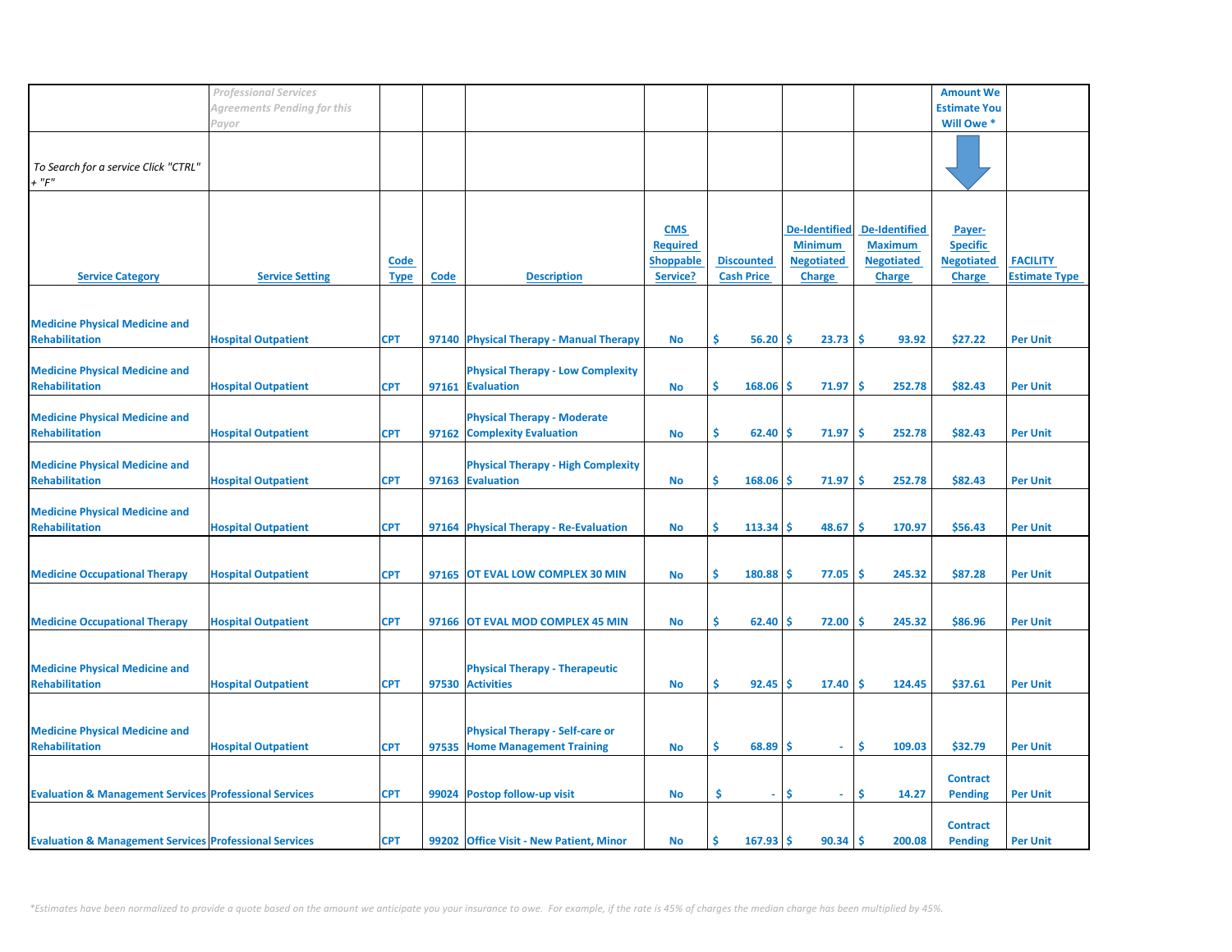|                                                                   | <b>Professional Services</b> |                     |             |                                                                          |                                                               |                                        |                                                                              |                                                                              | <b>Amount We</b>                                                |                                         |
|-------------------------------------------------------------------|------------------------------|---------------------|-------------|--------------------------------------------------------------------------|---------------------------------------------------------------|----------------------------------------|------------------------------------------------------------------------------|------------------------------------------------------------------------------|-----------------------------------------------------------------|-----------------------------------------|
|                                                                   | Agreements Pending for this  |                     |             |                                                                          |                                                               |                                        |                                                                              |                                                                              | <b>Estimate You</b>                                             |                                         |
|                                                                   | Payor                        |                     |             |                                                                          |                                                               |                                        |                                                                              |                                                                              | Will Owe *                                                      |                                         |
| To Search for a service Click "CTRL"<br>$+$ " $F$ "               |                              |                     |             |                                                                          |                                                               |                                        |                                                                              |                                                                              |                                                                 |                                         |
| <b>Service Category</b>                                           | <b>Service Setting</b>       | Code<br><b>Type</b> | <b>Code</b> | <b>Description</b>                                                       | <b>CMS</b><br><b>Required</b><br><b>Shoppable</b><br>Service? | <b>Discounted</b><br><b>Cash Price</b> | <b>De-Identified</b><br><b>Minimum</b><br><b>Negotiated</b><br><b>Charge</b> | <b>De-Identified</b><br><b>Maximum</b><br><b>Negotiated</b><br><b>Charge</b> | Payer-<br><b>Specific</b><br><b>Negotiated</b><br><b>Charge</b> | <b>FACILITY</b><br><b>Estimate Type</b> |
| <b>Medicine Physical Medicine and</b><br><b>Rehabilitation</b>    | <b>Hospital Outpatient</b>   | <b>CPT</b>          |             | 97140 Physical Therapy - Manual Therapy                                  | No                                                            | \$<br>$56.20$ \$                       | $23.73$ \$                                                                   | 93.92                                                                        | \$27.22                                                         | <b>Per Unit</b>                         |
| <b>Medicine Physical Medicine and</b><br><b>Rehabilitation</b>    | <b>Hospital Outpatient</b>   | <b>CPT</b>          |             | <b>Physical Therapy - Low Complexity</b><br>97161 Evaluation             | <b>No</b>                                                     | \$<br>$168.06$ \$                      | 71.97                                                                        | ١\$<br>252.78                                                                | \$82.43                                                         | <b>Per Unit</b>                         |
| <b>Medicine Physical Medicine and</b><br><b>Rehabilitation</b>    | <b>Hospital Outpatient</b>   | <b>CPT</b>          |             | <b>Physical Therapy - Moderate</b><br>97162 Complexity Evaluation        | <b>No</b>                                                     | \$<br>62.40                            | ۱Ś<br>71.97                                                                  | ١\$<br>252.78                                                                | \$82.43                                                         | <b>Per Unit</b>                         |
| <b>Medicine Physical Medicine and</b><br><b>Rehabilitation</b>    | <b>Hospital Outpatient</b>   | <b>CPT</b>          |             | <b>Physical Therapy - High Complexity</b><br>97163 Evaluation            | No                                                            | \$<br>168.06                           | 71.97<br>۱\$                                                                 | ۱Ś<br>252.78                                                                 | \$82.43                                                         | <b>Per Unit</b>                         |
| <b>Medicine Physical Medicine and</b><br><b>Rehabilitation</b>    | <b>Hospital Outpatient</b>   | <b>CPT</b>          |             | 97164 Physical Therapy - Re-Evaluation                                   | <b>No</b>                                                     | \$<br>113.34                           | 48.67<br>l \$                                                                | 170.97<br>-\$                                                                | \$56.43                                                         | <b>Per Unit</b>                         |
| <b>Medicine Occupational Therapy</b>                              | <b>Hospital Outpatient</b>   | <b>CPT</b>          |             | 97165 OT EVAL LOW COMPLEX 30 MIN                                         | <b>No</b>                                                     | \$<br>180.88                           | 77.05<br>۱S                                                                  | 245.32<br>۱Ś                                                                 | \$87.28                                                         | <b>Per Unit</b>                         |
| <b>Medicine Occupational Therapy</b>                              | <b>Hospital Outpatient</b>   | <b>CPT</b>          |             | 97166 OT EVAL MOD COMPLEX 45 MIN                                         | <b>No</b>                                                     | \$<br>62.40                            | 72.00<br>-S                                                                  | 245.32<br>$\ddot{\bm{\zeta}}$                                                | \$86.96                                                         | <b>Per Unit</b>                         |
| <b>Medicine Physical Medicine and</b><br><b>Rehabilitation</b>    | <b>Hospital Outpatient</b>   | <b>CPT</b>          |             | <b>Physical Therapy - Therapeutic</b><br>97530 Activities                | <b>No</b>                                                     | \$<br>92.45                            | ۱Ś<br>17.40                                                                  | 124.45<br>۱Ś                                                                 | \$37.61                                                         | <b>Per Unit</b>                         |
| <b>Medicine Physical Medicine and</b><br><b>Rehabilitation</b>    | <b>Hospital Outpatient</b>   | <b>CPT</b>          |             | <b>Physical Therapy - Self-care or</b><br>97535 Home Management Training | No                                                            | \$<br>$68.89$ \$                       | $\sim$                                                                       | \$<br>109.03                                                                 | \$32.79                                                         | <b>Per Unit</b>                         |
| <b>Evaluation &amp; Management Services Professional Services</b> |                              | <b>CPT</b>          |             | 99024 Postop follow-up visit                                             | <b>No</b>                                                     | \$<br>$\sim$                           | .S                                                                           | Ś<br>14.27                                                                   | <b>Contract</b><br><b>Pending</b>                               | <b>Per Unit</b>                         |
| <b>Evaluation &amp; Management Services Professional Services</b> |                              | <b>CPT</b>          |             | 99202 Office Visit - New Patient, Minor                                  | No                                                            | \$.<br>$167.93$ \$                     | 90.34                                                                        | ۱Ś<br>200.08                                                                 | <b>Contract</b><br><b>Pending</b>                               | <b>Per Unit</b>                         |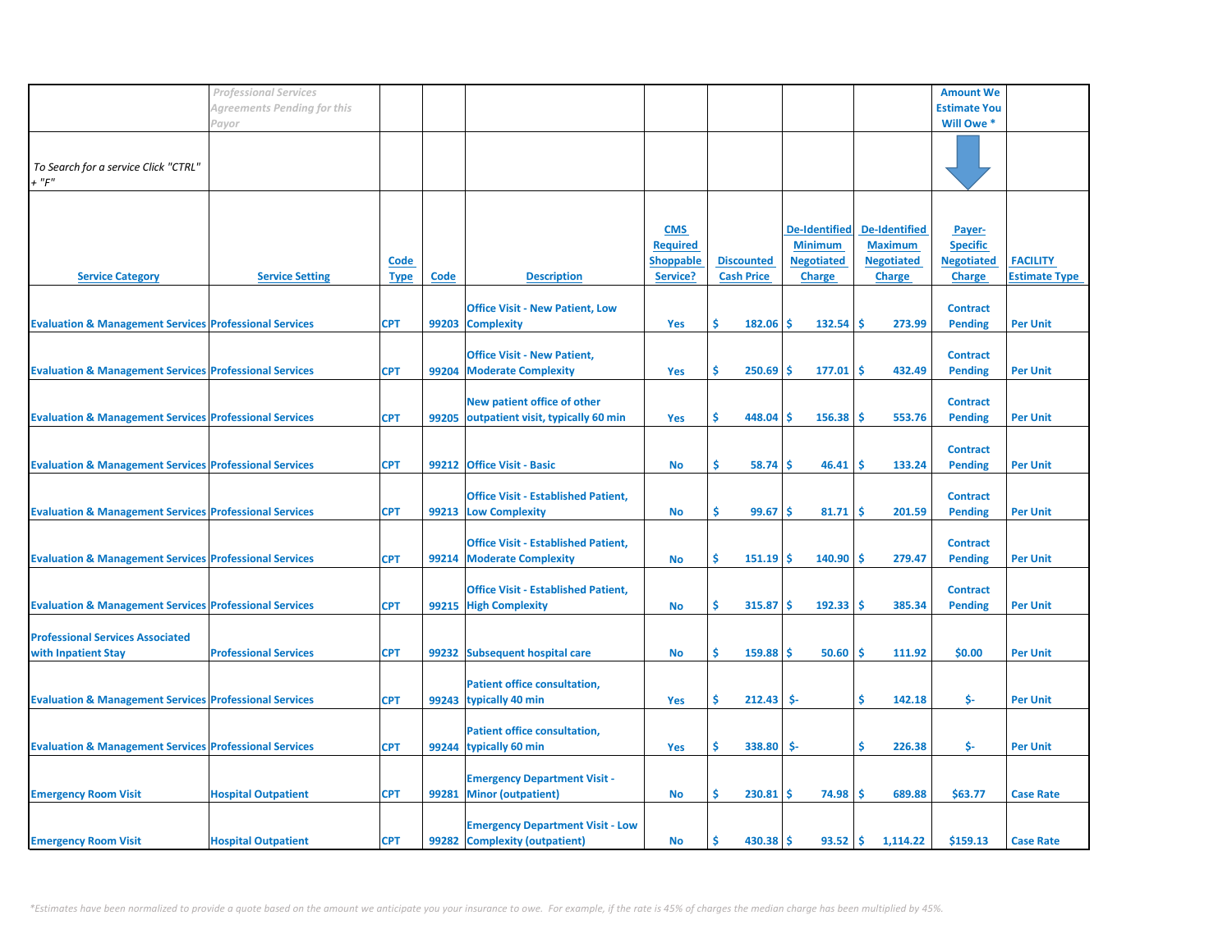|                                                                   | <b>Professional Services</b> |                     |       |                                                                          |                                                               |                                        |                                                                              |                                                                              | <b>Amount We</b>                                                |                                         |
|-------------------------------------------------------------------|------------------------------|---------------------|-------|--------------------------------------------------------------------------|---------------------------------------------------------------|----------------------------------------|------------------------------------------------------------------------------|------------------------------------------------------------------------------|-----------------------------------------------------------------|-----------------------------------------|
|                                                                   | Agreements Pending for this  |                     |       |                                                                          |                                                               |                                        |                                                                              |                                                                              | <b>Estimate You</b>                                             |                                         |
|                                                                   | Payor                        |                     |       |                                                                          |                                                               |                                        |                                                                              |                                                                              | Will Owe *                                                      |                                         |
| To Search for a service Click "CTRL"<br>$+$ " $F$ "               |                              |                     |       |                                                                          |                                                               |                                        |                                                                              |                                                                              |                                                                 |                                         |
| <b>Service Category</b>                                           | <b>Service Setting</b>       | Code<br><b>Type</b> | Code  | <b>Description</b>                                                       | <b>CMS</b><br><b>Required</b><br><b>Shoppable</b><br>Service? | <b>Discounted</b><br><b>Cash Price</b> | <b>De-Identified</b><br><b>Minimum</b><br><b>Negotiated</b><br><b>Charge</b> | <b>De-Identified</b><br><b>Maximum</b><br><b>Negotiated</b><br><b>Charge</b> | Payer-<br><b>Specific</b><br><b>Negotiated</b><br><b>Charge</b> | <b>FACILITY</b><br><b>Estimate Type</b> |
| <b>Evaluation &amp; Management Services Professional Services</b> |                              | <b>CPT</b>          |       | <b>Office Visit - New Patient, Low</b><br>99203 Complexity               | Yes                                                           | \$<br>$182.06$ \$                      | $132.54$ \$                                                                  | 273.99                                                                       | <b>Contract</b><br><b>Pending</b>                               | <b>Per Unit</b>                         |
| <b>Evaluation &amp; Management Services Professional Services</b> |                              | <b>CPT</b>          | 99204 | <b>Office Visit - New Patient,</b><br><b>Moderate Complexity</b>         | Yes                                                           | \$<br>250.69                           | $177.01$ \$<br>۱Ś                                                            | 432.49                                                                       | <b>Contract</b><br><b>Pending</b>                               | <b>Per Unit</b>                         |
| <b>Evaluation &amp; Management Services Professional Services</b> |                              | <b>CPT</b>          | 99205 | New patient office of other<br>outpatient visit, typically 60 min        | Yes                                                           | \$<br>448.04                           | ۱Ś<br>$156.38$   \$                                                          | 553.76                                                                       | <b>Contract</b><br><b>Pending</b>                               | <b>Per Unit</b>                         |
| <b>Evaluation &amp; Management Services Professional Services</b> |                              | <b>CPT</b>          | 99212 | <b>Office Visit - Basic</b>                                              | <b>No</b>                                                     | \$<br>58.74                            | -Ś<br>46.41                                                                  | -Ś<br>133.24                                                                 | <b>Contract</b><br><b>Pending</b>                               | <b>Per Unit</b>                         |
| <b>Evaluation &amp; Management Services Professional Services</b> |                              | <b>CPT</b>          |       | <b>Office Visit - Established Patient,</b><br>99213 Low Complexity       | No                                                            | \$<br>99.67                            | l \$<br>81.71                                                                | 201.59<br>-\$                                                                | <b>Contract</b><br><b>Pending</b>                               | <b>Per Unit</b>                         |
| <b>Evaluation &amp; Management Services Professional Services</b> |                              | <b>CPT</b>          | 99214 | <b>Office Visit - Established Patient,</b><br><b>Moderate Complexity</b> | No                                                            | \$<br>151.19                           | 140.90<br>-Ś                                                                 | 279.47<br>-Ś                                                                 | <b>Contract</b><br><b>Pending</b>                               | <b>Per Unit</b>                         |
| <b>Evaluation &amp; Management Services Professional Services</b> |                              | <b>CPT</b>          |       | <b>Office Visit - Established Patient,</b><br>99215 High Complexity      | <b>No</b>                                                     | \$<br>315.87                           | ۱Ś<br>192.33                                                                 | 385.34<br>۱Ś                                                                 | <b>Contract</b><br><b>Pending</b>                               | <b>Per Unit</b>                         |
| <b>Professional Services Associated</b><br>with Inpatient Stay    | <b>Professional Services</b> | <b>CPT</b>          | 99232 | <b>Subsequent hospital care</b>                                          | <b>No</b>                                                     | \$<br>159.88                           | ۱Ś<br>50.60                                                                  | 111.92<br>۱Ś                                                                 | \$0.00                                                          | <b>Per Unit</b>                         |
| <b>Evaluation &amp; Management Services Professional Services</b> |                              | <b>CPT</b>          |       | <b>Patient office consultation,</b><br>99243 typically 40 min            | Yes                                                           | \$<br>212.43                           | \$-                                                                          | \$<br>142.18                                                                 | \$-                                                             | <b>Per Unit</b>                         |
| <b>Evaluation &amp; Management Services Professional Services</b> |                              | <b>CPT</b>          |       | <b>Patient office consultation,</b><br>99244 typically 60 min            | Yes                                                           | \$<br>338.80                           | \$-                                                                          | \$<br>226.38                                                                 | \$-                                                             | <b>Per Unit</b>                         |
| <b>Emergency Room Visit</b>                                       | <b>Hospital Outpatient</b>   | <b>CPT</b>          | 99281 | <b>Emergency Department Visit -</b><br><b>Minor (outpatient)</b>         | <b>No</b>                                                     | \$.<br>$230.81$   \$                   | $74.98$ \$                                                                   | 689.88                                                                       | \$63.77                                                         | <b>Case Rate</b>                        |
| <b>Emergency Room Visit</b>                                       | <b>Hospital Outpatient</b>   | <b>CPT</b>          |       | <b>Emergency Department Visit - Low</b><br>99282 Complexity (outpatient) | <b>No</b>                                                     | Ŝ.<br>$430.38$   \$                    | $93.52$ \$                                                                   | 1,114.22                                                                     | \$159.13                                                        | <b>Case Rate</b>                        |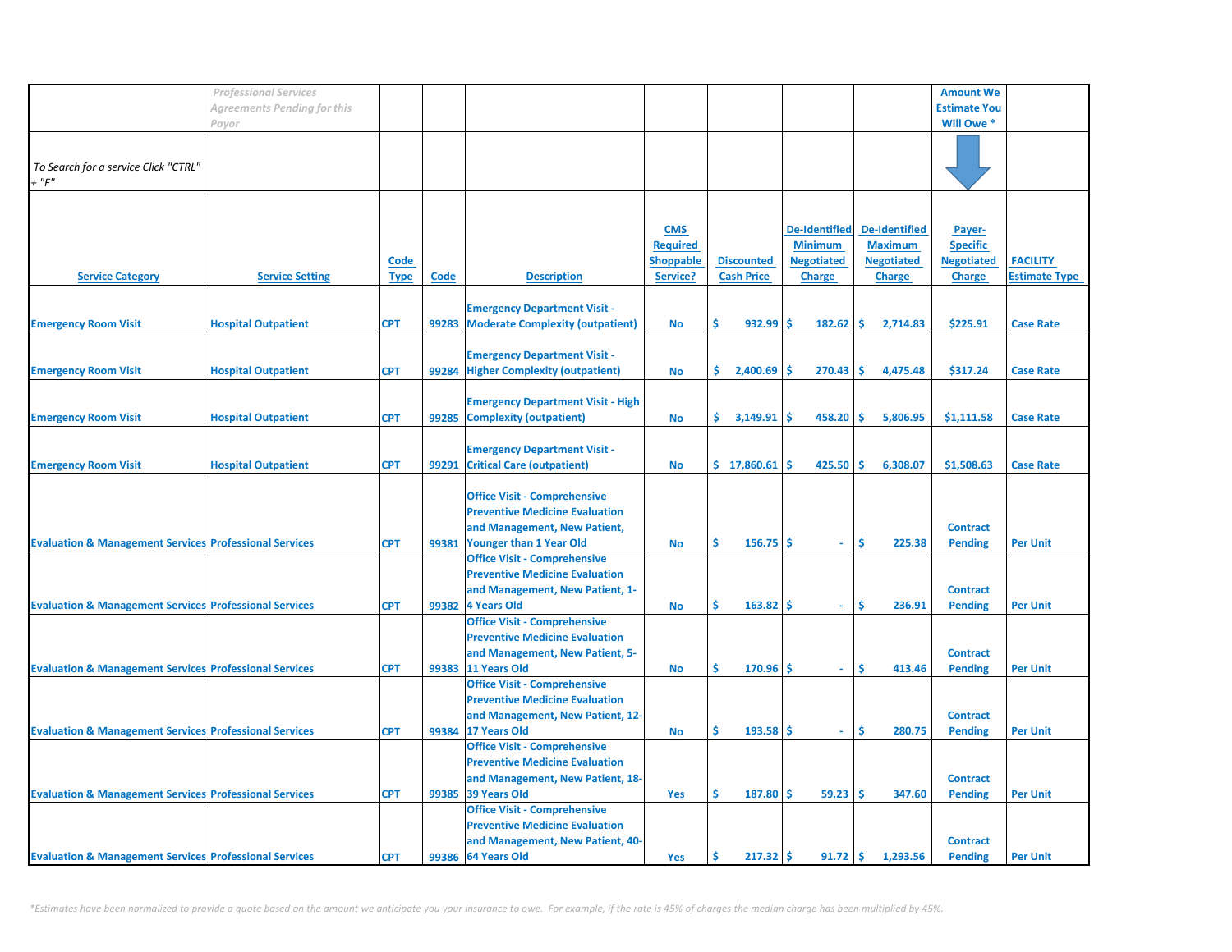|                                                                   | <b>Professional Services</b> |             |             |                                          |                  |                   |                      |                      | <b>Amount We</b>    |                      |
|-------------------------------------------------------------------|------------------------------|-------------|-------------|------------------------------------------|------------------|-------------------|----------------------|----------------------|---------------------|----------------------|
|                                                                   |                              |             |             |                                          |                  |                   |                      |                      |                     |                      |
|                                                                   | Agreements Pending for this  |             |             |                                          |                  |                   |                      |                      | <b>Estimate You</b> |                      |
|                                                                   | Payor                        |             |             |                                          |                  |                   |                      |                      | Will Owe *          |                      |
|                                                                   |                              |             |             |                                          |                  |                   |                      |                      |                     |                      |
|                                                                   |                              |             |             |                                          |                  |                   |                      |                      |                     |                      |
| To Search for a service Click "CTRL"                              |                              |             |             |                                          |                  |                   |                      |                      |                     |                      |
| $+$ " $F$ "                                                       |                              |             |             |                                          |                  |                   |                      |                      |                     |                      |
|                                                                   |                              |             |             |                                          |                  |                   |                      |                      |                     |                      |
|                                                                   |                              |             |             |                                          |                  |                   |                      |                      |                     |                      |
|                                                                   |                              |             |             |                                          |                  |                   |                      |                      |                     |                      |
|                                                                   |                              |             |             |                                          | <b>CMS</b>       |                   | <b>De-Identified</b> | <b>De-Identified</b> | Payer-              |                      |
|                                                                   |                              |             |             |                                          | <b>Required</b>  |                   | <b>Minimum</b>       | <b>Maximum</b>       | <b>Specific</b>     |                      |
|                                                                   |                              |             |             |                                          |                  |                   |                      |                      |                     |                      |
|                                                                   |                              | Code        |             |                                          | <b>Shoppable</b> | <b>Discounted</b> | <b>Negotiated</b>    | <b>Negotiated</b>    | <b>Negotiated</b>   | <b>FACILITY</b>      |
| <b>Service Category</b>                                           | <b>Service Setting</b>       | <b>Type</b> | <b>Code</b> | <b>Description</b>                       | Service?         | <b>Cash Price</b> | <b>Charge</b>        | <b>Charge</b>        | <b>Charge</b>       | <b>Estimate Type</b> |
|                                                                   |                              |             |             |                                          |                  |                   |                      |                      |                     |                      |
|                                                                   |                              |             |             | <b>Emergency Department Visit -</b>      |                  |                   |                      |                      |                     |                      |
| <b>Emergency Room Visit</b>                                       | <b>Hospital Outpatient</b>   | <b>CPT</b>  | 99283       | <b>Moderate Complexity (outpatient)</b>  | <b>No</b>        | Ś.<br>932.99      | Ŝ.<br>182.62         | \$.<br>2,714.83      | \$225.91            | <b>Case Rate</b>     |
|                                                                   |                              |             |             |                                          |                  |                   |                      |                      |                     |                      |
|                                                                   |                              |             |             |                                          |                  |                   |                      |                      |                     |                      |
|                                                                   |                              |             |             | <b>Emergency Department Visit -</b>      |                  |                   |                      |                      |                     |                      |
| <b>Emergency Room Visit</b>                                       | <b>Hospital Outpatient</b>   | <b>CPT</b>  |             | 99284 Higher Complexity (outpatient)     | <b>No</b>        | \$.<br>2,400.69   | Ŝ.<br>270.43         | Ŝ.<br>4,475.48       | \$317.24            | <b>Case Rate</b>     |
|                                                                   |                              |             |             |                                          |                  |                   |                      |                      |                     |                      |
|                                                                   |                              |             |             | <b>Emergency Department Visit - High</b> |                  |                   |                      |                      |                     |                      |
|                                                                   |                              |             |             |                                          |                  |                   |                      |                      |                     |                      |
| <b>Emergency Room Visit</b>                                       | <b>Hospital Outpatient</b>   | <b>CPT</b>  | 99285       | <b>Complexity (outpatient)</b>           | <b>No</b>        | \$.<br>3,149.91   | 458.20<br>\$.        | \$<br>5,806.95       | \$1,111.58          | <b>Case Rate</b>     |
|                                                                   |                              |             |             |                                          |                  |                   |                      |                      |                     |                      |
|                                                                   |                              |             |             | <b>Emergency Department Visit -</b>      |                  |                   |                      |                      |                     |                      |
| <b>Emergency Room Visit</b>                                       | <b>Hospital Outpatient</b>   | <b>CPT</b>  | 99291       | <b>Critical Care (outpatient)</b>        | <b>No</b>        | \$17,860.61       | 425.50<br>Ŝ          | Ŝ.<br>6,308.07       | \$1,508.63          | <b>Case Rate</b>     |
|                                                                   |                              |             |             |                                          |                  |                   |                      |                      |                     |                      |
|                                                                   |                              |             |             |                                          |                  |                   |                      |                      |                     |                      |
|                                                                   |                              |             |             | <b>Office Visit - Comprehensive</b>      |                  |                   |                      |                      |                     |                      |
|                                                                   |                              |             |             | <b>Preventive Medicine Evaluation</b>    |                  |                   |                      |                      |                     |                      |
|                                                                   |                              |             |             | and Management, New Patient,             |                  |                   |                      |                      | <b>Contract</b>     |                      |
| <b>Evaluation &amp; Management Services Professional Services</b> |                              | <b>CPT</b>  | 99381       | <b>Younger than 1 Year Old</b>           | <b>No</b>        | Ś<br>156.75       | Ŝ.<br>÷.             | Ś<br>225.38          | <b>Pending</b>      | <b>Per Unit</b>      |
|                                                                   |                              |             |             | <b>Office Visit - Comprehensive</b>      |                  |                   |                      |                      |                     |                      |
|                                                                   |                              |             |             |                                          |                  |                   |                      |                      |                     |                      |
|                                                                   |                              |             |             | <b>Preventive Medicine Evaluation</b>    |                  |                   |                      |                      |                     |                      |
|                                                                   |                              |             |             | and Management, New Patient, 1-          |                  |                   |                      |                      | <b>Contract</b>     |                      |
| <b>Evaluation &amp; Management Services Professional Services</b> |                              | <b>CPT</b>  | 99382       | <b>4 Years Old</b>                       | <b>No</b>        | Ś<br>163.82       | Ŝ<br>$\omega$        | Ŝ<br>236.91          | <b>Pending</b>      | <b>Per Unit</b>      |
|                                                                   |                              |             |             | <b>Office Visit - Comprehensive</b>      |                  |                   |                      |                      |                     |                      |
|                                                                   |                              |             |             | <b>Preventive Medicine Evaluation</b>    |                  |                   |                      |                      |                     |                      |
|                                                                   |                              |             |             |                                          |                  |                   |                      |                      |                     |                      |
|                                                                   |                              |             |             | and Management, New Patient, 5-          |                  |                   |                      |                      | <b>Contract</b>     |                      |
| <b>Evaluation &amp; Management Services Professional Services</b> |                              | <b>CPT</b>  |             | 99383 11 Years Old                       | No               | Ś<br>170.96       | Ŝ<br>$\omega$ .      | \$<br>413.46         | <b>Pending</b>      | <b>Per Unit</b>      |
|                                                                   |                              |             |             | <b>Office Visit - Comprehensive</b>      |                  |                   |                      |                      |                     |                      |
|                                                                   |                              |             |             | <b>Preventive Medicine Evaluation</b>    |                  |                   |                      |                      |                     |                      |
|                                                                   |                              |             |             | and Management, New Patient, 12-         |                  |                   |                      |                      | <b>Contract</b>     |                      |
|                                                                   |                              |             |             |                                          |                  | Ś<br>193.58       | <b>S</b><br>$\omega$ | \$.                  |                     |                      |
| <b>Evaluation &amp; Management Services Professional Services</b> |                              | <b>CPT</b>  |             | 99384 17 Years Old                       | <b>No</b>        |                   |                      | 280.75               | <b>Pending</b>      | <b>Per Unit</b>      |
|                                                                   |                              |             |             | <b>Office Visit - Comprehensive</b>      |                  |                   |                      |                      |                     |                      |
|                                                                   |                              |             |             | <b>Preventive Medicine Evaluation</b>    |                  |                   |                      |                      |                     |                      |
|                                                                   |                              |             |             | and Management, New Patient, 18-         |                  |                   |                      |                      | <b>Contract</b>     |                      |
| <b>Evaluation &amp; Management Services Professional Services</b> |                              | <b>CPT</b>  | 99385       | 39 Years Old                             | <b>Yes</b>       | Ś.<br>187.80      | Ŝ.<br>59.23          | Ś<br>347.60          | <b>Pending</b>      | <b>Per Unit</b>      |
|                                                                   |                              |             |             | <b>Office Visit - Comprehensive</b>      |                  |                   |                      |                      |                     |                      |
|                                                                   |                              |             |             |                                          |                  |                   |                      |                      |                     |                      |
|                                                                   |                              |             |             | <b>Preventive Medicine Evaluation</b>    |                  |                   |                      |                      |                     |                      |
|                                                                   |                              |             |             | and Management, New Patient, 40-         |                  |                   |                      |                      | <b>Contract</b>     |                      |
| <b>Evaluation &amp; Management Services Professional Services</b> |                              | <b>CPT</b>  |             | 99386 64 Years Old                       | <b>Yes</b>       | Ŝ.<br>$217.32$ \$ | 91.72                | Ŝ.<br>1,293.56       | <b>Pending</b>      | <b>Per Unit</b>      |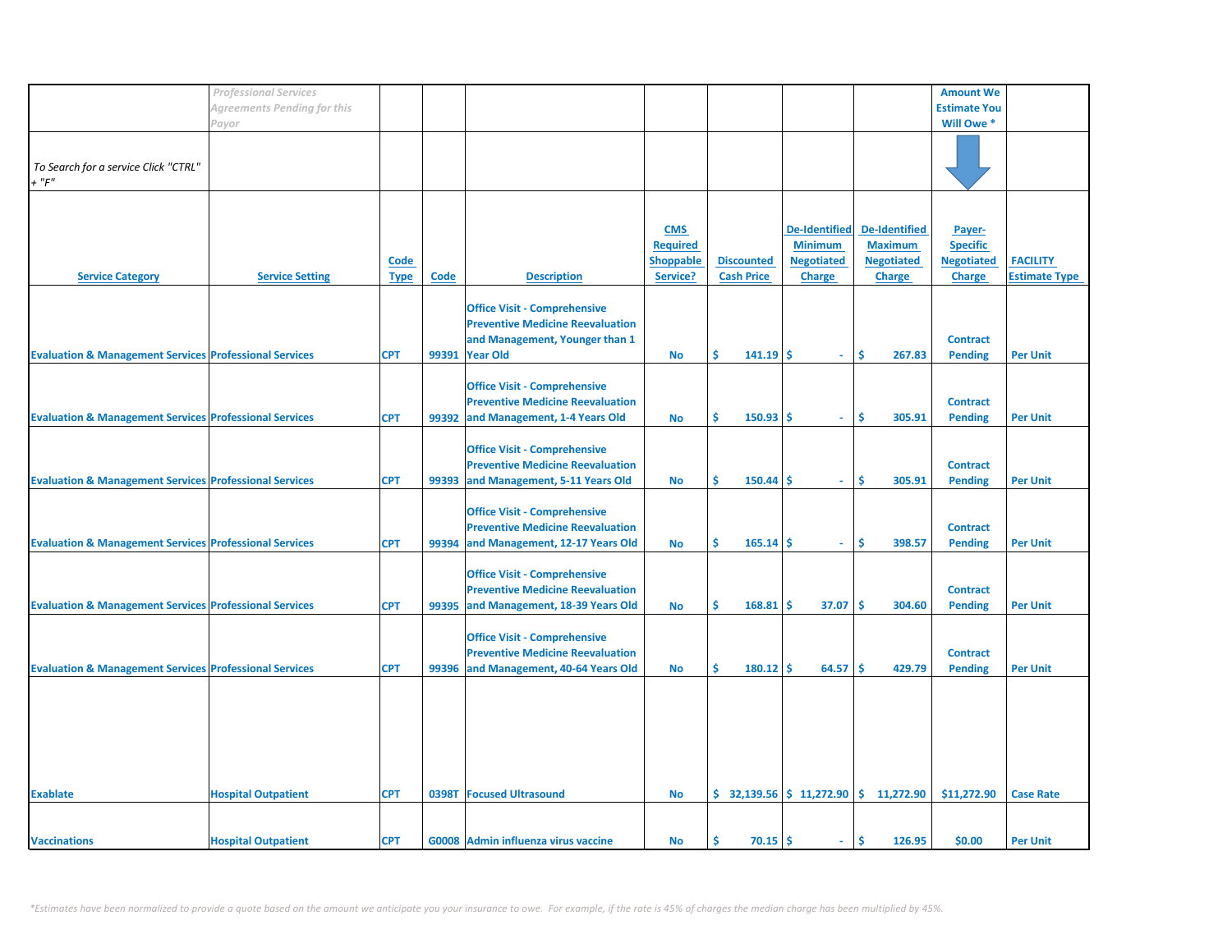|                                                                   | <b>Professional Services</b> |             |       |                                         |                  |                   |                             |                                                                         | <b>Amount We</b>    |                      |
|-------------------------------------------------------------------|------------------------------|-------------|-------|-----------------------------------------|------------------|-------------------|-----------------------------|-------------------------------------------------------------------------|---------------------|----------------------|
|                                                                   | Agreements Pending for this  |             |       |                                         |                  |                   |                             |                                                                         | <b>Estimate You</b> |                      |
|                                                                   | Payor                        |             |       |                                         |                  |                   |                             |                                                                         | Will Owe *          |                      |
|                                                                   |                              |             |       |                                         |                  |                   |                             |                                                                         |                     |                      |
|                                                                   |                              |             |       |                                         |                  |                   |                             |                                                                         |                     |                      |
| To Search for a service Click "CTRL"                              |                              |             |       |                                         |                  |                   |                             |                                                                         |                     |                      |
| $+$ " $F$ "                                                       |                              |             |       |                                         |                  |                   |                             |                                                                         |                     |                      |
|                                                                   |                              |             |       |                                         |                  |                   |                             |                                                                         |                     |                      |
|                                                                   |                              |             |       |                                         |                  |                   |                             |                                                                         |                     |                      |
|                                                                   |                              |             |       |                                         |                  |                   |                             |                                                                         |                     |                      |
|                                                                   |                              |             |       |                                         | <b>CMS</b>       |                   | <b>De-Identified</b>        | <b>De-Identified</b>                                                    | Payer-              |                      |
|                                                                   |                              |             |       |                                         | <b>Required</b>  |                   | <b>Minimum</b>              | <b>Maximum</b>                                                          | <b>Specific</b>     |                      |
|                                                                   |                              | Code        |       |                                         | <b>Shoppable</b> | <b>Discounted</b> | <b>Negotiated</b>           | <b>Negotiated</b>                                                       | <b>Negotiated</b>   | <b>FACILITY</b>      |
| <b>Service Category</b>                                           | <b>Service Setting</b>       | <b>Type</b> | Code  | <b>Description</b>                      | Service?         | <b>Cash Price</b> | Charge                      | <b>Charge</b>                                                           | <b>Charge</b>       | <b>Estimate Type</b> |
|                                                                   |                              |             |       |                                         |                  |                   |                             |                                                                         |                     |                      |
|                                                                   |                              |             |       |                                         |                  |                   |                             |                                                                         |                     |                      |
|                                                                   |                              |             |       | <b>Office Visit - Comprehensive</b>     |                  |                   |                             |                                                                         |                     |                      |
|                                                                   |                              |             |       | <b>Preventive Medicine Reevaluation</b> |                  |                   |                             |                                                                         |                     |                      |
|                                                                   |                              |             |       | and Management, Younger than 1          |                  |                   |                             |                                                                         | <b>Contract</b>     |                      |
| <b>Evaluation &amp; Management Services Professional Services</b> |                              | <b>CPT</b>  |       | 99391 Year Old                          | No               | Ŝ.<br>$141.19$ \$ | ÷.                          | Ŝ.<br>267.83                                                            | <b>Pending</b>      | <b>Per Unit</b>      |
|                                                                   |                              |             |       |                                         |                  |                   |                             |                                                                         |                     |                      |
|                                                                   |                              |             |       |                                         |                  |                   |                             |                                                                         |                     |                      |
|                                                                   |                              |             |       | <b>Office Visit - Comprehensive</b>     |                  |                   |                             |                                                                         |                     |                      |
|                                                                   |                              |             |       | <b>Preventive Medicine Reevaluation</b> |                  |                   |                             |                                                                         | <b>Contract</b>     |                      |
| <b>Evaluation &amp; Management Services Professional Services</b> |                              | <b>CPT</b>  |       | 99392 and Management, 1-4 Years Old     | <b>No</b>        | \$<br>150.93      | Ŝ.<br>÷.                    | \$.<br>305.91                                                           | <b>Pending</b>      | <b>Per Unit</b>      |
|                                                                   |                              |             |       |                                         |                  |                   |                             |                                                                         |                     |                      |
|                                                                   |                              |             |       | <b>Office Visit - Comprehensive</b>     |                  |                   |                             |                                                                         |                     |                      |
|                                                                   |                              |             |       | <b>Preventive Medicine Reevaluation</b> |                  |                   |                             |                                                                         | <b>Contract</b>     |                      |
|                                                                   |                              |             |       |                                         |                  |                   |                             |                                                                         |                     |                      |
| <b>Evaluation &amp; Management Services Professional Services</b> |                              | <b>CPT</b>  | 99393 | and Management, 5-11 Years Old          | <b>No</b>        | Ŝ.<br>$150.44$ \$ | $\sim$                      | Ŝ.<br>305.91                                                            | <b>Pending</b>      | <b>Per Unit</b>      |
|                                                                   |                              |             |       |                                         |                  |                   |                             |                                                                         |                     |                      |
|                                                                   |                              |             |       | <b>Office Visit - Comprehensive</b>     |                  |                   |                             |                                                                         |                     |                      |
|                                                                   |                              |             |       | <b>Preventive Medicine Reevaluation</b> |                  |                   |                             |                                                                         | <b>Contract</b>     |                      |
| <b>Evaluation &amp; Management Services Professional Services</b> |                              | <b>CPT</b>  | 99394 | and Management, 12-17 Years Old         | No               | Ś<br>$165.14$ \$  | $\omega$ .                  | \$.<br>398.57                                                           | <b>Pending</b>      | <b>Per Unit</b>      |
|                                                                   |                              |             |       |                                         |                  |                   |                             |                                                                         |                     |                      |
|                                                                   |                              |             |       |                                         |                  |                   |                             |                                                                         |                     |                      |
|                                                                   |                              |             |       | <b>Office Visit - Comprehensive</b>     |                  |                   |                             |                                                                         |                     |                      |
|                                                                   |                              |             |       | <b>Preventive Medicine Reevaluation</b> |                  |                   |                             |                                                                         | <b>Contract</b>     |                      |
| <b>Evaluation &amp; Management Services Professional Services</b> |                              | <b>CPT</b>  | 99395 | and Management, 18-39 Years Old         | <b>No</b>        | \$<br>168.81      | 37.07<br>Ŝ.                 | -Ś<br>304.60                                                            | <b>Pending</b>      | <b>Per Unit</b>      |
|                                                                   |                              |             |       |                                         |                  |                   |                             |                                                                         |                     |                      |
|                                                                   |                              |             |       | <b>Office Visit - Comprehensive</b>     |                  |                   |                             |                                                                         |                     |                      |
|                                                                   |                              |             |       | <b>Preventive Medicine Reevaluation</b> |                  |                   |                             |                                                                         | <b>Contract</b>     |                      |
| <b>Evaluation &amp; Management Services Professional Services</b> |                              | <b>CPT</b>  | 99396 | and Management, 40-64 Years Old         | No               | Ś.<br>180.12      | <b>S</b><br>64.57           | \$.<br>429.79                                                           | <b>Pending</b>      | <b>Per Unit</b>      |
|                                                                   |                              |             |       |                                         |                  |                   |                             |                                                                         |                     |                      |
|                                                                   |                              |             |       |                                         |                  |                   |                             |                                                                         |                     |                      |
|                                                                   |                              |             |       |                                         |                  |                   |                             |                                                                         |                     |                      |
|                                                                   |                              |             |       |                                         |                  |                   |                             |                                                                         |                     |                      |
|                                                                   |                              |             |       |                                         |                  |                   |                             |                                                                         |                     |                      |
|                                                                   |                              |             |       |                                         |                  |                   |                             |                                                                         |                     |                      |
|                                                                   |                              |             |       |                                         |                  |                   |                             |                                                                         |                     |                      |
|                                                                   |                              |             |       |                                         |                  |                   |                             |                                                                         |                     |                      |
|                                                                   |                              |             |       |                                         |                  |                   |                             |                                                                         |                     |                      |
| <b>Exablate</b>                                                   | <b>Hospital Outpatient</b>   | <b>CPT</b>  | 0398T | <b>Focused Ultrasound</b>               | No               |                   |                             | $\frac{1}{2}$ 32,139.56 $\frac{1}{2}$ 11,272.90 $\frac{1}{2}$ 11,272.90 | \$11,272.90         | <b>Case Rate</b>     |
|                                                                   |                              |             |       |                                         |                  |                   |                             |                                                                         |                     |                      |
|                                                                   |                              |             |       |                                         |                  |                   |                             |                                                                         |                     |                      |
| <b>Vaccinations</b>                                               | <b>Hospital Outpatient</b>   | <b>CPT</b>  |       | G0008 Admin influenza virus vaccine     | <b>No</b>        | Ŝ.<br>$70.15$ \$  | $\mathcal{L}^{\mathcal{A}}$ | \$.<br>126.95                                                           | \$0.00              | <b>Per Unit</b>      |